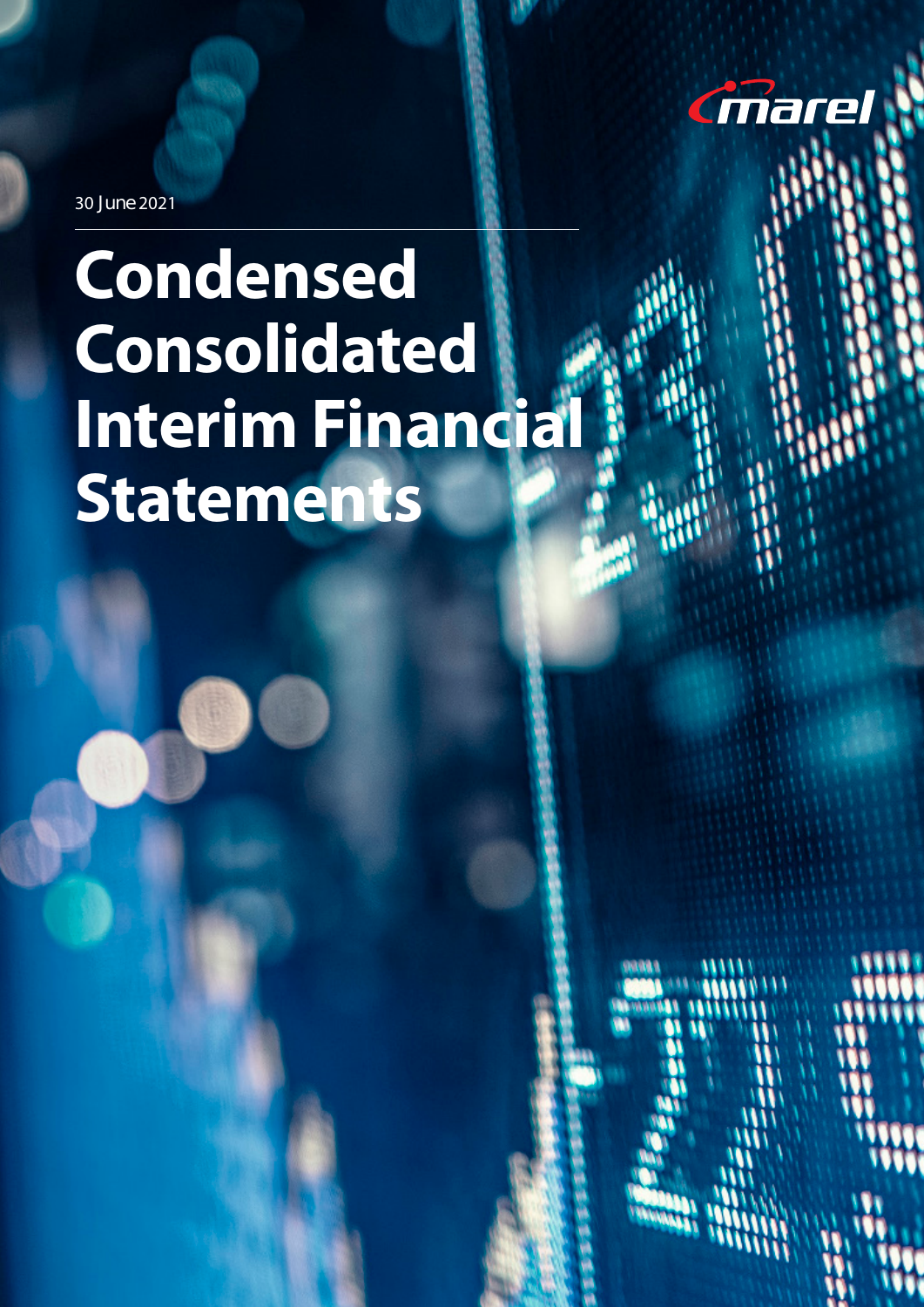

30 June 2021

# **Condensed Consolidated Interim Financia Statements**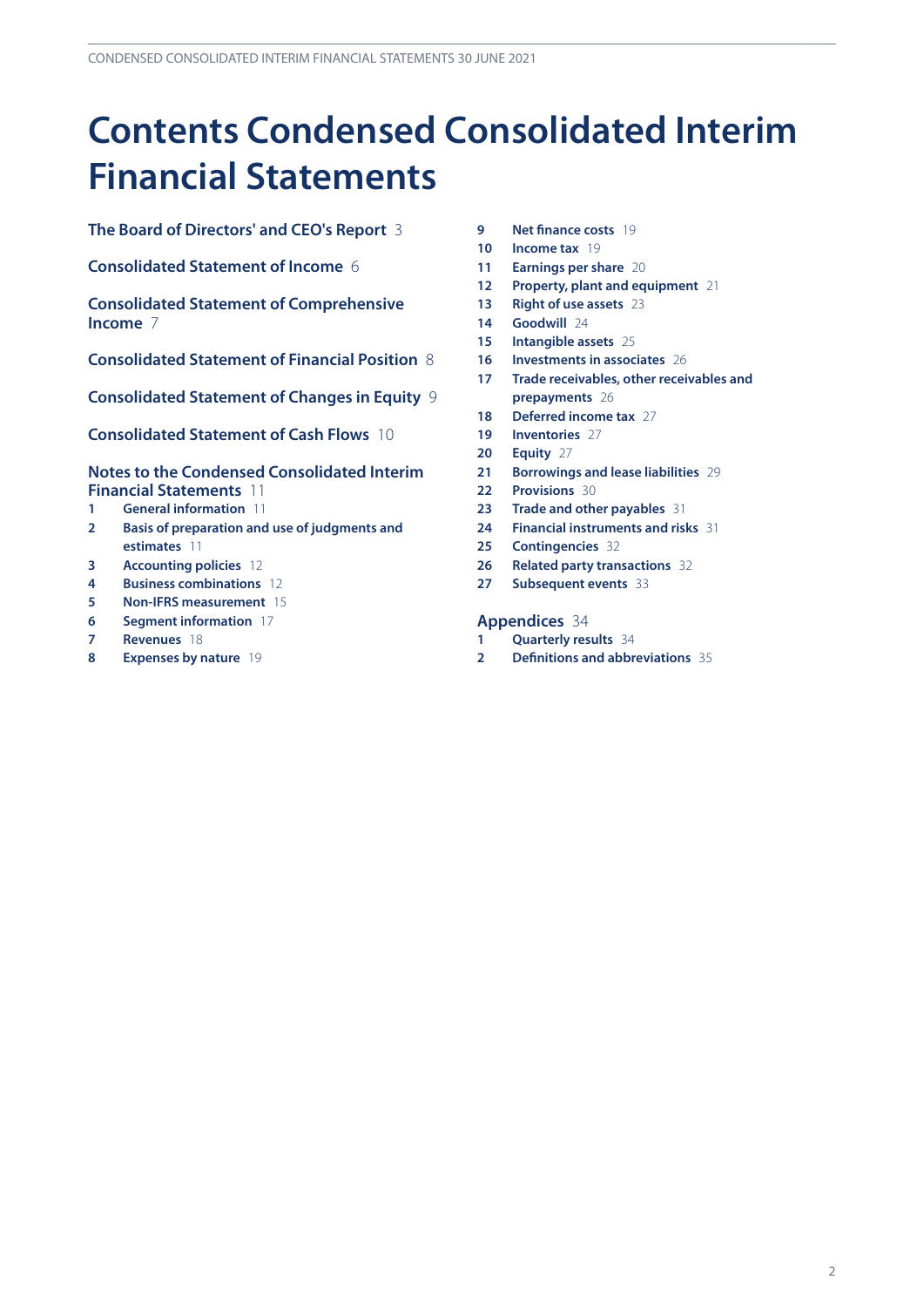# **Contents Condensed Consolidated Interim Financial Statements**

**[The Board of Directors' and CEO's Report](#page-2-0)** 3

**[Consolidated Statement of Income](#page-5-0)** 6

**[Consolidated Statement of Comprehensive](#page-6-0)  [Income](#page-6-0)** 7

**[Consolidated Statement of Financial Position](#page-7-0)** 8

**[Consolidated Statement of Changes in Equity](#page-8-0)** 9

**[Consolidated Statement of Cash Flows](#page-9-0)** 10

#### **[Notes to the Condensed Consolidated Interim](#page-10-0) [Financial Statements](#page-10-0)** 11

- **[General information](#page-10-0)** 11
- **[Basis of preparation and use of judgments and](#page-10-0)  [estimates](#page-10-0)** 11
- **[Accounting policies](#page-11-0)** 12
- **[Business combinations](#page-11-0)** 12
- **[Non-IFRS measurement](#page-14-0)** 15
- **[Segment information](#page-16-0)** 17
- **[Revenues](#page-17-0)** 18
- **[Expenses by nature](#page-18-0)** 19
- **[Net finance costs](#page-18-0)** 19
- **[Income tax](#page-18-0)** 19
- **[Earnings per share](#page-19-0)** 20
- **[Property, plant and equipment](#page-20-0)** 21
- **[Right of use assets](#page-22-0)** 23
- **[Goodwill](#page-23-0)** 24
- **[Intangible assets](#page-24-0)** 25
- **[Investments in associates](#page-25-0)** 26
- **[Trade receivables, other receivables and](#page-25-0) [prepayments](#page-25-0)** 26
- **[Deferred income tax](#page-26-0)** 27
- **[Inventories](#page-26-0)** 27
- **[Equity](#page-26-0)** 27
- **[Borrowings and lease liabilities](#page-28-0)** 29
- **[Provisions](#page-29-0)** 30
- **[Trade and other payables](#page-30-0)** 31
- **[Financial instruments and risks](#page-30-0)** 31
- **[Contingencies](#page-31-0)** 32
- **[Related party transactions](#page-31-0)** 32
- **[Subsequent events](#page-32-0)** 33

#### **[Appendices](#page-33-0)** 34

- **[Quarterly results](#page-33-0)** 34
- **[Definitions and abbreviations](#page-34-0)** 35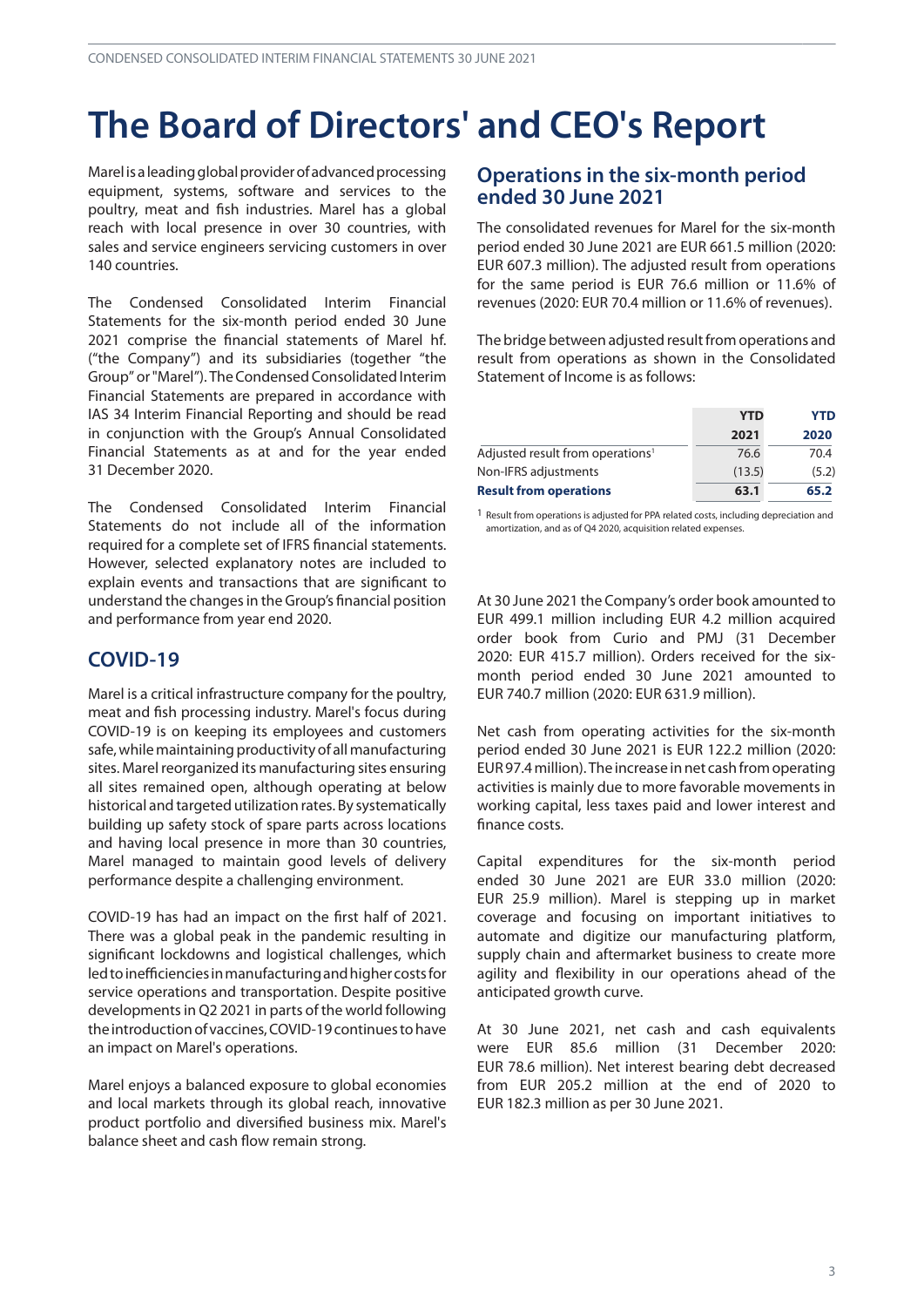# <span id="page-2-0"></span>**The Board of Directors' and CEO's Report**

Marel is a leading global provider of advanced processing equipment, systems, software and services to the poultry, meat and fish industries. Marel has a global reach with local presence in over 30 countries, with sales and service engineers servicing customers in over 140 countries.

The Condensed Consolidated Interim Financial Statements for the six-month period ended 30 June 2021 comprise the financial statements of Marel hf. ("the Company") and its subsidiaries (together "the Group" or"Marel"). TheCondensedConsolidated Interim Financial Statements are prepared in accordance with IAS 34 Interim Financial Reporting and should be read in conjunction with the Group's Annual Consolidated Financial Statements as at and for the year ended 31 December 2020.

The Condensed Consolidated Interim Financial Statements do not include all of the information required for a complete set of IFRS financial statements. However, selected explanatory notes are included to explain events and transactions that are significant to understand the changes in the Group's financial position and performance from year end 2020.

#### **COVID-19**

Marel is a critical infrastructure company for the poultry, meat and fish processing industry. Marel's focus during COVID-19 is on keeping its employees and customers safe, while maintaining productivity of all manufacturing sites. Marel reorganized its manufacturing sites ensuring all sites remained open, although operating at below historical and targeted utilization rates. By systematically building up safety stock of spare parts across locations and having local presence in more than 30 countries, Marel managed to maintain good levels of delivery performance despite a challenging environment.

COVID-19 has had an impact on the first half of 2021. There was a global peak in the pandemic resulting in significant lockdowns and logistical challenges, which ledtoinefficienciesinmanufacturingandhigher costsfor service operations and transportation. Despite positive developmentsin Q2 2021 in parts of the world following the introduction of vaccines, COVID-19 continues to have an impact on Marel's operations.

Marel enjoys a balanced exposure to global economies and local markets through its global reach, innovative product portfolio and diversified business mix. Marel's balance sheet and cash flow remain strong.

#### **Operations in the six-month period ended 30 June 2021**

The consolidated revenues for Marel for the six-month period ended 30 June 2021 are EUR 661.5 million (2020: EUR 607.3 million). The adjusted result from operations for the same period is EUR 76.6 million or 11.6% of revenues (2020: EUR 70.4 million or 11.6% of revenues).

The bridge between adjusted result from operations and result from operations as shown in the Consolidated Statement of Income is as follows:

|                                              | <b>YTD</b> | YTD   |
|----------------------------------------------|------------|-------|
|                                              | 2021       | 2020  |
| Adjusted result from operations <sup>1</sup> | 76.6       | 70.4  |
| Non-IFRS adjustments                         | (13.5)     | (5.2) |
| <b>Result from operations</b>                | 63.1       | 65.2  |

<sup>1</sup> Result from operations is adjusted for PPA related costs, including depreciation and amortization, and as of Q4 2020, acquisition related expenses.

At 30 June 2021 the Company's order book amounted to EUR 499.1 million including EUR 4.2 million acquired order book from Curio and PMJ (31 December 2020: EUR 415.7 million). Orders received for the sixmonth period ended 30 June 2021 amounted to EUR 740.7 million (2020: EUR 631.9 million).

Net cash from operating activities for the six-month period ended 30 June 2021 is EUR 122.2 million (2020: EUR 97.4 million). The increase in net cash from operating activities is mainly due to more favorable movements in working capital, less taxes paid and lower interest and finance costs.

Capital expenditures for the six-month period ended 30 June 2021 are EUR 33.0 million (2020: EUR 25.9 million). Marel is stepping up in market coverage and focusing on important initiatives to automate and digitize our manufacturing platform, supply chain and aftermarket business to create more agility and flexibility in our operations ahead of the anticipated growth curve.

At 30 June 2021, net cash and cash equivalents were EUR 85.6 million (31 December 2020: EUR 78.6 million). Net interest bearing debt decreased from EUR 205.2 million at the end of 2020 to EUR 182.3 million as per 30 June 2021.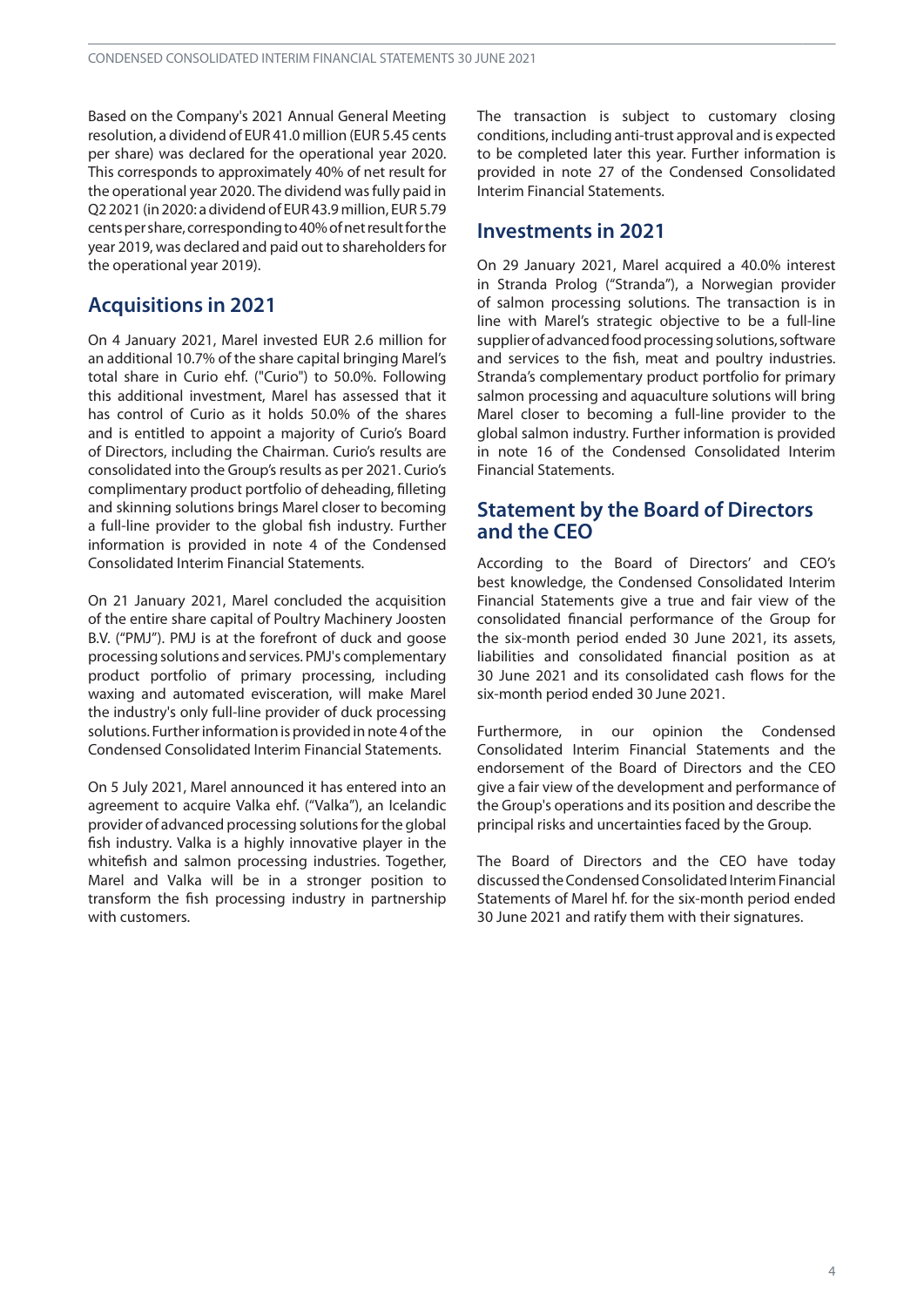Based on the Company's 2021 Annual General Meeting resolution, a dividend of EUR 41.0million (EUR 5.45 cents per share) was declared for the operational year 2020. This corresponds to approximately 40% of net result for the operational year 2020. The dividend was fully paid in Q2 2021 (in 2020: a dividend of EUR 43.9million, EUR 5.79 cents per share, corresponding to 40% of net result for the year 2019, was declared and paid out to shareholders for the operational year 2019).

### **Acquisitions in 2021**

On 4 January 2021, Marel invested EUR 2.6 million for an additional 10.7% of the share capital bringing Marel's total share in Curio ehf. ("Curio") to 50.0%. Following this additional investment, Marel has assessed that it has control of Curio as it holds 50.0% of the shares and is entitled to appoint a majority of Curio's Board of Directors, including the Chairman. Curio's results are consolidated into the Group's results as per 2021. Curio's complimentary product portfolio of deheading, filleting and skinning solutions brings Marel closer to becoming a full-line provider to the global fish industry. Further information is provided in note 4 of the Condensed Consolidated Interim Financial Statements.

On 21 January 2021, Marel concluded the acquisition of the entire share capital of Poultry Machinery Joosten B.V. ("PMJ"). PMJ is at the forefront of duck and goose processing solutions and services. PMJ's complementary product portfolio of primary processing, including waxing and automated evisceration, will make Marel the industry's only full-line provider of duck processing solutions. Further information is provided in note 4 of the Condensed Consolidated Interim Financial Statements.

On 5 July 2021, Marel announced it has entered into an agreement to acquire Valka ehf. ("Valka"), an Icelandic provider of advanced processing solutions for the global fish industry. Valka is a highly innovative player in the whitefish and salmon processing industries. Together, Marel and Valka will be in a stronger position to transform the fish processing industry in partnership with customers.

The transaction is subject to customary closing conditions, including anti-trust approval and is expected to be completed later this year. Further information is provided in note 27 of the Condensed Consolidated Interim Financial Statements.

#### **Investments in 2021**

On 29 January 2021, Marel acquired a 40.0% interest in Stranda Prolog ("Stranda"), a Norwegian provider of salmon processing solutions. The transaction is in line with Marel's strategic objective to be a full-line supplier of advanced food processing solutions, software and services to the fish, meat and poultry industries. Stranda's complementary product portfolio for primary salmon processing and aquaculture solutions will bring Marel closer to becoming a full-line provider to the global salmon industry. Further information is provided in note 16 of the Condensed Consolidated Interim Financial Statements.

#### **Statement by the Board of Directors and the CEO**

According to the Board of Directors' and CEO's best knowledge, the Condensed Consolidated Interim Financial Statements give a true and fair view of the consolidated financial performance of the Group for the six-month period ended 30 June 2021, its assets, liabilities and consolidated financial position as at 30 June 2021 and its consolidated cash flows for the six-month period ended 30 June 2021.

Furthermore, in our opinion the Condensed Consolidated Interim Financial Statements and the endorsement of the Board of Directors and the CEO give a fair view of the development and performance of the Group's operations and its position and describe the principal risks and uncertainties faced by the Group.

The Board of Directors and the CEO have today discussed the Condensed Consolidated Interim Financial Statements of Marel hf. for the six-month period ended 30 June 2021 and ratify them with their signatures.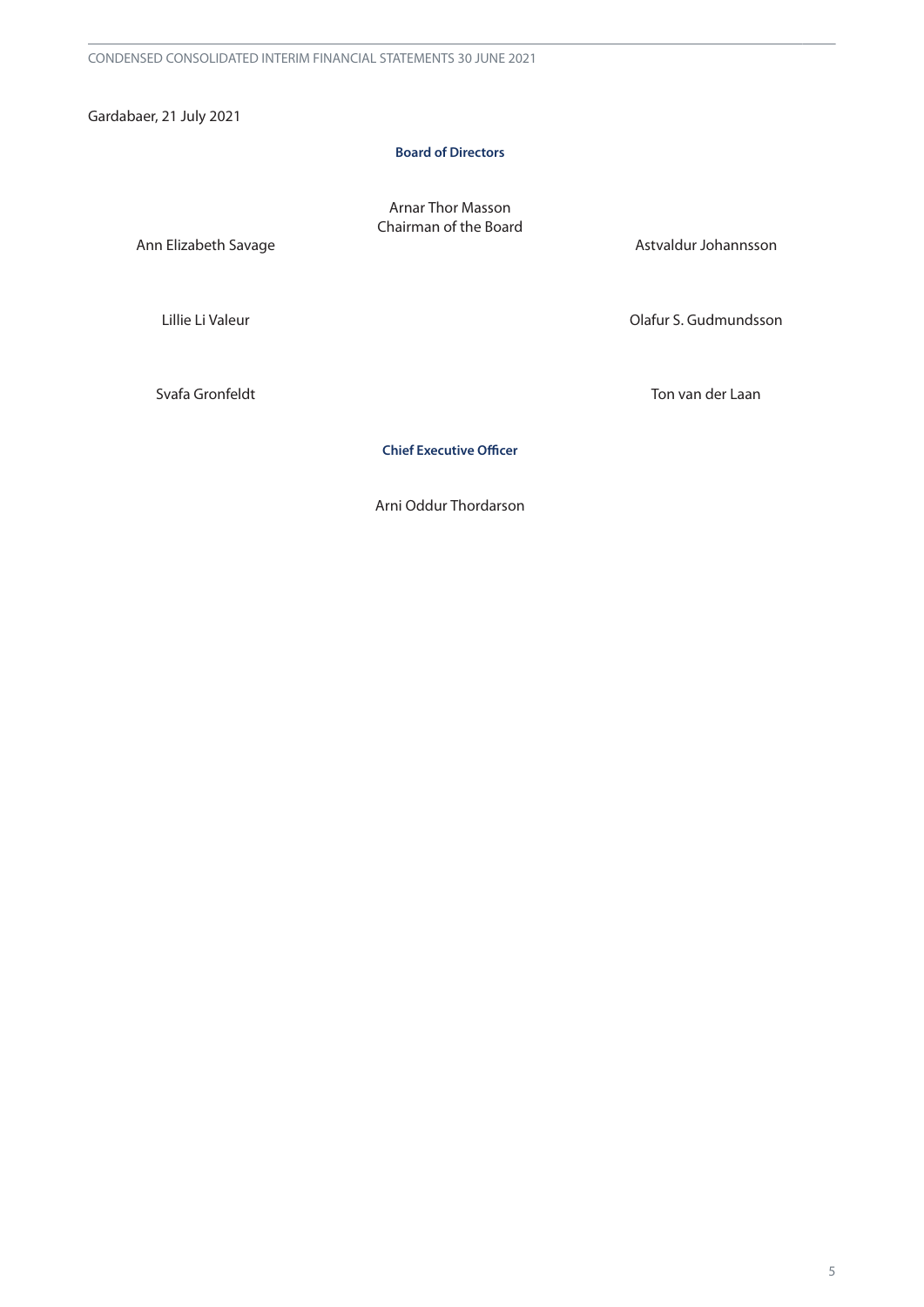Gardabaer, 21 July 2021

#### **Board of Directors**

Arnar Thor Masson Chairman of the Board

Ann Elizabeth Savage

Lillie Li Valeur

Astvaldur Johannsson

Olafur S. Gudmundsson

Svafa Gronfeldt

Ton van der Laan

**Chief Executive Officer**

Arni Oddur Thordarson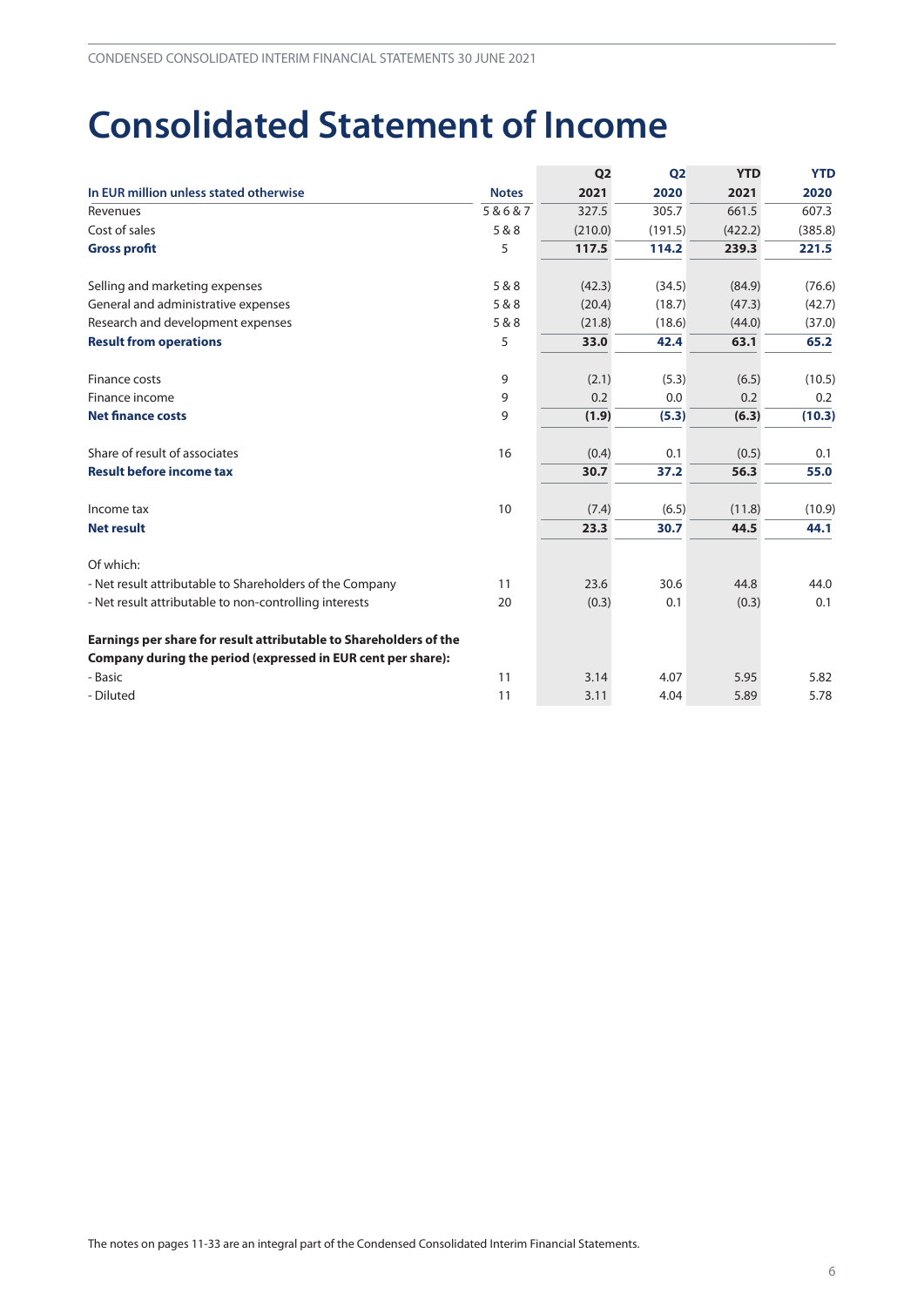### <span id="page-5-0"></span>**Consolidated Statement of Income**

|                                                                   |              | Q <sub>2</sub> | Q <sub>2</sub> | <b>YTD</b> | <b>YTD</b> |
|-------------------------------------------------------------------|--------------|----------------|----------------|------------|------------|
| In EUR million unless stated otherwise                            | <b>Notes</b> | 2021           | 2020           | 2021       | 2020       |
| Revenues                                                          | 5&6&7        | 327.5          | 305.7          | 661.5      | 607.3      |
| Cost of sales                                                     | 5 & 8        | (210.0)        | (191.5)        | (422.2)    | (385.8)    |
| <b>Gross profit</b>                                               | 5            | 117.5          | 114.2          | 239.3      | 221.5      |
| Selling and marketing expenses                                    | 5 & 8        | (42.3)         | (34.5)         | (84.9)     | (76.6)     |
| General and administrative expenses                               | 5 & 8        | (20.4)         | (18.7)         | (47.3)     | (42.7)     |
| Research and development expenses                                 | 5 & 8        | (21.8)         | (18.6)         | (44.0)     | (37.0)     |
| <b>Result from operations</b>                                     | 5            | 33.0           | 42.4           | 63.1       | 65.2       |
| <b>Finance costs</b>                                              | 9            | (2.1)          | (5.3)          | (6.5)      | (10.5)     |
| Finance income                                                    | 9            | 0.2            | 0.0            | 0.2        | 0.2        |
| <b>Net finance costs</b>                                          | 9            | (1.9)          | (5.3)          | (6.3)      | (10.3)     |
| Share of result of associates                                     | 16           | (0.4)          | 0.1            | (0.5)      | 0.1        |
| <b>Result before income tax</b>                                   |              | 30.7           | 37.2           | 56.3       | 55.0       |
| Income tax                                                        | 10           | (7.4)          | (6.5)          | (11.8)     | (10.9)     |
| <b>Net result</b>                                                 |              | 23.3           | 30.7           | 44.5       | 44.1       |
| Of which:                                                         |              |                |                |            |            |
| - Net result attributable to Shareholders of the Company          | 11           | 23.6           | 30.6           | 44.8       | 44.0       |
| - Net result attributable to non-controlling interests            | 20           | (0.3)          | 0.1            | (0.3)      | 0.1        |
| Earnings per share for result attributable to Shareholders of the |              |                |                |            |            |
| Company during the period (expressed in EUR cent per share):      |              |                |                |            |            |
| - Basic                                                           | 11           | 3.14           | 4.07           | 5.95       | 5.82       |
| - Diluted                                                         | 11           | 3.11           | 4.04           | 5.89       | 5.78       |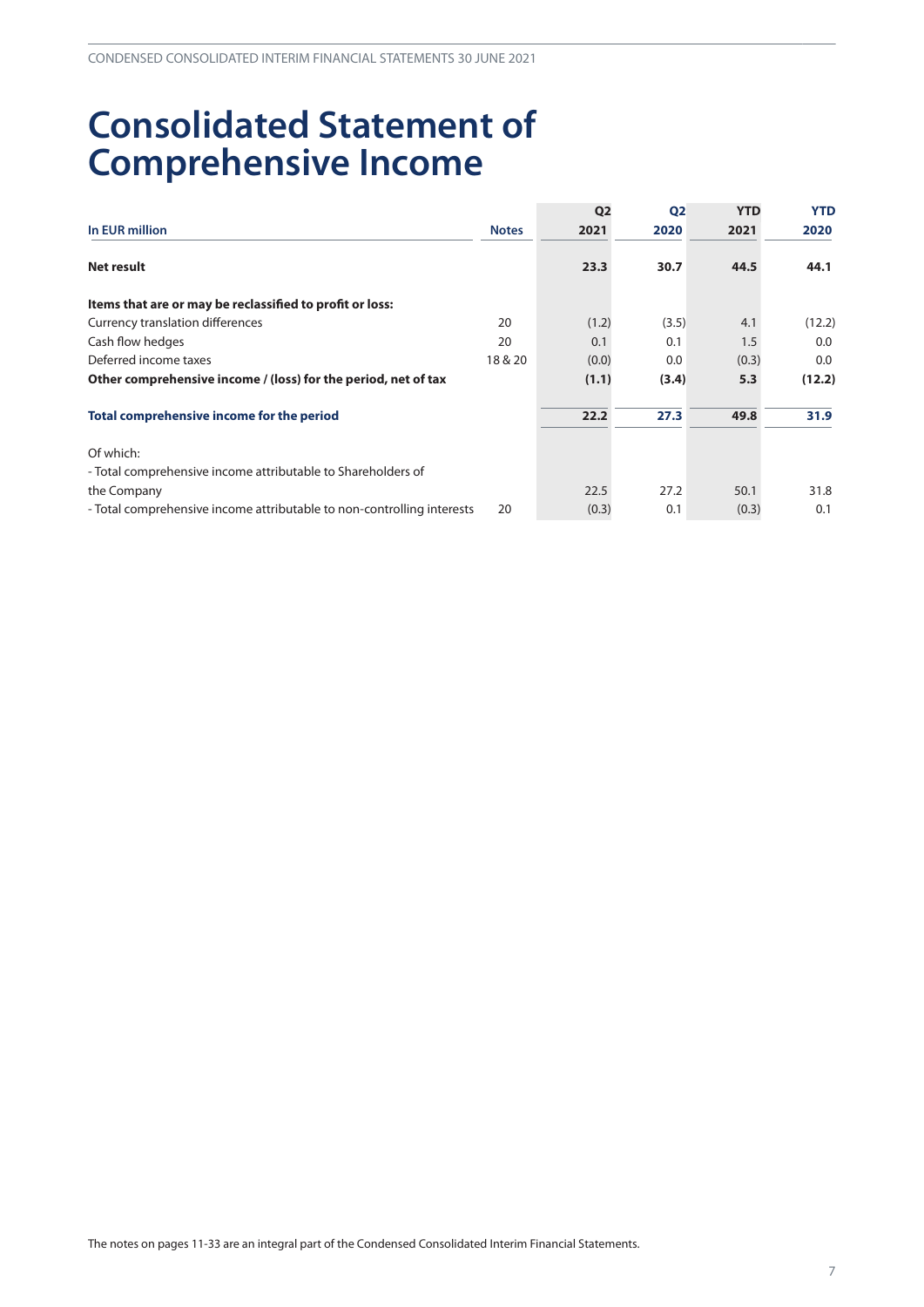### <span id="page-6-0"></span>**Consolidated Statement of Comprehensive Income**

|                                                                        |              | Q <sub>2</sub> | Q <sub>2</sub> | <b>YTD</b> | <b>YTD</b> |
|------------------------------------------------------------------------|--------------|----------------|----------------|------------|------------|
| In EUR million                                                         | <b>Notes</b> | 2021           | 2020           | 2021       | 2020       |
| <b>Net result</b>                                                      |              | 23.3           | 30.7           | 44.5       | 44.1       |
| Items that are or may be reclassified to profit or loss:               |              |                |                |            |            |
| Currency translation differences                                       | 20           | (1.2)          | (3.5)          | 4.1        | (12.2)     |
| Cash flow hedges                                                       | 20           | 0.1            | 0.1            | 1.5        | 0.0        |
| Deferred income taxes                                                  | 18 & 20      | (0.0)          | 0.0            | (0.3)      | 0.0        |
| Other comprehensive income / (loss) for the period, net of tax         |              | (1.1)          | (3.4)          | 5.3        | (12.2)     |
| Total comprehensive income for the period                              |              | 22.2           | 27.3           | 49.8       | 31.9       |
| Of which:                                                              |              |                |                |            |            |
| - Total comprehensive income attributable to Shareholders of           |              |                |                |            |            |
| the Company                                                            |              | 22.5           | 27.2           | 50.1       | 31.8       |
| - Total comprehensive income attributable to non-controlling interests | 20           | (0.3)          | 0.1            | (0.3)      | 0.1        |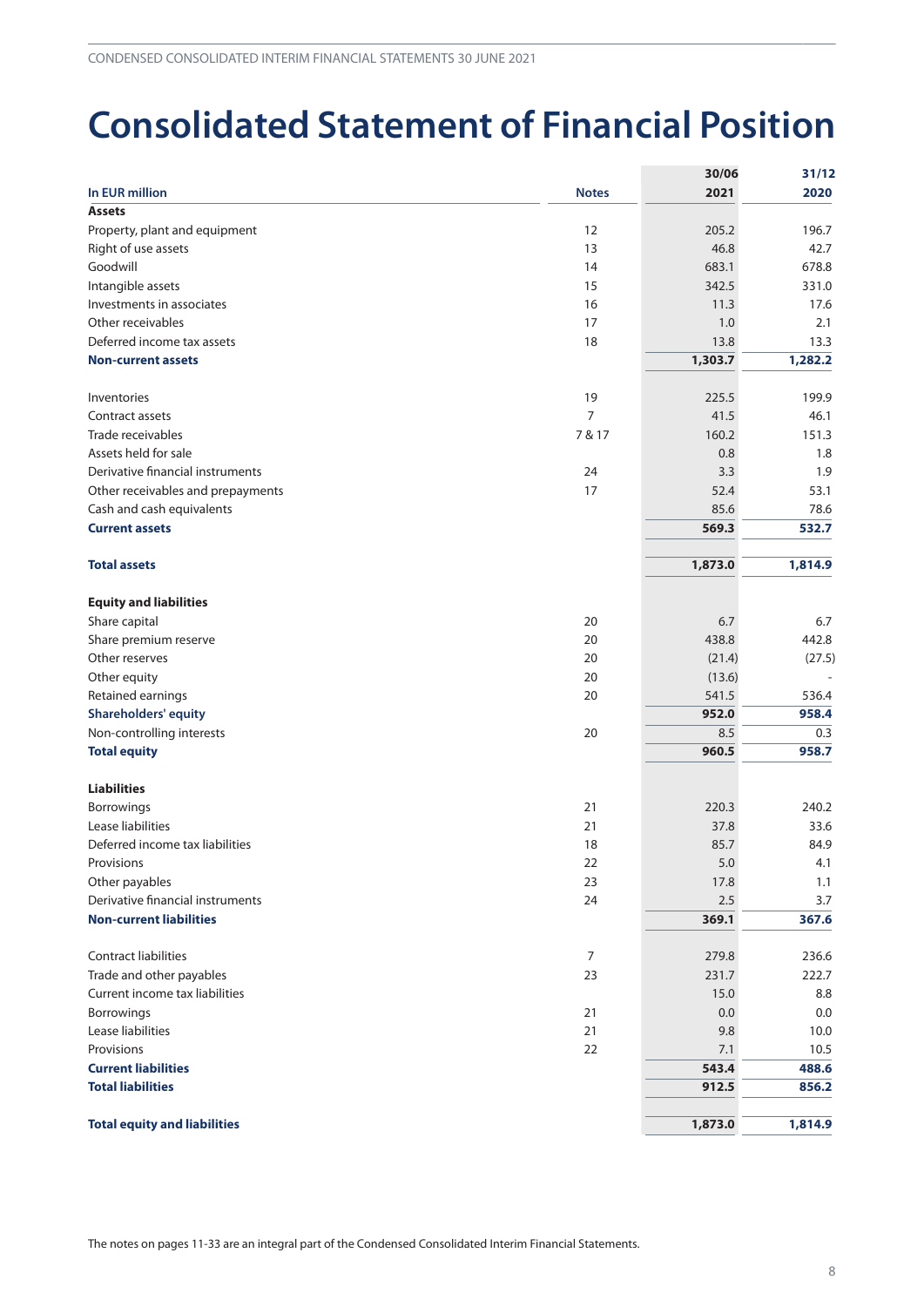### <span id="page-7-0"></span>**Consolidated Statement of Financial Position**

|                                     |                | 30/06   | 31/12   |
|-------------------------------------|----------------|---------|---------|
| In EUR million                      | <b>Notes</b>   | 2021    | 2020    |
| <b>Assets</b>                       |                |         |         |
| Property, plant and equipment       | 12             | 205.2   | 196.7   |
| Right of use assets                 | 13             | 46.8    | 42.7    |
| Goodwill                            | 14             | 683.1   | 678.8   |
| Intangible assets                   | 15             | 342.5   | 331.0   |
| Investments in associates           | 16             | 11.3    | 17.6    |
| Other receivables                   | 17             | 1.0     | 2.1     |
| Deferred income tax assets          | 18             | 13.8    | 13.3    |
| <b>Non-current assets</b>           |                | 1,303.7 | 1,282.2 |
| Inventories                         | 19             | 225.5   | 199.9   |
| Contract assets                     | $\overline{7}$ | 41.5    | 46.1    |
| Trade receivables                   | 7 & 17         | 160.2   | 151.3   |
| Assets held for sale                |                | 0.8     | 1.8     |
| Derivative financial instruments    | 24             | 3.3     | 1.9     |
| Other receivables and prepayments   | 17             | 52.4    | 53.1    |
| Cash and cash equivalents           |                | 85.6    | 78.6    |
| <b>Current assets</b>               |                | 569.3   | 532.7   |
| <b>Total assets</b>                 |                | 1,873.0 | 1,814.9 |
| <b>Equity and liabilities</b>       |                |         |         |
| Share capital                       | 20             | 6.7     | 6.7     |
| Share premium reserve               | 20             | 438.8   | 442.8   |
| Other reserves                      | 20             | (21.4)  | (27.5)  |
| Other equity                        | 20             | (13.6)  |         |
| Retained earnings                   | 20             | 541.5   | 536.4   |
| <b>Shareholders' equity</b>         |                | 952.0   | 958.4   |
| Non-controlling interests           | 20             | 8.5     | 0.3     |
| <b>Total equity</b>                 |                | 960.5   | 958.7   |
| <b>Liabilities</b>                  |                |         |         |
| <b>Borrowings</b>                   | 21             | 220.3   | 240.2   |
| Lease liabilities                   | 21             | 37.8    | 33.6    |
| Deferred income tax liabilities     | 18             | 85.7    | 84.9    |
| Provisions                          | 22             | $5.0\,$ | 4.1     |
| Other payables                      | 23             | 17.8    | 1.1     |
| Derivative financial instruments    | 24             | $2.5\,$ | 3.7     |
| <b>Non-current liabilities</b>      |                | 369.1   | 367.6   |
| Contract liabilities                | $\overline{7}$ | 279.8   | 236.6   |
| Trade and other payables            | 23             | 231.7   | 222.7   |
| Current income tax liabilities      |                | 15.0    | 8.8     |
| Borrowings                          | 21             | 0.0     | 0.0     |
| Lease liabilities                   | 21             | 9.8     | 10.0    |
| Provisions                          | 22             | 7.1     | 10.5    |
| <b>Current liabilities</b>          |                | 543.4   | 488.6   |
| <b>Total liabilities</b>            |                | 912.5   | 856.2   |
| <b>Total equity and liabilities</b> |                | 1,873.0 | 1,814.9 |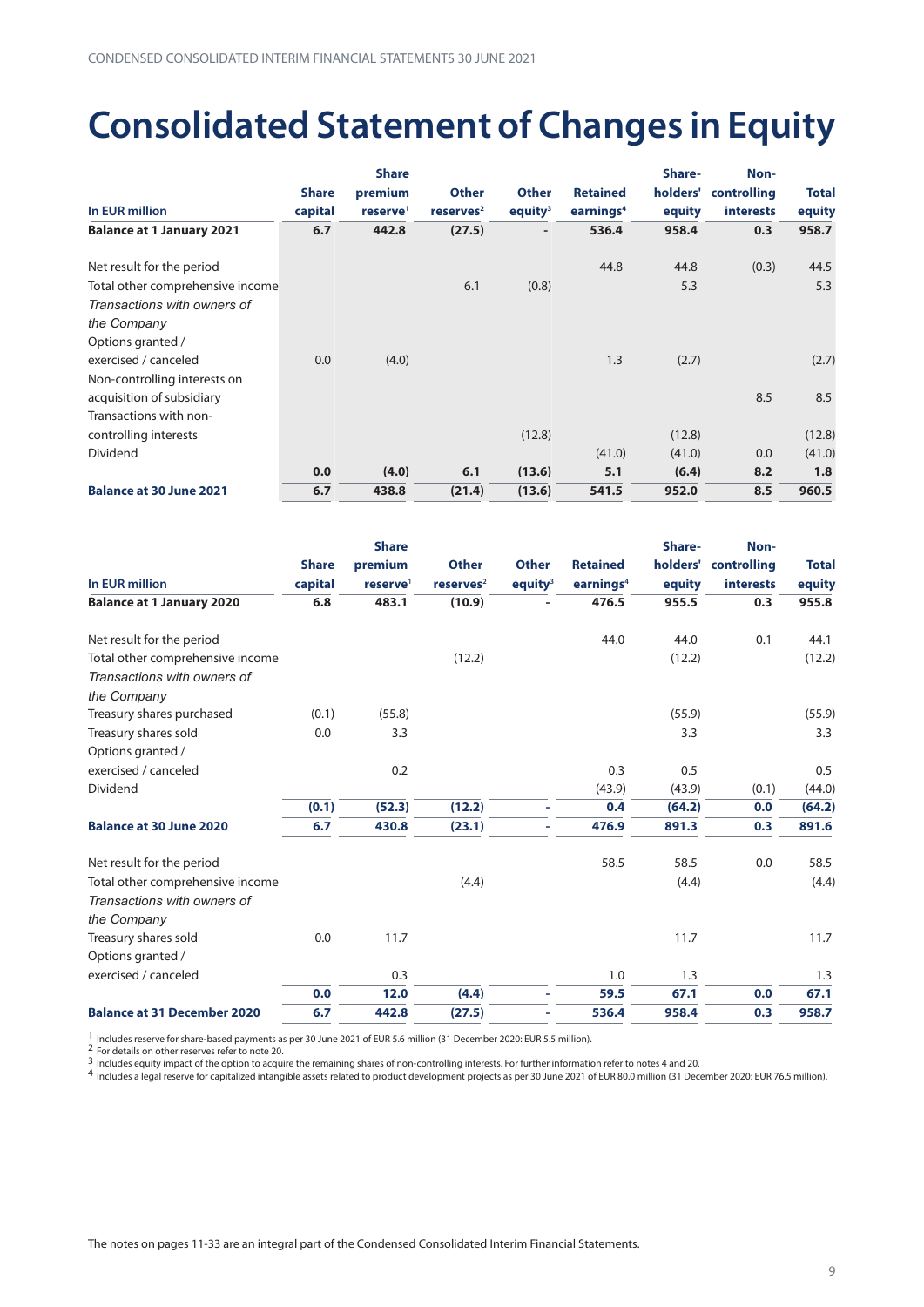### <span id="page-8-0"></span>**Consolidated Statement of Changes in Equity**

|                                  |              | <b>Share</b>         |                       |              |                       | Share-   | Non-             |              |
|----------------------------------|--------------|----------------------|-----------------------|--------------|-----------------------|----------|------------------|--------------|
|                                  | <b>Share</b> | premium              | <b>Other</b>          | <b>Other</b> | <b>Retained</b>       | holders' | controlling      | <b>Total</b> |
| In EUR million                   | capital      | reserve <sup>1</sup> | reserves <sup>2</sup> | equity $3$   | earnings <sup>4</sup> | equity   | <b>interests</b> | equity       |
| <b>Balance at 1 January 2021</b> | 6.7          | 442.8                | (27.5)                |              | 536.4                 | 958.4    | 0.3              | 958.7        |
| Net result for the period        |              |                      |                       |              | 44.8                  | 44.8     | (0.3)            | 44.5         |
| Total other comprehensive income |              |                      | 6.1                   | (0.8)        |                       | 5.3      |                  | 5.3          |
| Transactions with owners of      |              |                      |                       |              |                       |          |                  |              |
| the Company                      |              |                      |                       |              |                       |          |                  |              |
| Options granted /                |              |                      |                       |              |                       |          |                  |              |
| exercised / canceled             | 0.0          | (4.0)                |                       |              | 1.3                   | (2.7)    |                  | (2.7)        |
| Non-controlling interests on     |              |                      |                       |              |                       |          |                  |              |
| acquisition of subsidiary        |              |                      |                       |              |                       |          | 8.5              | 8.5          |
| Transactions with non-           |              |                      |                       |              |                       |          |                  |              |
| controlling interests            |              |                      |                       | (12.8)       |                       | (12.8)   |                  | (12.8)       |
| Dividend                         |              |                      |                       |              | (41.0)                | (41.0)   | 0.0              | (41.0)       |
|                                  | 0.0          | (4.0)                | 6.1                   | (13.6)       | 5.1                   | (6.4)    | 8.2              | 1.8          |
| <b>Balance at 30 June 2021</b>   | 6.7          | 438.8                | (21.4)                | (13.6)       | 541.5                 | 952.0    | 8.5              | 960.5        |

|                                    |              | <b>Share</b>         |                       |              |                       | Share- | Non-                 |              |
|------------------------------------|--------------|----------------------|-----------------------|--------------|-----------------------|--------|----------------------|--------------|
|                                    | <b>Share</b> | premium              | <b>Other</b>          | <b>Other</b> | <b>Retained</b>       |        | holders' controlling | <b>Total</b> |
| In EUR million                     | capital      | reserve <sup>1</sup> | reserves <sup>2</sup> | equity $3$   | earnings <sup>4</sup> | equity | <b>interests</b>     | equity       |
| <b>Balance at 1 January 2020</b>   | 6.8          | 483.1                | (10.9)                |              | 476.5                 | 955.5  | 0.3                  | 955.8        |
| Net result for the period          |              |                      |                       |              | 44.0                  | 44.0   | 0.1                  | 44.1         |
| Total other comprehensive income   |              |                      | (12.2)                |              |                       | (12.2) |                      | (12.2)       |
| Transactions with owners of        |              |                      |                       |              |                       |        |                      |              |
| the Company                        |              |                      |                       |              |                       |        |                      |              |
| Treasury shares purchased          | (0.1)        | (55.8)               |                       |              |                       | (55.9) |                      | (55.9)       |
| Treasury shares sold               | 0.0          | 3.3                  |                       |              |                       | 3.3    |                      | 3.3          |
| Options granted /                  |              |                      |                       |              |                       |        |                      |              |
| exercised / canceled               |              | 0.2                  |                       |              | 0.3                   | 0.5    |                      | 0.5          |
| Dividend                           |              |                      |                       |              | (43.9)                | (43.9) | (0.1)                | (44.0)       |
|                                    | (0.1)        | (52.3)               | (12.2)                |              | 0.4                   | (64.2) | 0.0                  | (64.2)       |
| <b>Balance at 30 June 2020</b>     | 6.7          | 430.8                | (23.1)                |              | 476.9                 | 891.3  | 0.3                  | 891.6        |
| Net result for the period          |              |                      |                       |              | 58.5                  | 58.5   | 0.0                  | 58.5         |
| Total other comprehensive income   |              |                      | (4.4)                 |              |                       | (4.4)  |                      | (4.4)        |
| Transactions with owners of        |              |                      |                       |              |                       |        |                      |              |
| the Company                        |              |                      |                       |              |                       |        |                      |              |
| Treasury shares sold               | 0.0          | 11.7                 |                       |              |                       | 11.7   |                      | 11.7         |
| Options granted /                  |              |                      |                       |              |                       |        |                      |              |
| exercised / canceled               |              | 0.3                  |                       |              | 1.0                   | 1.3    |                      | 1.3          |
|                                    | 0.0          | 12.0                 | (4.4)                 | ÷,           | 59.5                  | 67.1   | 0.0                  | 67.1         |
| <b>Balance at 31 December 2020</b> | 6.7          | 442.8                | (27.5)                |              | 536.4                 | 958.4  | 0.3                  | 958.7        |

1 Includes reserve for share-based payments as per 30 June 2021 of EUR 5.6 million (31 December 2020: EUR 5.5 million).

<sup>2</sup> For details on other reserves refer to note 20.

<sup>3</sup> Includes equity impact of the option to acquire the remaining shares of non-controlling interests. For further information refer to notes 4 and 20.

4 Includes a legal reserve for capitalized intangible assets related to product development projects as per 30 June 2021 of EUR 80.0 million (31 December 2020: EUR 76.5 million).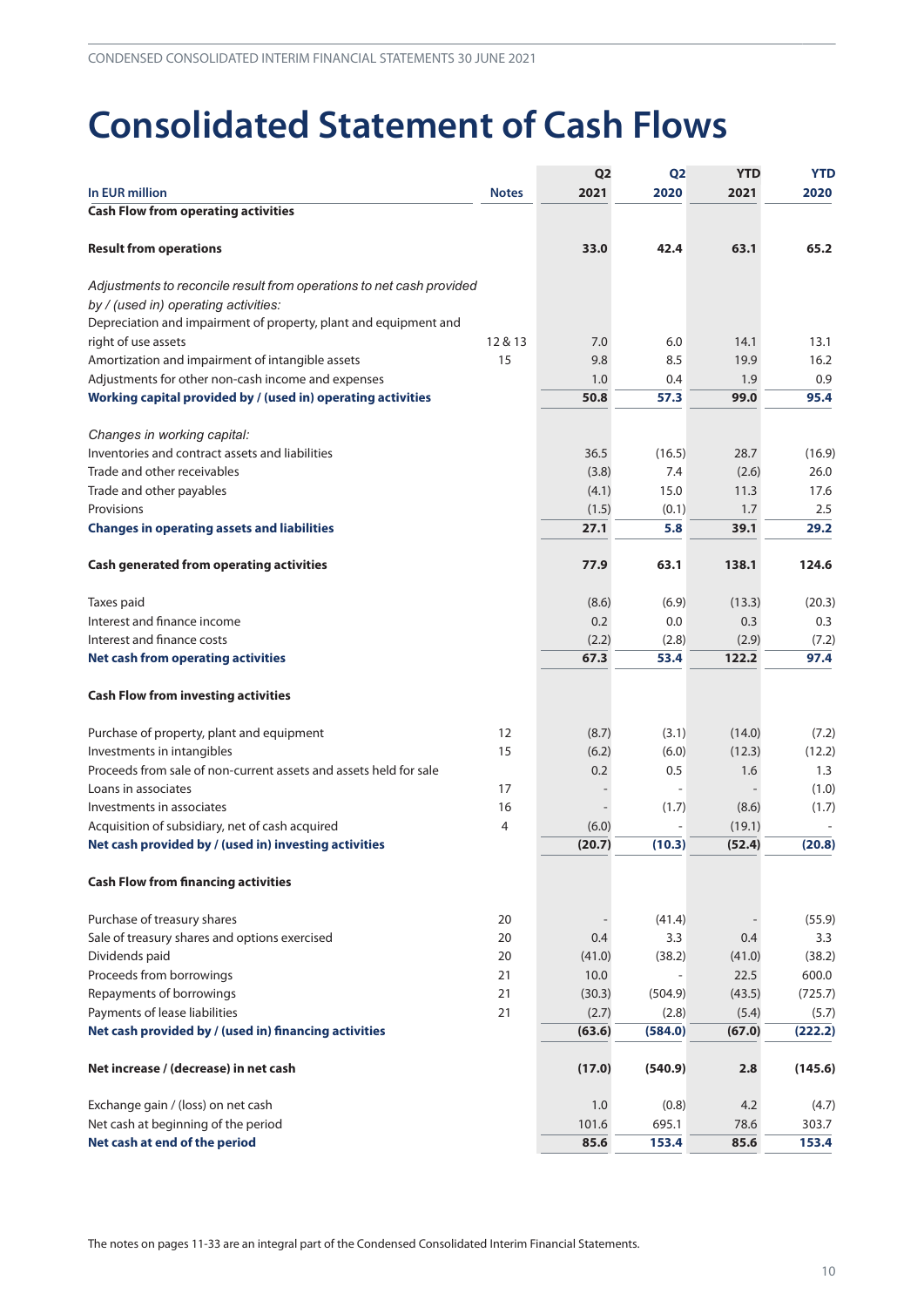# <span id="page-9-0"></span>**Consolidated Statement of Cash Flows**

|                                                                                |              | Q <sub>2</sub> | Q <sub>2</sub> | <b>YTD</b> | <b>YTD</b> |
|--------------------------------------------------------------------------------|--------------|----------------|----------------|------------|------------|
| In EUR million                                                                 | <b>Notes</b> | 2021           | 2020           | 2021       | 2020       |
| <b>Cash Flow from operating activities</b>                                     |              |                |                |            |            |
| <b>Result from operations</b>                                                  |              | 33.0           | 42.4           | 63.1       | 65.2       |
|                                                                                |              |                |                |            |            |
| Adjustments to reconcile result from operations to net cash provided           |              |                |                |            |            |
| by / (used in) operating activities:                                           |              |                |                |            |            |
| Depreciation and impairment of property, plant and equipment and               |              |                |                |            |            |
| right of use assets                                                            | 12 & 13      | 7.0            | 6.0            | 14.1       | 13.1       |
| Amortization and impairment of intangible assets                               | 15           | 9.8            | 8.5            | 19.9       | 16.2       |
| Adjustments for other non-cash income and expenses                             |              | 1.0            | 0.4            | 1.9        | 0.9        |
| Working capital provided by / (used in) operating activities                   |              | 50.8           | 57.3           | 99.0       | 95.4       |
|                                                                                |              |                |                |            |            |
| Changes in working capital:<br>Inventories and contract assets and liabilities |              |                |                |            |            |
|                                                                                |              | 36.5           | (16.5)         | 28.7       | (16.9)     |
| Trade and other receivables                                                    |              | (3.8)          | 7.4            | (2.6)      | 26.0       |
| Trade and other payables                                                       |              | (4.1)          | 15.0           | 11.3       | 17.6       |
| Provisions                                                                     |              | (1.5)          | (0.1)          | 1.7        | 2.5        |
| <b>Changes in operating assets and liabilities</b>                             |              | 27.1           | 5.8            | 39.1       | 29.2       |
| <b>Cash generated from operating activities</b>                                |              | 77.9           | 63.1           | 138.1      | 124.6      |
| Taxes paid                                                                     |              | (8.6)          | (6.9)          | (13.3)     | (20.3)     |
| Interest and finance income                                                    |              | 0.2            | 0.0            | 0.3        | 0.3        |
| Interest and finance costs                                                     |              | (2.2)          | (2.8)          | (2.9)      | (7.2)      |
| <b>Net cash from operating activities</b>                                      |              | 67.3           | 53.4           | 122.2      | 97.4       |
| <b>Cash Flow from investing activities</b>                                     |              |                |                |            |            |
|                                                                                |              |                |                |            |            |
| Purchase of property, plant and equipment                                      | 12           | (8.7)          | (3.1)          | (14.0)     | (7.2)      |
| Investments in intangibles                                                     | 15           | (6.2)          | (6.0)          | (12.3)     | (12.2)     |
| Proceeds from sale of non-current assets and assets held for sale              |              | 0.2            | 0.5            | 1.6        | 1.3        |
| Loans in associates                                                            | 17           |                |                |            | (1.0)      |
| Investments in associates                                                      | 16           |                | (1.7)          | (8.6)      | (1.7)      |
| Acquisition of subsidiary, net of cash acquired                                | 4            | (6.0)          |                | (19.1)     |            |
| Net cash provided by / (used in) investing activities                          |              | (20.7)         | (10.3)         | (52.4)     | (20.8)     |
| <b>Cash Flow from financing activities</b>                                     |              |                |                |            |            |
| Purchase of treasury shares                                                    | 20           |                | (41.4)         |            | (55.9)     |
| Sale of treasury shares and options exercised                                  | 20           | 0.4            | 3.3            | 0.4        | 3.3        |
| Dividends paid                                                                 | 20           | (41.0)         | (38.2)         | (41.0)     | (38.2)     |
| Proceeds from borrowings                                                       | 21           | 10.0           |                | 22.5       | 600.0      |
| Repayments of borrowings                                                       | 21           | (30.3)         | (504.9)        | (43.5)     | (725.7)    |
| Payments of lease liabilities                                                  | 21           | (2.7)          | (2.8)          | (5.4)      | (5.7)      |
| Net cash provided by / (used in) financing activities                          |              | (63.6)         | (584.0)        | (67.0)     | (222.2)    |
| Net increase / (decrease) in net cash                                          |              | (17.0)         | (540.9)        | 2.8        | (145.6)    |
|                                                                                |              |                |                |            |            |
| Exchange gain / (loss) on net cash                                             |              | 1.0            | (0.8)          | 4.2        | (4.7)      |
| Net cash at beginning of the period                                            |              | 101.6          | 695.1          | 78.6       | 303.7      |
| Net cash at end of the period                                                  |              | 85.6           | 153.4          | 85.6       | 153.4      |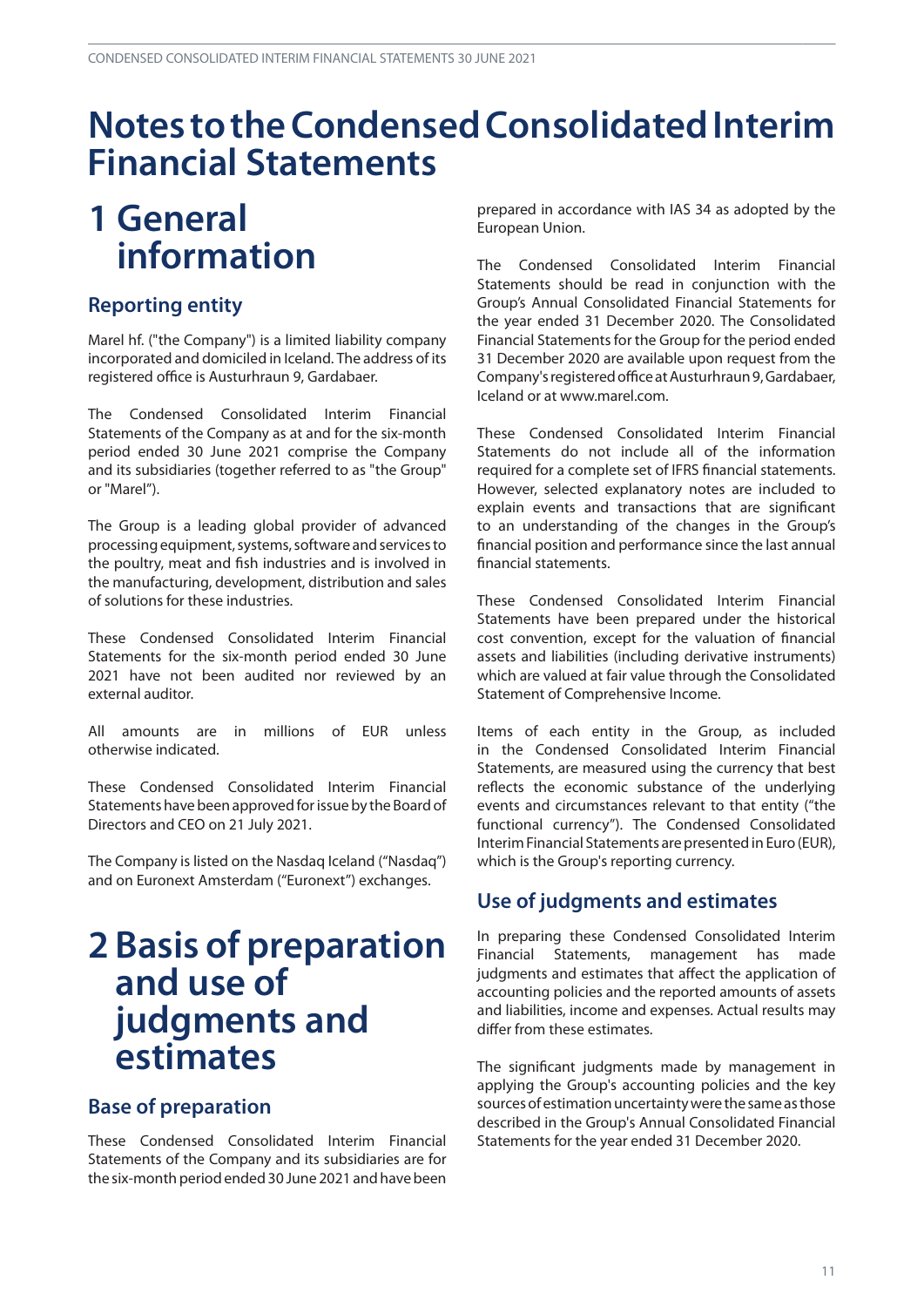### <span id="page-10-0"></span>**Notes totheCondensedConsolidatedInterim Financial Statements**

### **1 General information**

### **Reporting entity**

Marel hf. ("the Company") is a limited liability company incorporated and domiciled in Iceland. The address of its registered office is Austurhraun 9, Gardabaer.

The Condensed Consolidated Interim Financial Statements of the Company as at and for the six-month period ended 30 June 2021 comprise the Company and its subsidiaries (together referred to as "the Group" or "Marel").

The Group is a leading global provider of advanced processing equipment, systems, software and services to the poultry, meat and fish industries and is involved in the manufacturing, development, distribution and sales of solutions for these industries.

These Condensed Consolidated Interim Financial Statements for the six-month period ended 30 June 2021 have not been audited nor reviewed by an external auditor.

All amounts are in millions of EUR unless otherwise indicated.

These Condensed Consolidated Interim Financial Statements have been approved for issue by the Board of Directors and CEO on 21 July 2021.

The Company is listed on the Nasdaq Iceland ("Nasdaq") and on Euronext Amsterdam (''Euronext'') exchanges.

### **2 Basis of preparation and use of judgments and estimates**

#### **Base of preparation**

These Condensed Consolidated Interim Financial Statements of the Company and its subsidiaries are for the six-month period ended 30 June 2021 and have been

prepared in accordance with IAS 34 as adopted by the European Union.

The Condensed Consolidated Interim Financial Statements should be read in conjunction with the Group's Annual Consolidated Financial Statements for the year ended 31 December 2020. The Consolidated Financial Statements for the Group for the period ended 31 December 2020 are available upon request from the Company'sregisteredofficeatAusturhraun9,Gardabaer, Iceland or at [www.marel.com.](https://www.marel.com)

These Condensed Consolidated Interim Financial Statements do not include all of the information required for a complete set of IFRS financial statements. However, selected explanatory notes are included to explain events and transactions that are significant to an understanding of the changes in the Group's financial position and performance since the last annual financial statements.

These Condensed Consolidated Interim Financial Statements have been prepared under the historical cost convention, except for the valuation of financial assets and liabilities (including derivative instruments) which are valued at fair value through the Consolidated Statement of Comprehensive Income.

Items of each entity in the Group, as included in the Condensed Consolidated Interim Financial Statements, are measured using the currency that best reflects the economic substance of the underlying events and circumstances relevant to that entity ("the functional currency"). The Condensed Consolidated Interim Financial Statements are presented in Euro (EUR), which is the Group's reporting currency.

#### **Use of judgments and estimates**

In preparing these Condensed Consolidated Interim Financial Statements, management has made judgments and estimates that affect the application of accounting policies and the reported amounts of assets and liabilities, income and expenses. Actual results may differ from these estimates.

The significant judgments made by management in applying the Group's accounting policies and the key sources of estimation uncertainty were the same as those described in the Group's Annual Consolidated Financial Statements for the year ended 31 December 2020.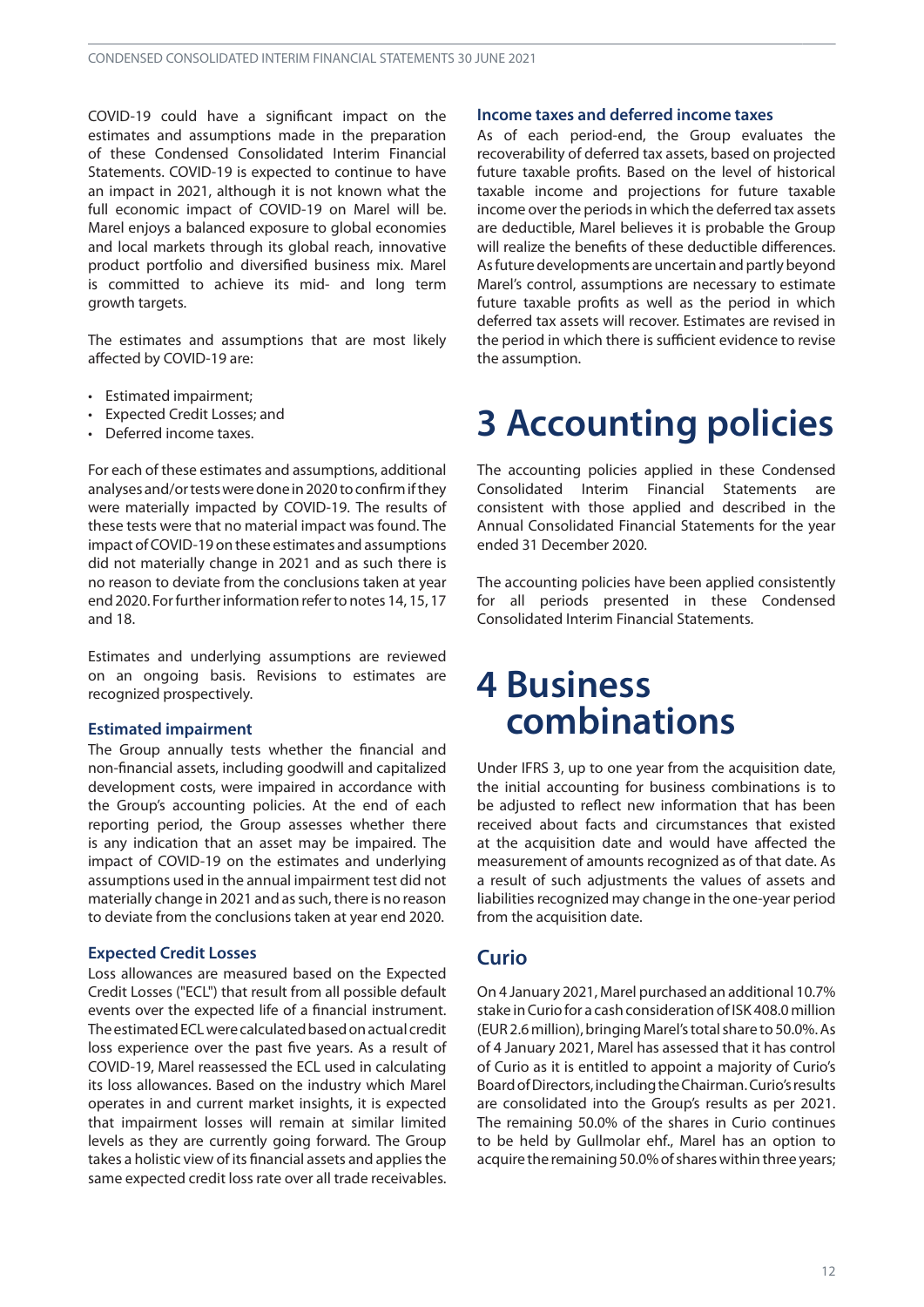<span id="page-11-0"></span>COVID-19 could have a significant impact on the estimates and assumptions made in the preparation of these Condensed Consolidated Interim Financial Statements. COVID-19 is expected to continue to have an impact in 2021, although it is not known what the full economic impact of COVID-19 on Marel will be. Marel enjoys a balanced exposure to global economies and local markets through its global reach, innovative product portfolio and diversified business mix. Marel is committed to achieve its mid- and long term growth targets.

The estimates and assumptions that are most likely affected by COVID-19 are:

- Estimated impairment;
- Expected Credit Losses; and
- Deferred income taxes.

For each of these estimates and assumptions, additional analyses and/or tests were done in 2020 to confirm if they were materially impacted by COVID-19. The results of these tests were that no material impact was found. The impact ofCOVID-19 on these estimates and assumptions did not materially change in 2021 and as such there is no reason to deviate from the conclusions taken at year end 2020. For further information refer to notes 14, 15, 17 and 18.

Estimates and underlying assumptions are reviewed on an ongoing basis. Revisions to estimates are recognized prospectively.

#### **Estimated impairment**

The Group annually tests whether the financial and non-financial assets, including goodwill and capitalized development costs, were impaired in accordance with the Group's accounting policies. At the end of each reporting period, the Group assesses whether there is any indication that an asset may be impaired. The impact of COVID-19 on the estimates and underlying assumptions used in the annual impairment test did not materially change in 2021 and as such, there is no reason to deviate from the conclusions taken at year end 2020.

#### **Expected Credit Losses**

Loss allowances are measured based on the Expected Credit Losses ("ECL") that result from all possible default events over the expected life of a financial instrument. The estimated ECL were calculated based on actual credit loss experience over the past five years. As a result of COVID-19, Marel reassessed the ECL used in calculating its loss allowances. Based on the industry which Marel operates in and current market insights, it is expected that impairment losses will remain at similar limited levels as they are currently going forward. The Group takes a holistic view of its financial assets and appliesthe same expected credit loss rate over all trade receivables.

#### **Income taxes and deferred income taxes**

As of each period-end, the Group evaluates the recoverability of deferred tax assets, based on projected future taxable profits. Based on the level of historical taxable income and projections for future taxable income over the periods in which the deferred tax assets are deductible, Marel believes it is probable the Group will realize the benefits of these deductible differences. Asfuture developments are uncertain and partly beyond Marel's control, assumptions are necessary to estimate future taxable profits as well as the period in which deferred tax assets will recover. Estimates are revised in the period in which there is sufficient evidence to revise the assumption.

### **3 Accounting policies**

The accounting policies applied in these Condensed Consolidated Interim Financial Statements are consistent with those applied and described in the Annual Consolidated Financial Statements for the year ended 31 December 2020.

The accounting policies have been applied consistently for all periods presented in these Condensed Consolidated Interim Financial Statements.

### **4 Business combinations**

Under IFRS 3, up to one year from the acquisition date, the initial accounting for business combinations is to be adjusted to reflect new information that has been received about facts and circumstances that existed at the acquisition date and would have affected the measurement of amounts recognized as of that date. As a result of such adjustments the values of assets and liabilities recognized may change in the one-year period from the acquisition date.

#### **Curio**

On 4 January 2021, Marel purchased an additional 10.7% stake in Curio for a cash consideration of ISK 408.0 million (EUR 2.6million),bringing Marel'stotalshare to 50.0%.As of 4 January 2021, Marel has assessed that it has control of Curio as it is entitled to appoint a majority of Curio's BoardofDirectors,includingtheChairman.Curio'sresults are consolidated into the Group's results as per 2021. The remaining 50.0% of the shares in Curio continues to be held by Gullmolar ehf., Marel has an option to acquire the remaining 50.0% of shares within three years;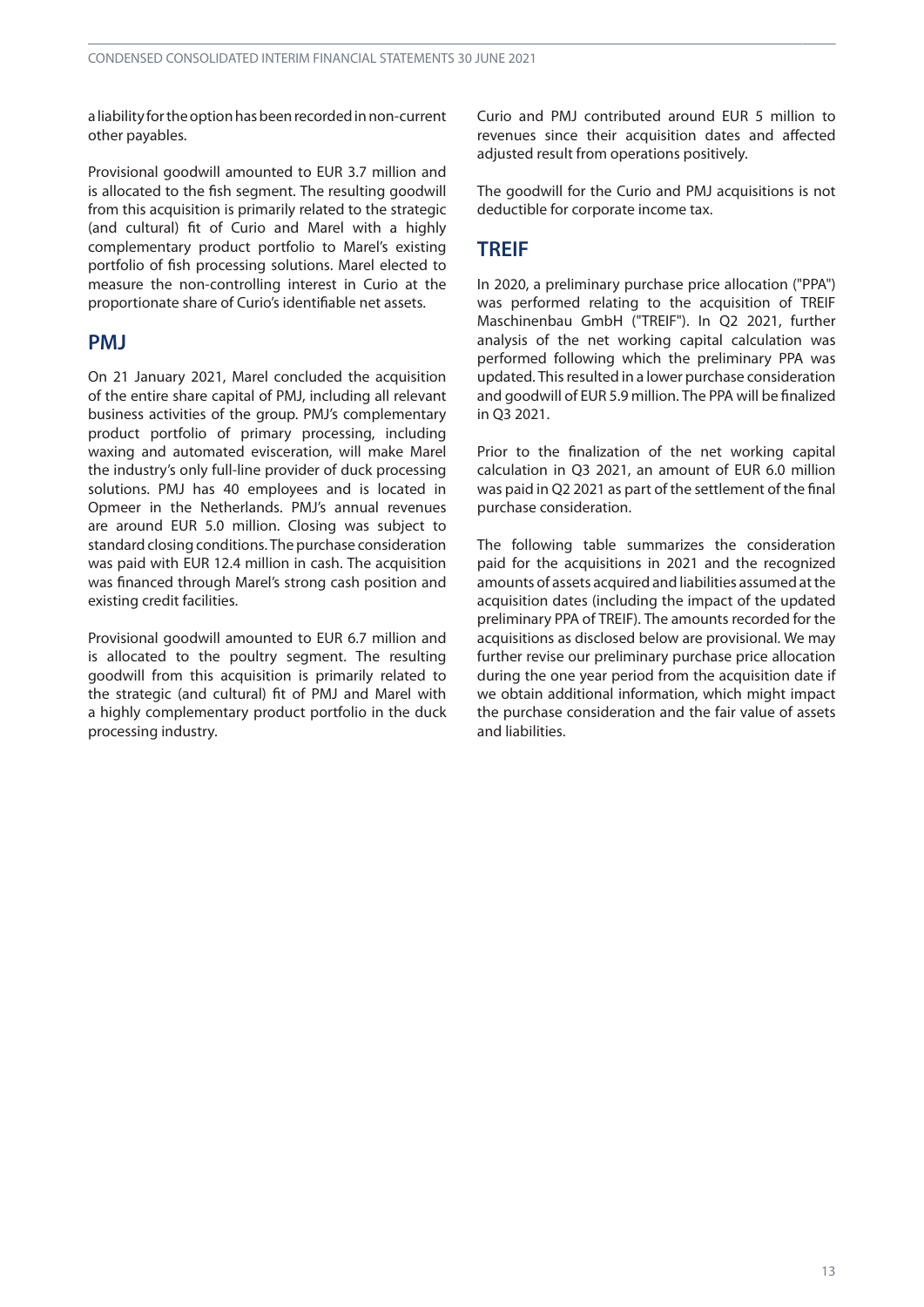a liability for the option has been recorded in non-current other payables.

Provisional goodwill amounted to EUR 3.7 million and is allocated to the fish segment. The resulting goodwill from this acquisition is primarily related to the strategic (and cultural) fit of Curio and Marel with a highly complementary product portfolio to Marel's existing portfolio of fish processing solutions. Marel elected to measure the non-controlling interest in Curio at the proportionate share of Curio's identifiable net assets.

#### **PMJ**

On 21 January 2021, Marel concluded the acquisition of the entire share capital of PMJ, including all relevant business activities of the group. PMJ's complementary product portfolio of primary processing, including waxing and automated evisceration, will make Marel the industry's only full-line provider of duck processing solutions. PMJ has 40 employees and is located in Opmeer in the Netherlands. PMJ's annual revenues are around EUR 5.0 million. Closing was subject to standard closing conditions. The purchase consideration was paid with EUR 12.4 million in cash. The acquisition was financed through Marel's strong cash position and existing credit facilities.

Provisional goodwill amounted to EUR 6.7 million and is allocated to the poultry segment. The resulting goodwill from this acquisition is primarily related to the strategic (and cultural) fit of PMJ and Marel with a highly complementary product portfolio in the duck processing industry.

Curio and PMJ contributed around EUR 5 million to revenues since their acquisition dates and affected adjusted result from operations positively.

The goodwill for the Curio and PMJ acquisitions is not deductible for corporate income tax.

#### **TREIF**

In 2020, a preliminary purchase price allocation ("PPA") was performed relating to the acquisition of TREIF Maschinenbau GmbH ("TREIF"). In Q2 2021, further analysis of the net working capital calculation was performed following which the preliminary PPA was updated. This resulted in a lower purchase consideration and goodwill of EUR 5.9 million. The PPA will be finalized in Q3 2021.

Prior to the finalization of the net working capital calculation in Q3 2021, an amount of EUR 6.0 million was paid in Q2 2021 as part of the settlement of the final purchase consideration.

The following table summarizes the consideration paid for the acquisitions in 2021 and the recognized amounts of assets acquired and liabilities assumed at the acquisition dates (including the impact of the updated preliminary PPA of TREIF). The amounts recorded for the acquisitions as disclosed below are provisional. We may further revise our preliminary purchase price allocation during the one year period from the acquisition date if we obtain additional information, which might impact the purchase consideration and the fair value of assets and liabilities.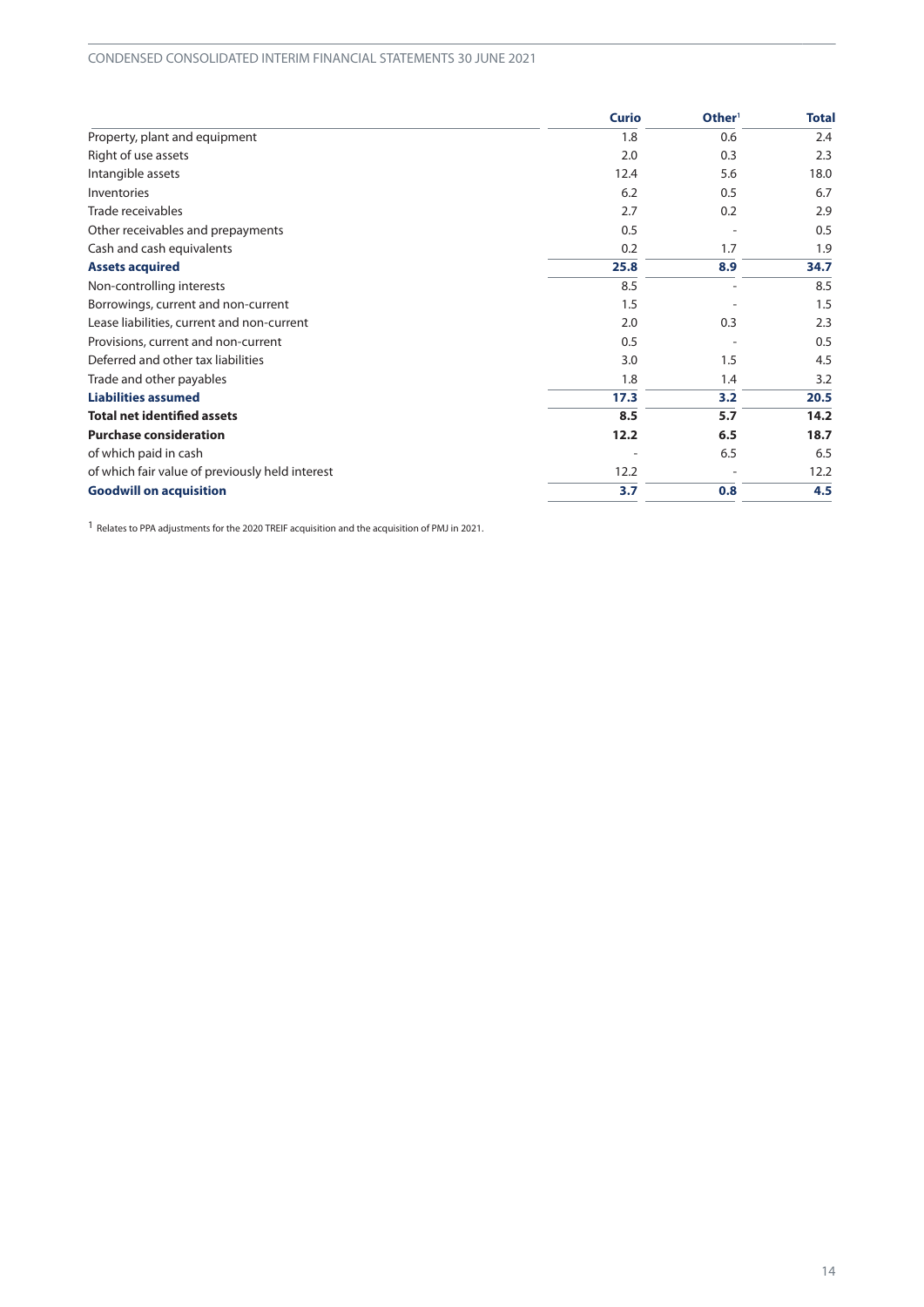| Property, plant and equipment<br>Right of use assets<br>Intangible assets<br>Inventories<br>Trade receivables<br>Other receivables and prepayments | 1.8<br>2.0<br>12.4<br>6.2<br>2.7<br>0.5 | 0.6<br>0.3<br>5.6<br>0.5<br>0.2 | 2.4<br>2.3<br>18.0<br>6.7<br>2.9 |
|----------------------------------------------------------------------------------------------------------------------------------------------------|-----------------------------------------|---------------------------------|----------------------------------|
|                                                                                                                                                    |                                         |                                 |                                  |
|                                                                                                                                                    |                                         |                                 |                                  |
|                                                                                                                                                    |                                         |                                 |                                  |
|                                                                                                                                                    |                                         |                                 |                                  |
|                                                                                                                                                    |                                         |                                 |                                  |
|                                                                                                                                                    |                                         |                                 | 0.5                              |
| Cash and cash equivalents                                                                                                                          | 0.2                                     | 1.7                             | 1.9                              |
| <b>Assets acquired</b>                                                                                                                             | 25.8                                    | 8.9                             | 34.7                             |
| Non-controlling interests                                                                                                                          | 8.5                                     |                                 | 8.5                              |
| Borrowings, current and non-current                                                                                                                | 1.5                                     |                                 | 1.5                              |
| Lease liabilities, current and non-current                                                                                                         | 2.0                                     | 0.3                             | 2.3                              |
| Provisions, current and non-current                                                                                                                | 0.5                                     |                                 | 0.5                              |
| Deferred and other tax liabilities                                                                                                                 | 3.0                                     | 1.5                             | 4.5                              |
| Trade and other payables                                                                                                                           | 1.8                                     | 1.4                             | 3.2                              |
| <b>Liabilities assumed</b>                                                                                                                         | 17.3                                    | 3.2                             | 20.5                             |
| <b>Total net identified assets</b>                                                                                                                 | 8.5                                     | 5.7                             | 14.2                             |
| <b>Purchase consideration</b>                                                                                                                      | 12.2                                    | 6.5                             | 18.7                             |
| of which paid in cash                                                                                                                              |                                         | 6.5                             | 6.5                              |
| of which fair value of previously held interest                                                                                                    | 12.2                                    |                                 | 12.2                             |
| <b>Goodwill on acquisition</b>                                                                                                                     | 3.7                                     | 0.8                             | 4.5                              |

1 Relates to PPA adjustments for the 2020 TREIF acquisition and the acquisition of PMJ in 2021.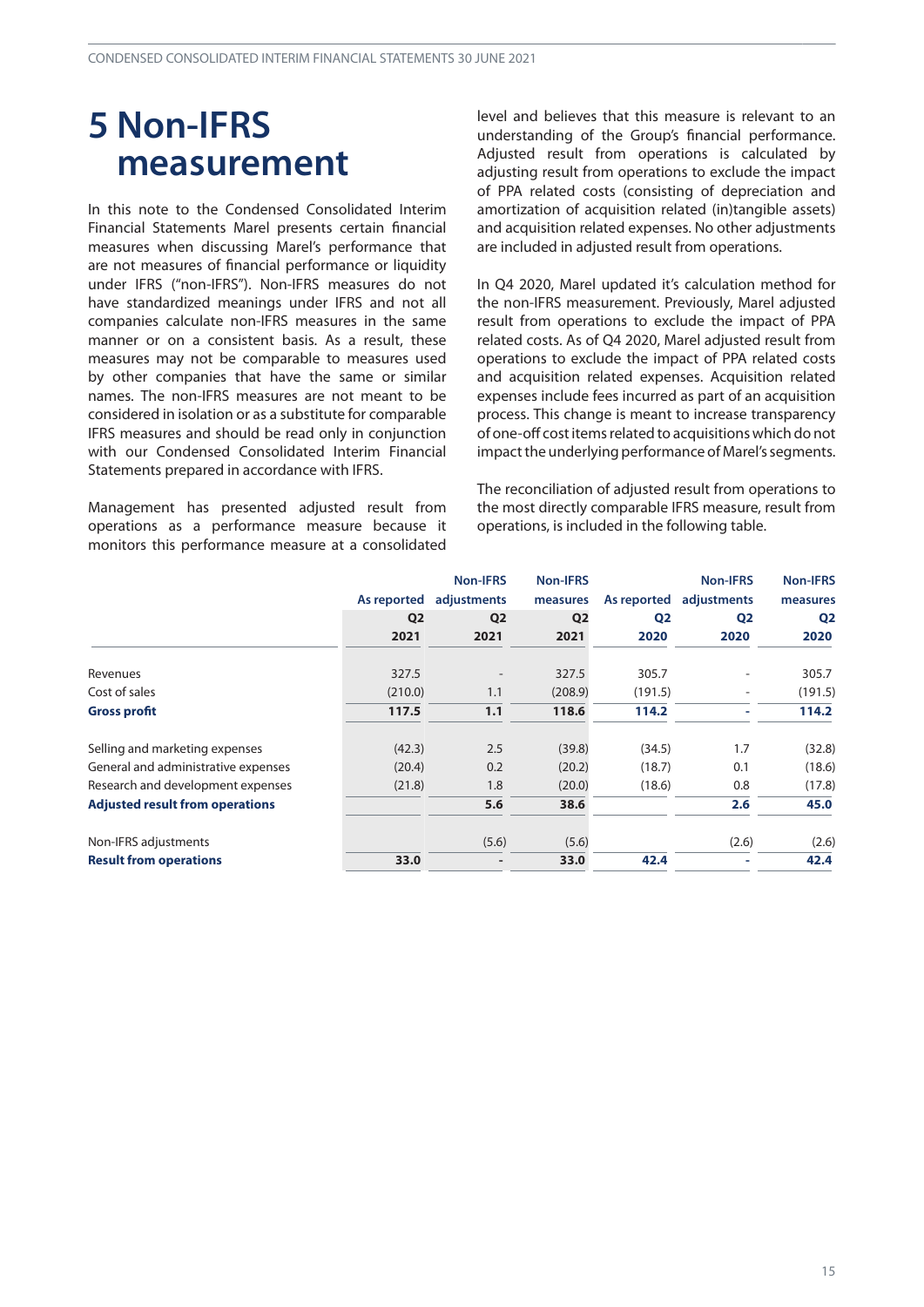### <span id="page-14-0"></span>**5 Non-IFRS measurement**

In this note to the Condensed Consolidated Interim Financial Statements Marel presents certain financial measures when discussing Marel's performance that are not measures of financial performance or liquidity under IFRS ("non-IFRS"). Non-IFRS measures do not have standardized meanings under IFRS and not all companies calculate non-IFRS measures in the same manner or on a consistent basis. As a result, these measures may not be comparable to measures used by other companies that have the same or similar names. The non-IFRS measures are not meant to be considered in isolation or as a substitute for comparable IFRS measures and should be read only in conjunction with our Condensed Consolidated Interim Financial Statements prepared in accordance with IFRS.

Management has presented adjusted result from operations as a performance measure because it monitors this performance measure at a consolidated

level and believes that this measure is relevant to an understanding of the Group's financial performance. Adjusted result from operations is calculated by adjusting result from operations to exclude the impact of PPA related costs (consisting of depreciation and amortization of acquisition related (in)tangible assets) and acquisition related expenses. No other adjustments are included in adjusted result from operations.

In Q4 2020, Marel updated it's calculation method for the non-IFRS measurement. Previously, Marel adjusted result from operations to exclude the impact of PPA related costs. As of Q4 2020, Marel adjusted result from operations to exclude the impact of PPA related costs and acquisition related expenses. Acquisition related expenses include fees incurred as part of an acquisition process. This change is meant to increase transparency of one-off cost items related to acquisitions which do not impact the underlying performance of Marel's segments.

The reconciliation of adjusted result from operations to the most directly comparable IFRS measure, result from operations, is included in the following table.

|                                        | As reported    | <b>Non-IFRS</b><br>adjustments | <b>Non-IFRS</b><br>measures | As reported | <b>Non-IFRS</b><br>adjustments | <b>Non-IFRS</b><br>measures |
|----------------------------------------|----------------|--------------------------------|-----------------------------|-------------|--------------------------------|-----------------------------|
|                                        | Q <sub>2</sub> | Q <sub>2</sub>                 | Q <sub>2</sub>              | <b>Q2</b>   | Q <sub>2</sub>                 | Q <sub>2</sub>              |
|                                        | 2021           | 2021                           | 2021                        | 2020        | 2020                           | 2020                        |
| Revenues                               | 327.5          |                                | 327.5                       | 305.7       |                                | 305.7                       |
| Cost of sales                          | (210.0)        | 1.1                            | (208.9)                     | (191.5)     | ۰.                             | (191.5)                     |
| <b>Gross profit</b>                    | 117.5          | 1.1                            | 118.6                       | 114.2       | ٠                              | 114.2                       |
| Selling and marketing expenses         | (42.3)         | 2.5                            | (39.8)                      | (34.5)      | 1.7                            | (32.8)                      |
| General and administrative expenses    | (20.4)         | 0.2                            | (20.2)                      | (18.7)      | 0.1                            | (18.6)                      |
| Research and development expenses      | (21.8)         | 1.8                            | (20.0)                      | (18.6)      | 0.8                            | (17.8)                      |
| <b>Adjusted result from operations</b> |                | 5.6                            | 38.6                        |             | 2.6                            | 45.0                        |
| Non-IFRS adjustments                   |                | (5.6)                          | (5.6)                       |             | (2.6)                          | (2.6)                       |
| <b>Result from operations</b>          | 33.0           | $\overline{\phantom{0}}$       | 33.0                        | 42.4        |                                | 42.4                        |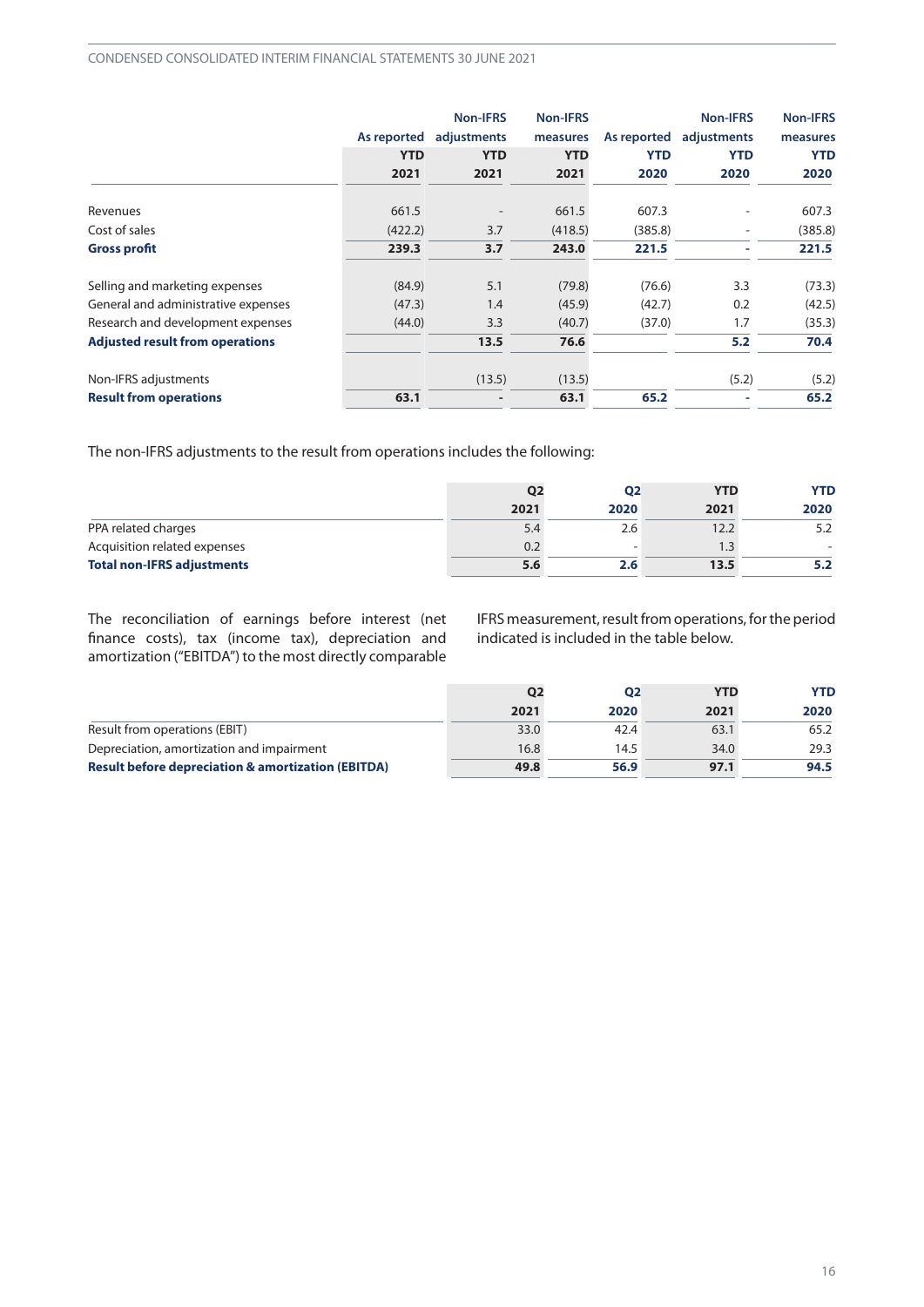|                                        | As reported<br><b>YTD</b><br>2021 | <b>Non-IFRS</b><br>adjustments<br><b>YTD</b><br>2021 | <b>Non-IFRS</b><br>measures<br><b>YTD</b><br>2021 | As reported<br><b>YTD</b><br>2020 | <b>Non-IFRS</b><br>adjustments<br><b>YTD</b><br>2020 | <b>Non-IFRS</b><br>measures<br><b>YTD</b><br>2020 |
|----------------------------------------|-----------------------------------|------------------------------------------------------|---------------------------------------------------|-----------------------------------|------------------------------------------------------|---------------------------------------------------|
|                                        |                                   |                                                      |                                                   |                                   |                                                      |                                                   |
| Revenues                               | 661.5                             |                                                      | 661.5                                             | 607.3                             |                                                      | 607.3                                             |
| Cost of sales                          | (422.2)                           | 3.7                                                  | (418.5)                                           | (385.8)                           |                                                      | (385.8)                                           |
| <b>Gross profit</b>                    | 239.3                             | 3.7                                                  | 243.0                                             | 221.5                             | ۰                                                    | 221.5                                             |
| Selling and marketing expenses         | (84.9)                            | 5.1                                                  | (79.8)                                            | (76.6)                            | 3.3                                                  | (73.3)                                            |
| General and administrative expenses    | (47.3)                            | 1.4                                                  | (45.9)                                            | (42.7)                            | 0.2                                                  | (42.5)                                            |
| Research and development expenses      | (44.0)                            | 3.3                                                  | (40.7)                                            | (37.0)                            | 1.7                                                  | (35.3)                                            |
| <b>Adjusted result from operations</b> |                                   | 13.5                                                 | 76.6                                              |                                   | 5.2                                                  | 70.4                                              |
| Non-IFRS adjustments                   |                                   | (13.5)                                               | (13.5)                                            |                                   | (5.2)                                                | (5.2)                                             |
| <b>Result from operations</b>          | 63.1                              | $\overline{\phantom{0}}$                             | 63.1                                              | 65.2                              |                                                      | 65.2                                              |

The non-IFRS adjustments to the result from operations includes the following:

|                                   | O2   | Ο2   | <b>YTD</b> | <b>YTD</b> |
|-----------------------------------|------|------|------------|------------|
|                                   | 2021 | 2020 | 2021       | 2020       |
| PPA related charges               | 5.4  | 2.6  | 12.2       | 5.2        |
| Acquisition related expenses      | 0.2  |      | 1.3        |            |
| <b>Total non-IFRS adjustments</b> | 5.6  | 2.6  | 13.5       | 5.2        |

The reconciliation of earnings before interest (net finance costs), tax (income tax), depreciation and amortization ("EBITDA") to the most directly comparable

IFRS measurement, result from operations, for the period indicated is included in the table below.

|                                                               | O <sub>2</sub> | Ο2   | <b>YTD</b> | <b>YTD</b> |
|---------------------------------------------------------------|----------------|------|------------|------------|
|                                                               | 2021           | 2020 | 2021       | 2020       |
| Result from operations (EBIT)                                 | 33.0           | 42.4 | 63.1       | 65.2       |
| Depreciation, amortization and impairment                     | 16.8           | 14.5 | 34.0       | 29.3       |
| <b>Result before depreciation &amp; amortization (EBITDA)</b> | 49.8           | 56.9 | 97.1       | 94.5       |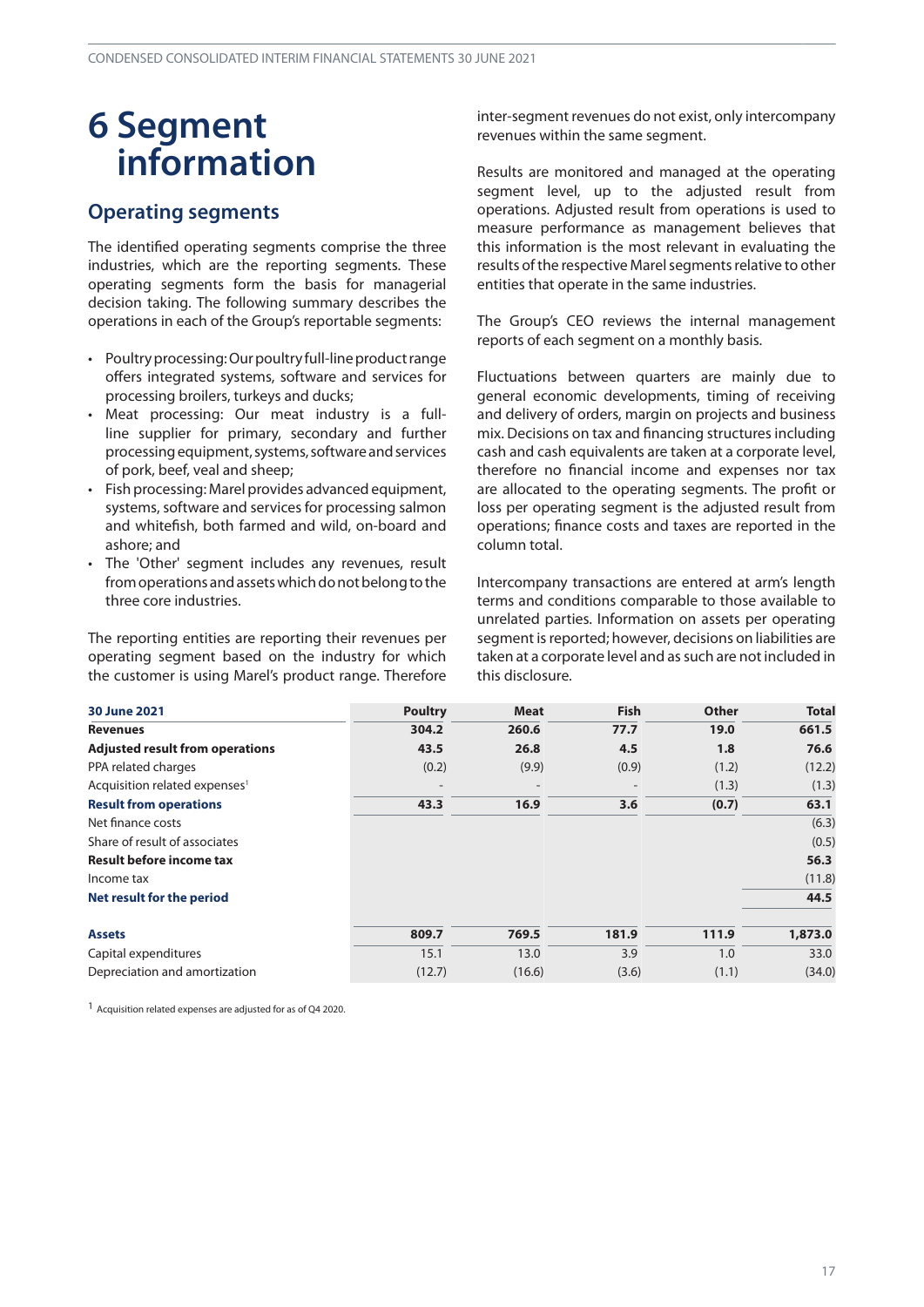### <span id="page-16-0"></span>**6 Segment information**

#### **Operating segments**

The identified operating segments comprise the three industries, which are the reporting segments. These operating segments form the basis for managerial decision taking. The following summary describes the operations in each of the Group's reportable segments:

- Poultry processing: Our poultry full-line product range offers integrated systems, software and services for processing broilers, turkeys and ducks;
- Meat processing: Our meat industry is a fullline supplier for primary, secondary and further processingequipment,systems,softwareandservices of pork, beef, veal and sheep;
- Fish processing: Marel provides advanced equipment, systems, software and services for processing salmon and whitefish, both farmed and wild, on-board and ashore; and
- The 'Other' segment includes any revenues, result from operations and assets which do not belong to the three core industries.

The reporting entities are reporting their revenues per operating segment based on the industry for which the customer is using Marel's product range. Therefore

inter-segment revenues do not exist, only intercompany revenues within the same segment.

Results are monitored and managed at the operating segment level, up to the adjusted result from operations. Adjusted result from operations is used to measure performance as management believes that this information is the most relevant in evaluating the results of the respective Marel segments relative to other entities that operate in the same industries.

The Group's CEO reviews the internal management reports of each segment on a monthly basis.

Fluctuations between quarters are mainly due to general economic developments, timing of receiving and delivery of orders, margin on projects and business mix. Decisions on tax and financing structures including cash and cash equivalents are taken at a corporate level, therefore no financial income and expenses nor tax are allocated to the operating segments. The profit or loss per operating segment is the adjusted result from operations; finance costs and taxes are reported in the column total.

Intercompany transactions are entered at arm's length terms and conditions comparable to those available to unrelated parties. Information on assets per operating segment is reported; however, decisions on liabilities are taken at a corporate level and as such are not included in this disclosure.

| 30 June 2021                              | <b>Poultry</b>           | <b>Meat</b>       | <b>Fish</b>              | <b>Other</b> | <b>Total</b> |
|-------------------------------------------|--------------------------|-------------------|--------------------------|--------------|--------------|
| <b>Revenues</b>                           | 304.2                    | 260.6             | 77.7                     | 19.0         | 661.5        |
| <b>Adjusted result from operations</b>    | 43.5                     | 26.8              | 4.5                      | 1.8          | 76.6         |
| PPA related charges                       | (0.2)                    | (9.9)             | (0.9)                    | (1.2)        | (12.2)       |
| Acquisition related expenses <sup>1</sup> | $\overline{\phantom{a}}$ | $\qquad \qquad -$ | $\overline{\phantom{a}}$ | (1.3)        | (1.3)        |
| <b>Result from operations</b>             | 43.3                     | 16.9              | 3.6                      | (0.7)        | 63.1         |
| Net finance costs                         |                          |                   |                          |              | (6.3)        |
| Share of result of associates             |                          |                   |                          |              | (0.5)        |
| <b>Result before income tax</b>           |                          |                   |                          |              | 56.3         |
| Income tax                                |                          |                   |                          |              | (11.8)       |
| Net result for the period                 |                          |                   |                          |              | 44.5         |
| <b>Assets</b>                             | 809.7                    | 769.5             | 181.9                    | 111.9        | 1,873.0      |
| Capital expenditures                      | 15.1                     | 13.0              | 3.9                      | 1.0          | 33.0         |
| Depreciation and amortization             | (12.7)                   | (16.6)            | (3.6)                    | (1.1)        | (34.0)       |

1 Acquisition related expenses are adjusted for as of Q4 2020.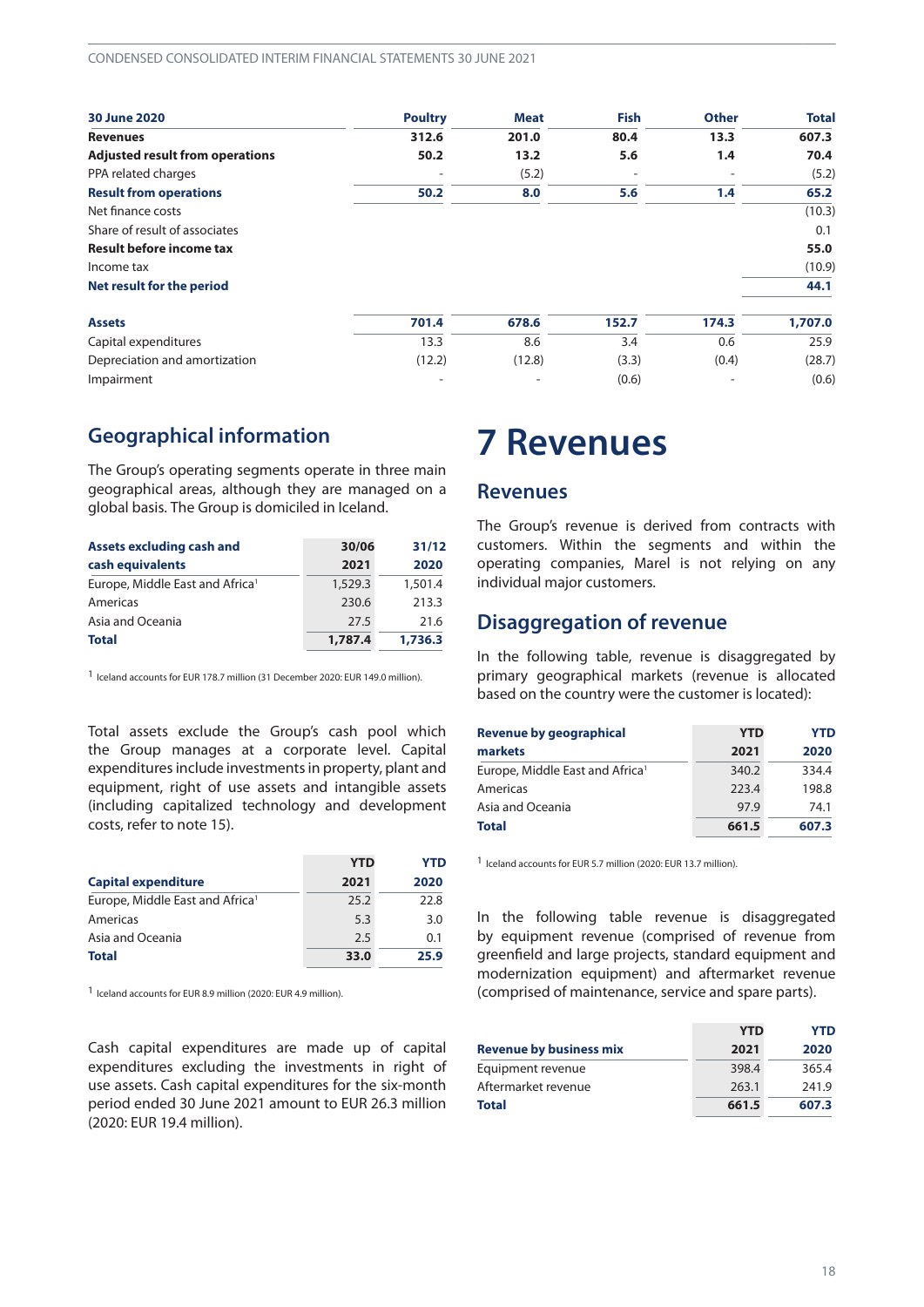<span id="page-17-0"></span>

| 30 June 2020                           | <b>Poultry</b> | <b>Meat</b> | <b>Fish</b> | <b>Other</b> | <b>Total</b> |
|----------------------------------------|----------------|-------------|-------------|--------------|--------------|
| <b>Revenues</b>                        | 312.6          | 201.0       | 80.4        | 13.3         | 607.3        |
| <b>Adjusted result from operations</b> | 50.2           | 13.2        | 5.6         | 1.4          | 70.4         |
| PPA related charges                    |                | (5.2)       |             |              | (5.2)        |
| <b>Result from operations</b>          | 50.2           | 8.0         | 5.6         | 1.4          | 65.2         |
| Net finance costs                      |                |             |             |              | (10.3)       |
| Share of result of associates          |                |             |             |              | 0.1          |
| <b>Result before income tax</b>        |                |             |             |              | 55.0         |
| Income tax                             |                |             |             |              | (10.9)       |
| Net result for the period              |                |             |             |              | 44.1         |
| <b>Assets</b>                          | 701.4          | 678.6       | 152.7       | 174.3        | 1,707.0      |
| Capital expenditures                   | 13.3           | 8.6         | 3.4         | 0.6          | 25.9         |
| Depreciation and amortization          | (12.2)         | (12.8)      | (3.3)       | (0.4)        | (28.7)       |
| Impairment                             |                |             | (0.6)       |              | (0.6)        |

#### **Geographical information**

The Group's operating segments operate in three main geographical areas, although they are managed on a global basis. The Group is domiciled in Iceland.

| <b>Assets excluding cash and</b>            | 30/06   | 31/12   |
|---------------------------------------------|---------|---------|
| cash equivalents                            | 2021    | 2020    |
| Europe, Middle East and Africa <sup>1</sup> | 1,529.3 | 1,501.4 |
| Americas                                    | 230.6   | 213.3   |
| Asia and Oceania                            | 27.5    | 21.6    |
| <b>Total</b>                                | 1,787.4 | 1,736.3 |

1 Iceland accounts for EUR 178.7 million (31 December 2020: EUR 149.0 million).

Total assets exclude the Group's cash pool which the Group manages at a corporate level. Capital expenditures include investments in property, plant and equipment, right of use assets and intangible assets (including capitalized technology and development costs, refer to note [15\)](#page-24-0).

|                                             | <b>YTD</b> | YTD  |
|---------------------------------------------|------------|------|
| <b>Capital expenditure</b>                  | 2021       | 2020 |
| Europe, Middle East and Africa <sup>1</sup> | 25.2       | 22.8 |
| Americas                                    | 5.3        | 3.0  |
| Asia and Oceania                            | 2.5        | 0.1  |
| <b>Total</b>                                | 33.0       | 25.9 |

1 Iceland accounts for EUR 8.9 million (2020: EUR 4.9 million).

Cash capital expenditures are made up of capital expenditures excluding the investments in right of use assets. Cash capital expenditures for the six-month period ended 30 June 2021 amount to EUR 26.3 million (2020: EUR 19.4 million).

### **7 Revenues**

#### **Revenues**

The Group's revenue is derived from contracts with customers. Within the segments and within the operating companies, Marel is not relying on any individual major customers.

#### **Disaggregation of revenue**

In the following table, revenue is disaggregated by primary geographical markets (revenue is allocated based on the country were the customer is located):

| Revenue by geographical                     | <b>YTD</b> | YTD   |
|---------------------------------------------|------------|-------|
| markets                                     | 2021       | 2020  |
| Europe, Middle East and Africa <sup>1</sup> | 340.2      | 334.4 |
| Americas                                    | 223.4      | 198.8 |
| Asia and Oceania                            | 97.9       | 74.1  |
| <b>Total</b>                                | 661.5      | 607.3 |

1 Iceland accounts for EUR 5.7 million (2020: EUR 13.7 million).

In the following table revenue is disaggregated by equipment revenue (comprised of revenue from greenfield and large projects, standard equipment and modernization equipment) and aftermarket revenue (comprised of maintenance, service and spare parts).

|                                | <b>YTD</b> | YTD   |
|--------------------------------|------------|-------|
| <b>Revenue by business mix</b> | 2021       | 2020  |
| Equipment revenue              | 398.4      | 365.4 |
| Aftermarket revenue            | 263.1      | 241.9 |
| <b>Total</b>                   | 661.5      | 607.3 |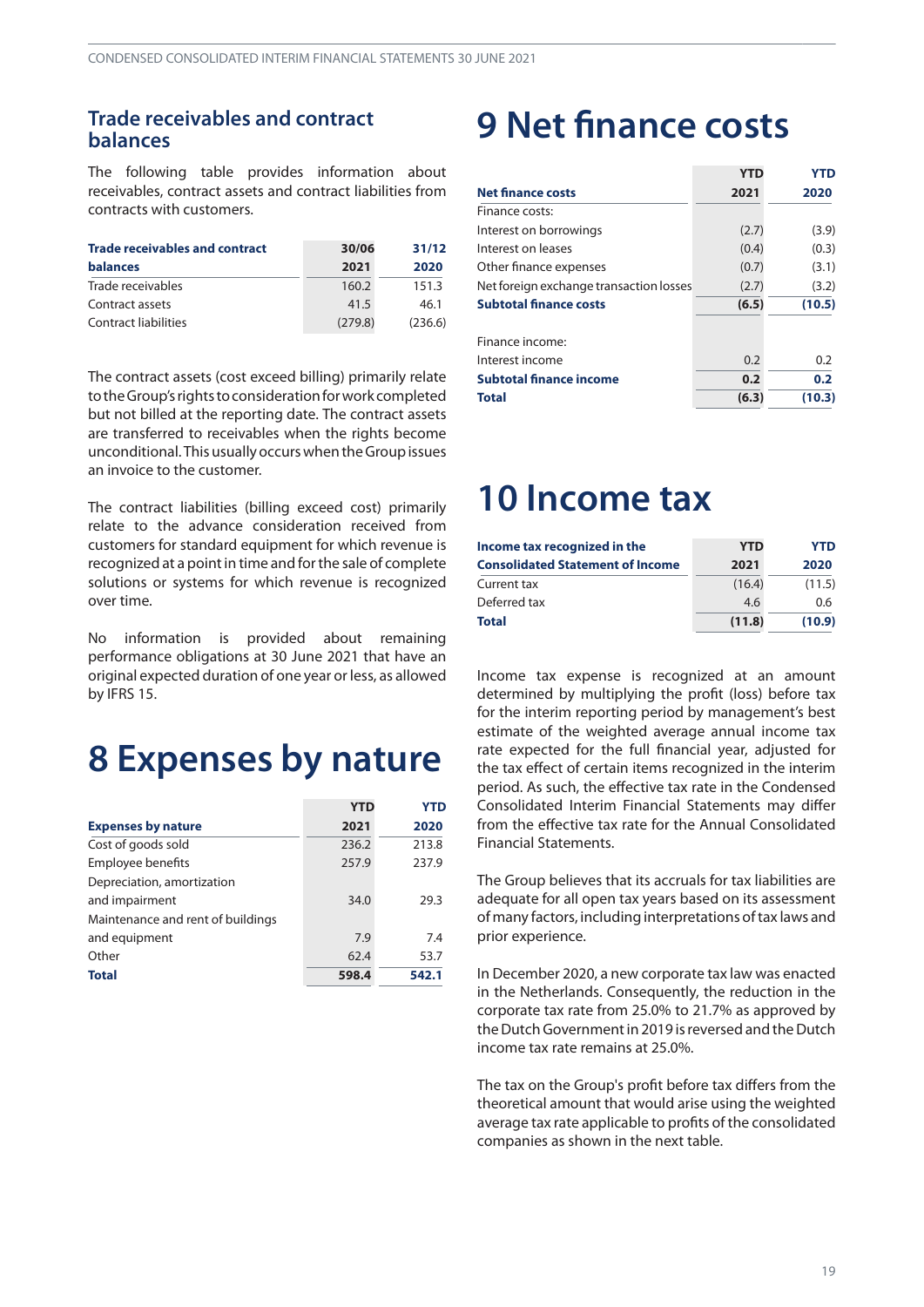#### <span id="page-18-0"></span>**Trade receivables and contract balances**

The following table provides information about receivables, contract assets and contract liabilities from contracts with customers.

| <b>Trade receivables and contract</b> | 30/06   | 31/12   |
|---------------------------------------|---------|---------|
| <b>balances</b>                       | 2021    | 2020    |
| Trade receivables                     | 160.2   | 151.3   |
| Contract assets                       | 41.5    | 46.1    |
| Contract liabilities                  | (279.8) | (236.6) |

The contract assets (cost exceed billing) primarily relate to the Group's rights to consideration for work completed but not billed at the reporting date. The contract assets are transferred to receivables when the rights become unconditional. This usually occurs when the Group issues an invoice to the customer.

The contract liabilities (billing exceed cost) primarily relate to the advance consideration received from customers for standard equipment for which revenue is recognized at a point in time and for the sale of complete solutions or systems for which revenue is recognized over time.

No information is provided about remaining performance obligations at 30 June 2021 that have an original expected duration of one year or less, as allowed by IFRS 15.

## **8 Expenses by nature**

|                                   | <b>YTD</b> | YTD   |
|-----------------------------------|------------|-------|
| <b>Expenses by nature</b>         | 2021       | 2020  |
| Cost of goods sold                | 236.2      | 213.8 |
| <b>Employee benefits</b>          | 257.9      | 237.9 |
| Depreciation, amortization        |            |       |
| and impairment                    | 34.0       | 29.3  |
| Maintenance and rent of buildings |            |       |
| and equipment                     | 7.9        | 7.4   |
| Other                             | 62.4       | 53.7  |
| <b>Total</b>                      | 598.4      | 542.1 |

# **9 Net finance costs**

|                                         | <b>YTD</b> | YTD    |
|-----------------------------------------|------------|--------|
| <b>Net finance costs</b>                | 2021       | 2020   |
| Finance costs:                          |            |        |
| Interest on borrowings                  | (2.7)      | (3.9)  |
| Interest on leases                      | (0.4)      | (0.3)  |
| Other finance expenses                  | (0.7)      | (3.1)  |
| Net foreign exchange transaction losses | (2.7)      | (3.2)  |
| <b>Subtotal finance costs</b>           | (6.5)      | (10.5) |
| Finance income:                         |            |        |
| Interest income                         | 0.2        | 0.2    |
| <b>Subtotal finance income</b>          | 0.2        | 0.2    |
| <b>Total</b>                            | (6.3)      | (10.3) |

### **10 Income tax**

| Income tax recognized in the            | <b>YTD</b> | YTD    |
|-----------------------------------------|------------|--------|
| <b>Consolidated Statement of Income</b> | 2021       | 2020   |
| Current tax                             | (16.4)     | (11.5) |
| Deferred tax                            | 4.6        | 0.6    |
| <b>Total</b>                            | (11.8)     | (10.9) |

Income tax expense is recognized at an amount determined by multiplying the profit (loss) before tax for the interim reporting period by management's best estimate of the weighted average annual income tax rate expected for the full financial year, adjusted for the tax effect of certain items recognized in the interim period. As such, the effective tax rate in the Condensed Consolidated Interim Financial Statements may differ from the effective tax rate for the Annual Consolidated Financial Statements.

The Group believes that its accruals for tax liabilities are adequate for all open tax years based on its assessment ofmany factors, including interpretations oftax laws and prior experience.

In December 2020, a new corporate tax law was enacted in the Netherlands. Consequently, the reduction in the corporate tax rate from 25.0% to 21.7% as approved by the Dutch Government in 2019 is reversed and the Dutch income tax rate remains at 25.0%.

The tax on the Group's profit before tax differs from the theoretical amount that would arise using the weighted average tax rate applicable to profits of the consolidated companies as shown in the next table.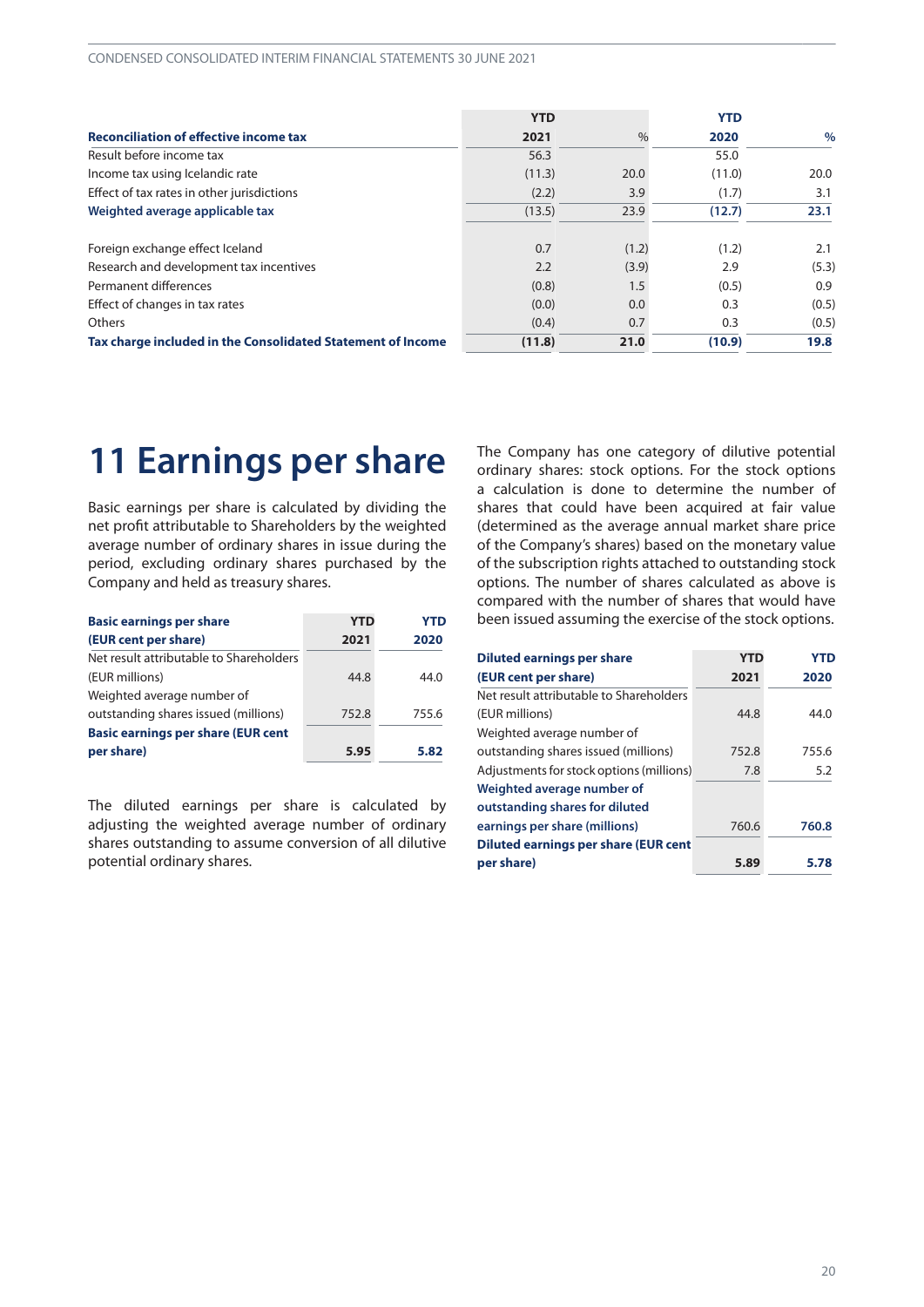<span id="page-19-0"></span>

|                                                             | <b>YTD</b> |               | <b>YTD</b> |       |
|-------------------------------------------------------------|------------|---------------|------------|-------|
| <b>Reconciliation of effective income tax</b>               | 2021       | $\frac{0}{0}$ | 2020       | $\%$  |
| Result before income tax                                    | 56.3       |               | 55.0       |       |
| Income tax using Icelandic rate                             | (11.3)     | 20.0          | (11.0)     | 20.0  |
| Effect of tax rates in other jurisdictions                  | (2.2)      | 3.9           | (1.7)      | 3.1   |
| Weighted average applicable tax                             | (13.5)     | 23.9          | (12.7)     | 23.1  |
| Foreign exchange effect Iceland                             | 0.7        | (1.2)         | (1.2)      | 2.1   |
| Research and development tax incentives                     | 2.2        | (3.9)         | 2.9        | (5.3) |
| Permanent differences                                       | (0.8)      | 1.5           | (0.5)      | 0.9   |
| Effect of changes in tax rates                              | (0.0)      | 0.0           | 0.3        | (0.5) |
| <b>Others</b>                                               | (0.4)      | 0.7           | 0.3        | (0.5) |
| Tax charge included in the Consolidated Statement of Income | (11.8)     | 21.0          | (10.9)     | 19.8  |

# **11 Earnings per share**

Basic earnings per share is calculated by dividing the net profit attributable to Shareholders by the weighted average number of ordinary shares in issue during the period, excluding ordinary shares purchased by the Company and held as treasury shares.

| <b>Basic earnings per share</b>           | <b>YTD</b> | YTD   |
|-------------------------------------------|------------|-------|
| (EUR cent per share)                      | 2021       | 2020  |
| Net result attributable to Shareholders   |            |       |
| (EUR millions)                            | 44.8       | 44.0  |
| Weighted average number of                |            |       |
| outstanding shares issued (millions)      | 752.8      | 755.6 |
| <b>Basic earnings per share (EUR cent</b> |            |       |
| per share)                                | 5.95       | 5.82  |

The diluted earnings per share is calculated by adjusting the weighted average number of ordinary shares outstanding to assume conversion of all dilutive potential ordinary shares.

The Company has one category of dilutive potential ordinary shares: stock options. For the stock options a calculation is done to determine the number of shares that could have been acquired at fair value (determined as the average annual market share price of the Company's shares) based on the monetary value of the subscription rights attached to outstanding stock options. The number of shares calculated as above is compared with the number of shares that would have been issued assuming the exercise of the stock options.

| <b>Diluted earnings per share</b>           | <b>YTD</b> | <b>YTD</b> |
|---------------------------------------------|------------|------------|
| (EUR cent per share)                        | 2021       | 2020       |
| Net result attributable to Shareholders     |            |            |
| (EUR millions)                              | 44.8       | 44.0       |
| Weighted average number of                  |            |            |
| outstanding shares issued (millions)        | 752.8      | 755.6      |
| Adjustments for stock options (millions)    | 7.8        | 5.2        |
| Weighted average number of                  |            |            |
| outstanding shares for diluted              |            |            |
| earnings per share (millions)               | 760.6      | 760.8      |
| <b>Diluted earnings per share (EUR cent</b> |            |            |
| per share)                                  | 5.89       | 5.78       |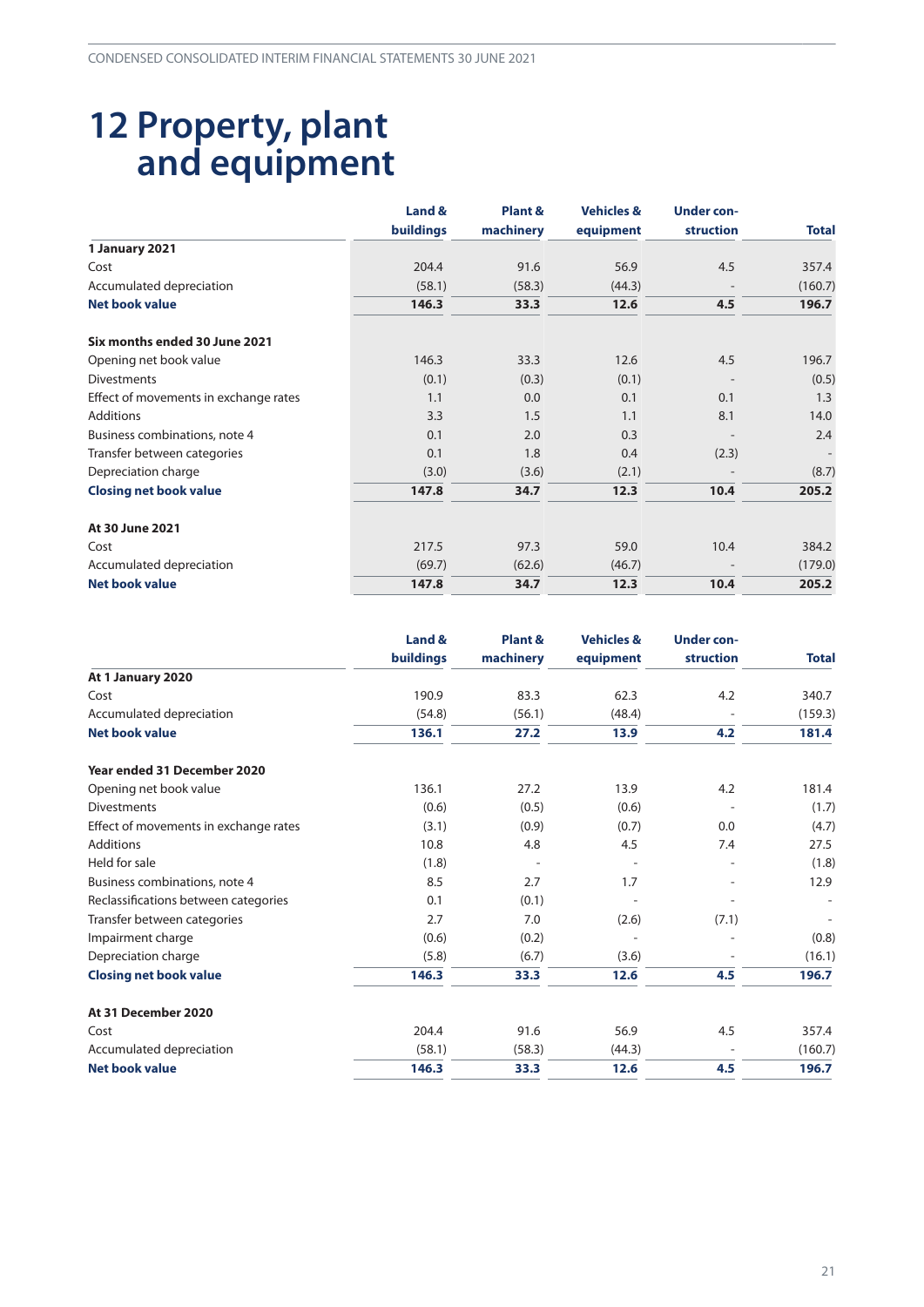### <span id="page-20-0"></span>**12 Property, plant and equipment**

|                                       | Land &           | Plant &   | <b>Vehicles &amp;</b> | <b>Under con-</b>        |              |
|---------------------------------------|------------------|-----------|-----------------------|--------------------------|--------------|
|                                       | <b>buildings</b> | machinery | equipment             | struction                | <b>Total</b> |
| 1 January 2021                        |                  |           |                       |                          |              |
| Cost                                  | 204.4            | 91.6      | 56.9                  | 4.5                      | 357.4        |
| Accumulated depreciation              | (58.1)           | (58.3)    | (44.3)                |                          | (160.7)      |
| <b>Net book value</b>                 | 146.3            | 33.3      | 12.6                  | 4.5                      | 196.7        |
| Six months ended 30 June 2021         |                  |           |                       |                          |              |
| Opening net book value                | 146.3            | 33.3      | 12.6                  | 4.5                      | 196.7        |
| <b>Divestments</b>                    | (0.1)            | (0.3)     | (0.1)                 |                          | (0.5)        |
| Effect of movements in exchange rates | 1.1              | 0.0       | 0.1                   | 0.1                      | 1.3          |
| <b>Additions</b>                      | 3.3              | 1.5       | 1.1                   | 8.1                      | 14.0         |
| Business combinations, note 4         | 0.1              | 2.0       | 0.3                   | $\overline{\phantom{a}}$ | 2.4          |
| Transfer between categories           | 0.1              | 1.8       | 0.4                   | (2.3)                    |              |
| Depreciation charge                   | (3.0)            | (3.6)     | (2.1)                 |                          | (8.7)        |
| <b>Closing net book value</b>         | 147.8            | 34.7      | 12.3                  | 10.4                     | 205.2        |
| At 30 June 2021                       |                  |           |                       |                          |              |
| Cost                                  | 217.5            | 97.3      | 59.0                  | 10.4                     | 384.2        |
| Accumulated depreciation              | (69.7)           | (62.6)    | (46.7)                |                          | (179.0)      |
| <b>Net book value</b>                 | 147.8            | 34.7      | 12.3                  | 10.4                     | 205.2        |

|                                       | Land &           | Plant &   | <b>Vehicles &amp;</b> | <b>Under con-</b> |              |
|---------------------------------------|------------------|-----------|-----------------------|-------------------|--------------|
|                                       | <b>buildings</b> | machinery | equipment             | struction         | <b>Total</b> |
| At 1 January 2020                     |                  |           |                       |                   |              |
| Cost                                  | 190.9            | 83.3      | 62.3                  | 4.2               | 340.7        |
| Accumulated depreciation              | (54.8)           | (56.1)    | (48.4)                |                   | (159.3)      |
| <b>Net book value</b>                 | 136.1            | 27.2      | 13.9                  | 4.2               | 181.4        |
| Year ended 31 December 2020           |                  |           |                       |                   |              |
| Opening net book value                | 136.1            | 27.2      | 13.9                  | 4.2               | 181.4        |
| <b>Divestments</b>                    | (0.6)            | (0.5)     | (0.6)                 |                   | (1.7)        |
| Effect of movements in exchange rates | (3.1)            | (0.9)     | (0.7)                 | 0.0               | (4.7)        |
| <b>Additions</b>                      | 10.8             | 4.8       | 4.5                   | 7.4               | 27.5         |
| Held for sale                         | (1.8)            |           |                       |                   | (1.8)        |
| Business combinations, note 4         | 8.5              | 2.7       | 1.7                   |                   | 12.9         |
| Reclassifications between categories  | 0.1              | (0.1)     |                       |                   |              |
| Transfer between categories           | 2.7              | 7.0       | (2.6)                 | (7.1)             |              |
| Impairment charge                     | (0.6)            | (0.2)     |                       |                   | (0.8)        |
| Depreciation charge                   | (5.8)            | (6.7)     | (3.6)                 |                   | (16.1)       |
| <b>Closing net book value</b>         | 146.3            | 33.3      | 12.6                  | 4.5               | 196.7        |
| At 31 December 2020                   |                  |           |                       |                   |              |
| Cost                                  | 204.4            | 91.6      | 56.9                  | 4.5               | 357.4        |
| Accumulated depreciation              | (58.1)           | (58.3)    | (44.3)                |                   | (160.7)      |
| <b>Net book value</b>                 | 146.3            | 33.3      | 12.6                  | 4.5               | 196.7        |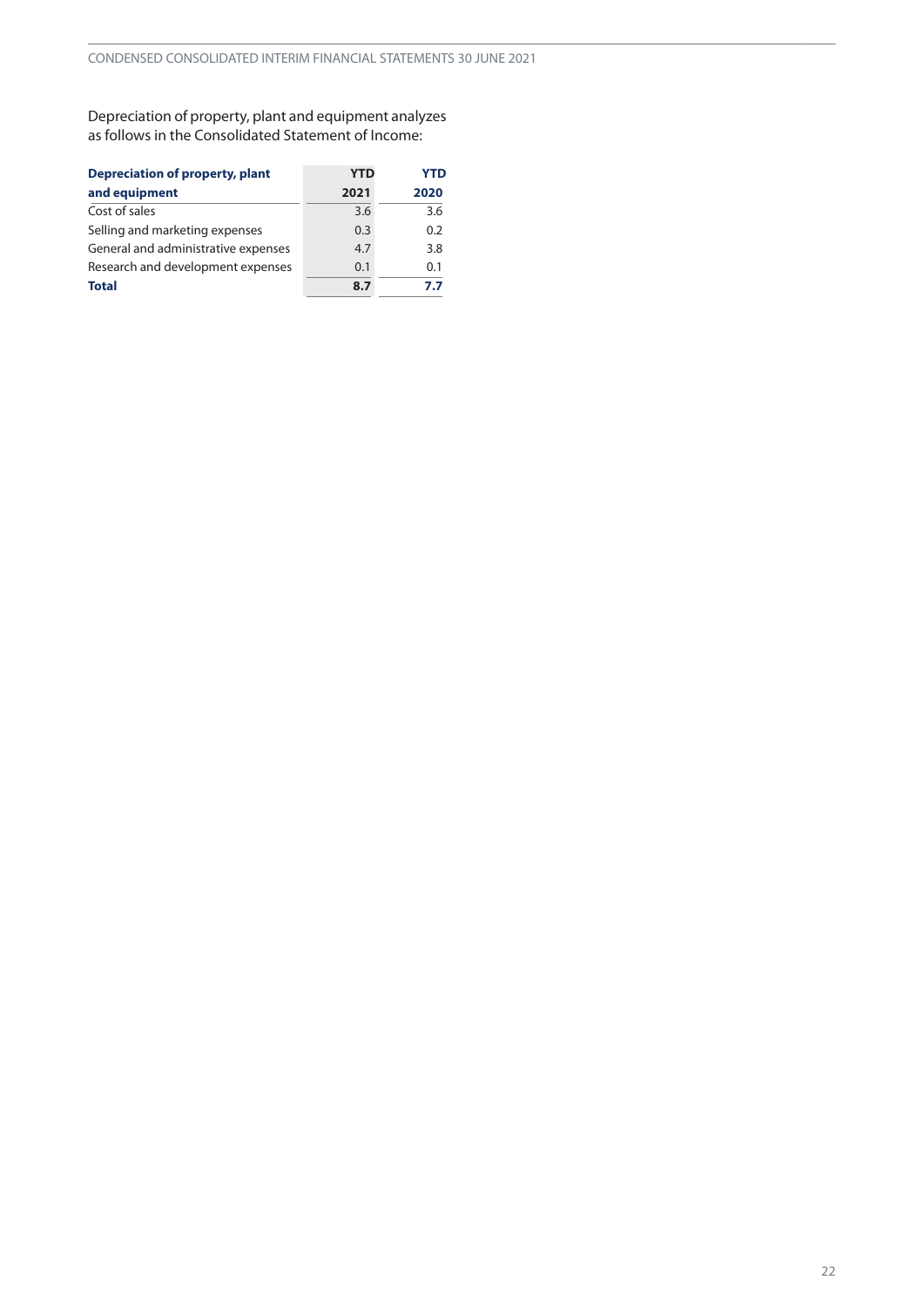Depreciation of property, plant and equipment analyzes as follows in the Consolidated Statement of Income:

| <b>Depreciation of property, plant</b> | <b>YTD</b> | <b>YTD</b> |
|----------------------------------------|------------|------------|
| and equipment                          | 2021       | 2020       |
| Cost of sales                          | 3.6        | 3.6        |
| Selling and marketing expenses         | 0.3        | 0.2        |
| General and administrative expenses    | 4.7        | 3.8        |
| Research and development expenses      | 0.1        | 0.1        |
| <b>Total</b>                           | 8.7        | 7.7        |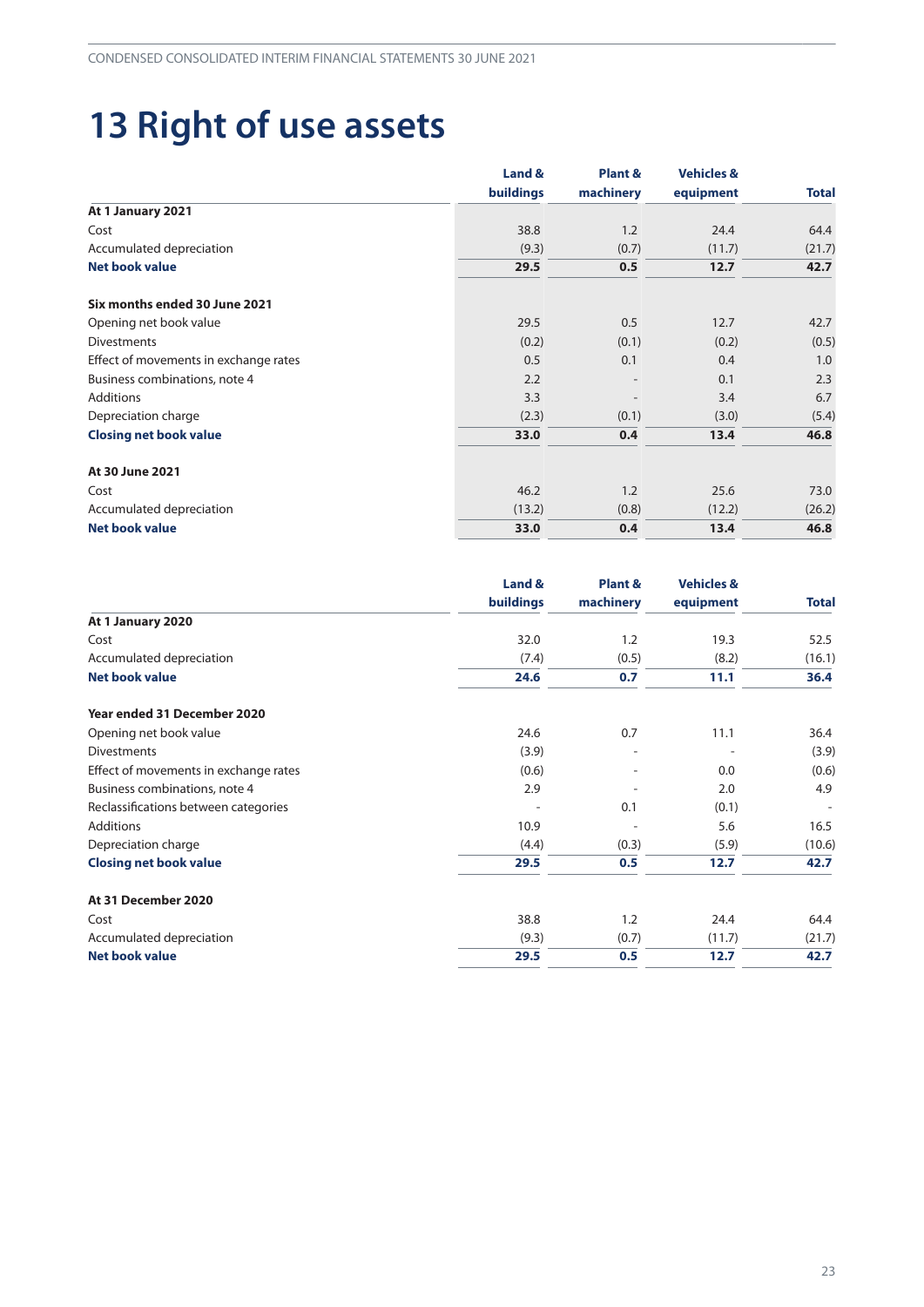# <span id="page-22-0"></span>**13 Right of use assets**

|                                       | Land &           | Plant &   | <b>Vehicles &amp;</b> |              |
|---------------------------------------|------------------|-----------|-----------------------|--------------|
|                                       | <b>buildings</b> | machinery | equipment             | <b>Total</b> |
| At 1 January 2021                     |                  |           |                       |              |
| Cost                                  | 38.8             | 1.2       | 24.4                  | 64.4         |
| Accumulated depreciation              | (9.3)            | (0.7)     | (11.7)                | (21.7)       |
| <b>Net book value</b>                 | 29.5             | 0.5       | 12.7                  | 42.7         |
| Six months ended 30 June 2021         |                  |           |                       |              |
| Opening net book value                | 29.5             | 0.5       | 12.7                  | 42.7         |
| <b>Divestments</b>                    | (0.2)            | (0.1)     | (0.2)                 | (0.5)        |
| Effect of movements in exchange rates | 0.5              | 0.1       | 0.4                   | 1.0          |
| Business combinations, note 4         | 2.2              |           | 0.1                   | 2.3          |
| Additions                             | 3.3              |           | 3.4                   | 6.7          |
| Depreciation charge                   | (2.3)            | (0.1)     | (3.0)                 | (5.4)        |
| <b>Closing net book value</b>         | 33.0             | 0.4       | 13.4                  | 46.8         |
| At 30 June 2021                       |                  |           |                       |              |
| Cost                                  | 46.2             | 1.2       | 25.6                  | 73.0         |
| Accumulated depreciation              | (13.2)           | (0.8)     | (12.2)                | (26.2)       |
| <b>Net book value</b>                 | 33.0             | 0.4       | 13.4                  | 46.8         |

| Land &<br><b>buildings</b> | <b>Plant &amp;</b> | <b>Vehicles &amp;</b><br>equipment | <b>Total</b>             |
|----------------------------|--------------------|------------------------------------|--------------------------|
|                            | machinery          |                                    |                          |
|                            |                    |                                    |                          |
| 32.0                       | 1.2                | 19.3                               | 52.5                     |
| (7.4)                      | (0.5)              | (8.2)                              | (16.1)                   |
| 24.6                       | 0.7                | 11.1                               | 36.4                     |
|                            |                    |                                    |                          |
| 24.6                       | 0.7                | 11.1                               | 36.4                     |
| (3.9)                      |                    |                                    | (3.9)                    |
| (0.6)                      |                    | 0.0                                | (0.6)                    |
| 2.9                        |                    | 2.0                                | 4.9                      |
|                            | 0.1                | (0.1)                              | $\overline{\phantom{a}}$ |
| 10.9                       |                    | 5.6                                | 16.5                     |
| (4.4)                      | (0.3)              | (5.9)                              | (10.6)                   |
| 29.5                       | 0.5                | 12.7                               | 42.7                     |
|                            |                    |                                    |                          |
| 38.8                       | 1.2                | 24.4                               | 64.4                     |
| (9.3)                      | (0.7)              | (11.7)                             | (21.7)                   |
| 29.5                       | 0.5                | 12.7                               | 42.7                     |
|                            |                    |                                    |                          |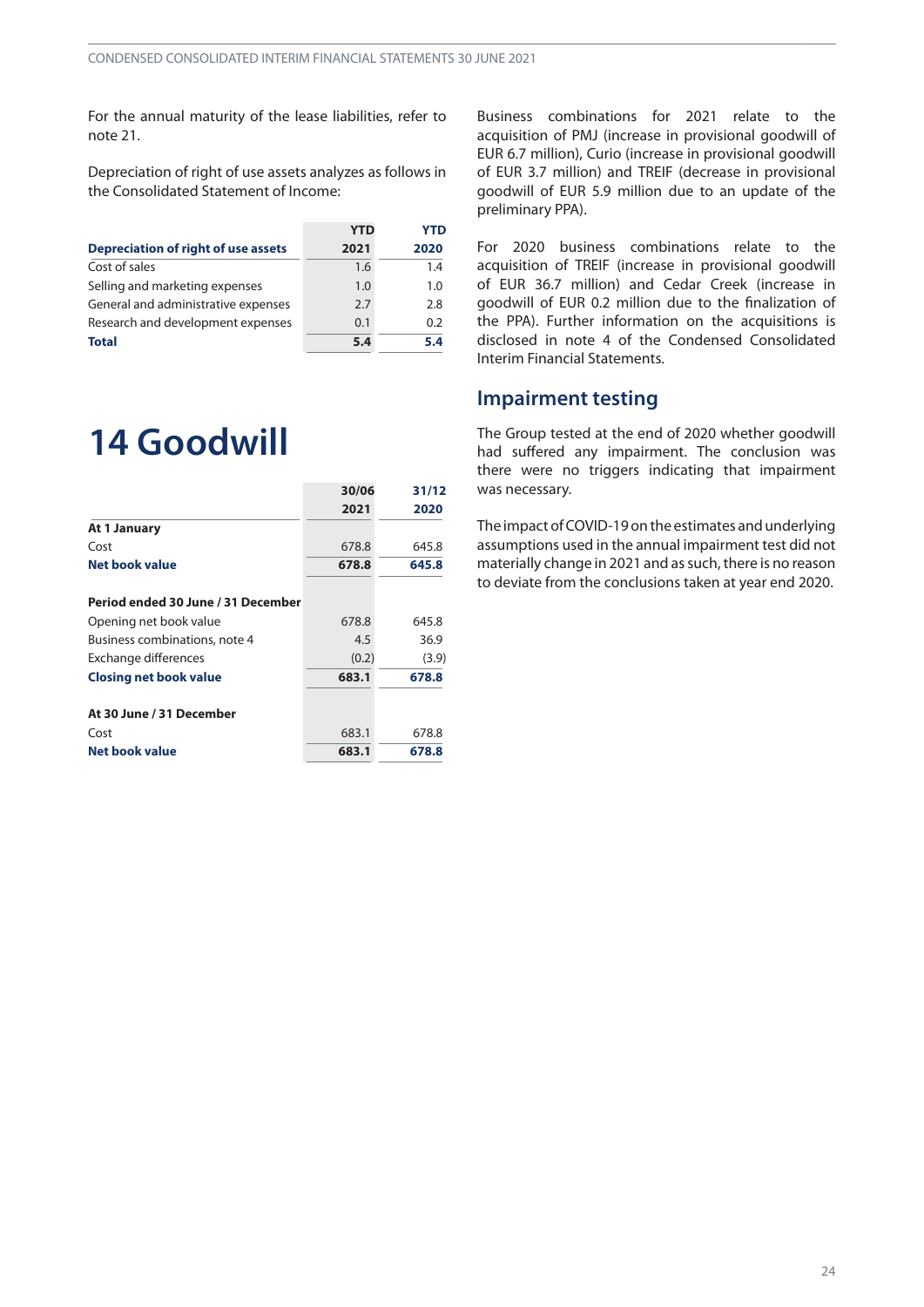<span id="page-23-0"></span>For the annual maturity of the lease liabilities, refer to note [21](#page-28-0).

Depreciation of right of use assets analyzes as follows in the Consolidated Statement of Income:

|                                            | <b>YTD</b> | YTD  |
|--------------------------------------------|------------|------|
| <b>Depreciation of right of use assets</b> | 2021       | 2020 |
| Cost of sales                              | 1.6        | 1.4  |
| Selling and marketing expenses             | 1.0        | 1.0  |
| General and administrative expenses        | 2.7        | 2.8  |
| Research and development expenses          | 0.1        | 0.2  |
| <b>Total</b>                               | 5.4        | 5.4  |

### **14 Goodwill**

|                                    | 30/06 | 31/12 |
|------------------------------------|-------|-------|
|                                    | 2021  | 2020  |
| At 1 January                       |       |       |
| Cost                               | 678.8 | 645.8 |
| Net book value                     | 678.8 | 645.8 |
| Period ended 30 June / 31 December |       |       |
| Opening net book value             | 678.8 | 645.8 |
| Business combinations, note 4      | 4.5   | 36.9  |
| Exchange differences               | (0.2) | (3.9) |
| <b>Closing net book value</b>      | 683.1 | 678.8 |
| At 30 June / 31 December           |       |       |
| Cost                               | 683.1 | 678.8 |
| <b>Net book value</b>              | 683.1 | 678.8 |

Business combinations for 2021 relate to the acquisition of PMJ (increase in provisional goodwill of EUR 6.7 million), Curio (increase in provisional goodwill of EUR 3.7 million) and TREIF (decrease in provisional goodwill of EUR 5.9 million due to an update of the preliminary PPA).

For 2020 business combinations relate to the acquisition of TREIF (increase in provisional goodwill of EUR 36.7 million) and Cedar Creek (increase in goodwill of EUR 0.2 million due to the finalization of the PPA). Further information on the acquisitions is disclosed in note [4](#page-11-0) of the Condensed Consolidated Interim Financial Statements.

#### **Impairment testing**

The Group tested at the end of 2020 whether goodwill had suffered any impairment. The conclusion was there were no triggers indicating that impairment was necessary.

The impact of COVID-19 on the estimates and underlying assumptions used in the annual impairment test did not materially change in 2021 and as such, there is no reason to deviate from the conclusions taken at year end 2020.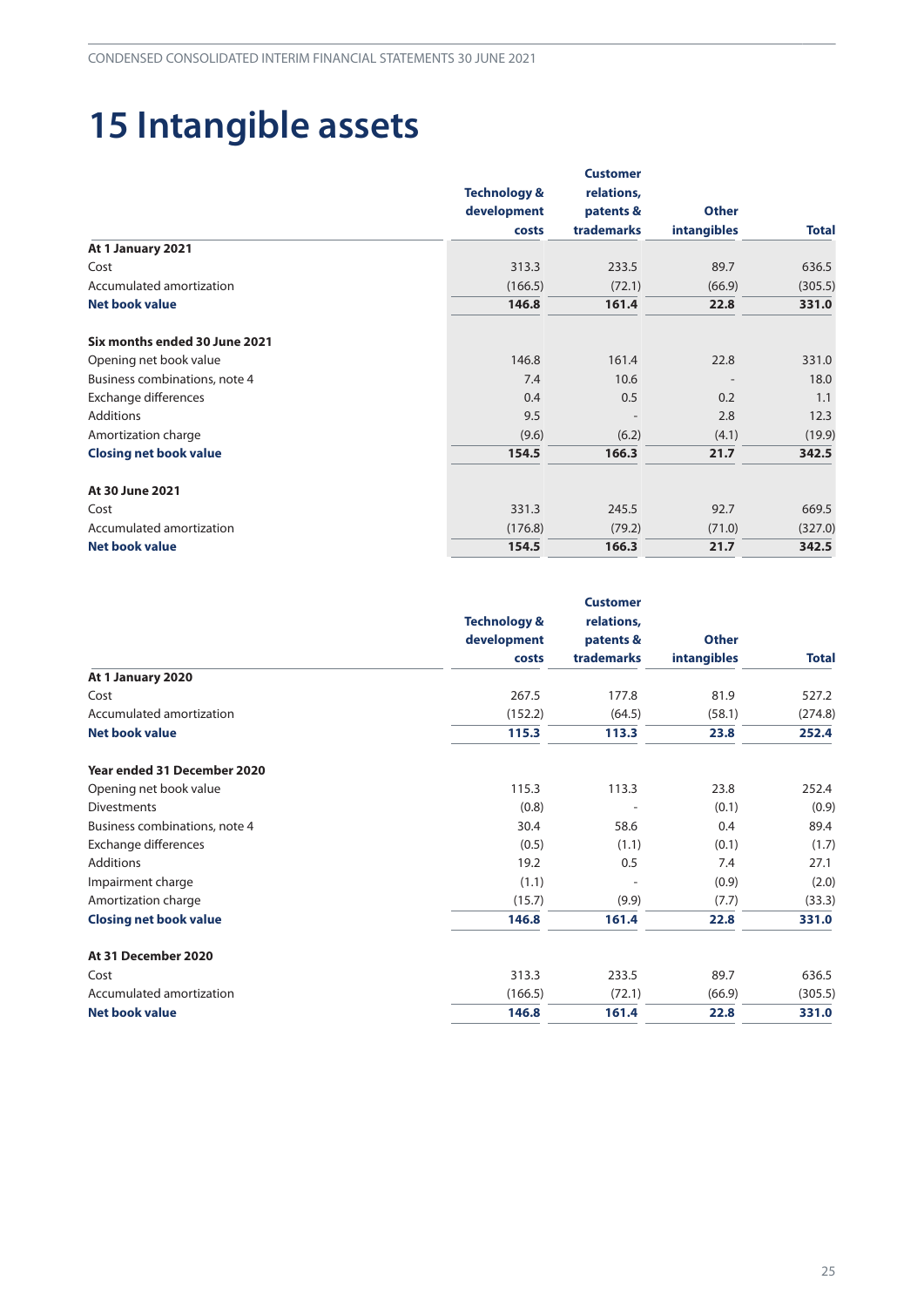# <span id="page-24-0"></span>**15 Intangible assets**

|                               |                         | <b>Customer</b>   |                    |              |
|-------------------------------|-------------------------|-------------------|--------------------|--------------|
|                               | <b>Technology &amp;</b> | relations,        |                    |              |
|                               | development             | patents &         | <b>Other</b>       |              |
|                               | costs                   | <b>trademarks</b> | <b>intangibles</b> | <b>Total</b> |
| At 1 January 2021             |                         |                   |                    |              |
| Cost                          | 313.3                   | 233.5             | 89.7               | 636.5        |
| Accumulated amortization      | (166.5)                 | (72.1)            | (66.9)             | (305.5)      |
| <b>Net book value</b>         | 146.8                   | 161.4             | 22.8               | 331.0        |
| Six months ended 30 June 2021 |                         |                   |                    |              |
| Opening net book value        | 146.8                   | 161.4             | 22.8               | 331.0        |
| Business combinations, note 4 | 7.4                     | 10.6              |                    | 18.0         |
| Exchange differences          | 0.4                     | 0.5               | 0.2                | 1.1          |
| <b>Additions</b>              | 9.5                     |                   | 2.8                | 12.3         |
| Amortization charge           | (9.6)                   | (6.2)             | (4.1)              | (19.9)       |
| <b>Closing net book value</b> | 154.5                   | 166.3             | 21.7               | 342.5        |
| At 30 June 2021               |                         |                   |                    |              |
| Cost                          | 331.3                   | 245.5             | 92.7               | 669.5        |
| Accumulated amortization      | (176.8)                 | (79.2)            | (71.0)             | (327.0)      |
| <b>Net book value</b>         | 154.5                   | 166.3             | 21.7               | 342.5        |

|                         | <b>Customer</b> |              |              |
|-------------------------|-----------------|--------------|--------------|
| <b>Technology &amp;</b> | relations,      |              |              |
| development             | patents &       | <b>Other</b> |              |
| costs                   | trademarks      | intangibles  | <b>Total</b> |
|                         |                 |              |              |
| 267.5                   | 177.8           | 81.9         | 527.2        |
| (152.2)                 | (64.5)          | (58.1)       | (274.8)      |
| 115.3                   | 113.3           | 23.8         | 252.4        |
|                         |                 |              |              |
| 115.3                   | 113.3           | 23.8         | 252.4        |
| (0.8)                   |                 | (0.1)        | (0.9)        |
| 30.4                    | 58.6            | 0.4          | 89.4         |
| (0.5)                   | (1.1)           | (0.1)        | (1.7)        |
| 19.2                    | 0.5             | 7.4          | 27.1         |
| (1.1)                   |                 | (0.9)        | (2.0)        |
| (15.7)                  | (9.9)           | (7.7)        | (33.3)       |
| 146.8                   | 161.4           | 22.8         | 331.0        |
|                         |                 |              |              |
| 313.3                   | 233.5           | 89.7         | 636.5        |
| (166.5)                 | (72.1)          | (66.9)       | (305.5)      |
| 146.8                   | 161.4           | 22.8         | 331.0        |
|                         |                 |              |              |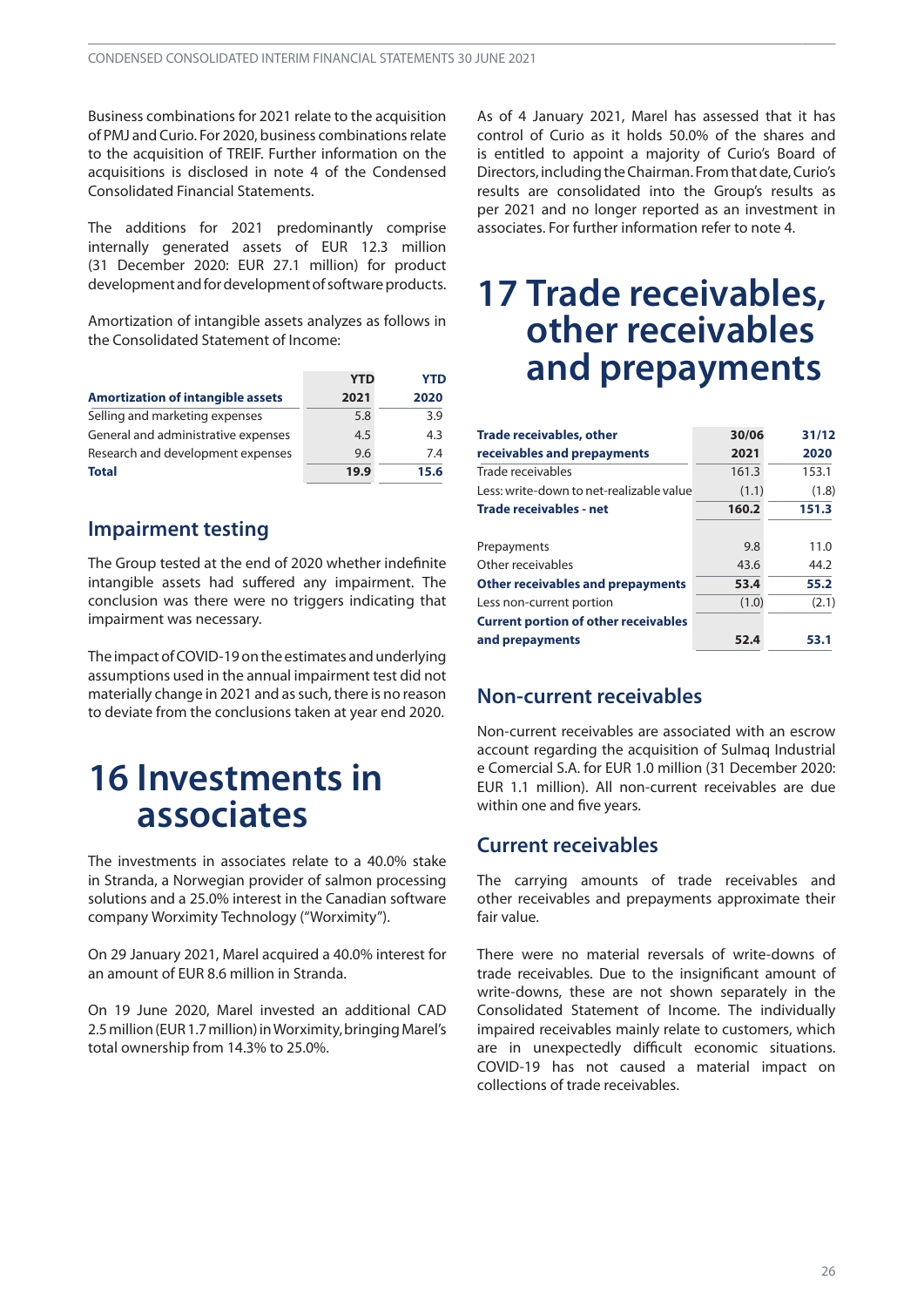<span id="page-25-0"></span>Business combinations for 2021 relate to the acquisition of PMJ and Curio. For 2020, business combinationsrelate to the acquisition of TREIF. Further information on the acquisitions is disclosed in note [4](#page-11-0) of the Condensed Consolidated Financial Statements.

The additions for 2021 predominantly comprise internally generated assets of EUR 12.3 million (31 December 2020: EUR 27.1 million) for product development and for development of software products.

Amortization of intangible assets analyzes as follows in the Consolidated Statement of Income:

|                                          | <b>YTD</b> | YTD  |
|------------------------------------------|------------|------|
| <b>Amortization of intangible assets</b> | 2021       | 2020 |
| Selling and marketing expenses           | 5.8        | 3.9  |
| General and administrative expenses      | 4.5        | 4.3  |
| Research and development expenses        | 9.6        | 7.4  |
| <b>Total</b>                             | 19.9       | 15.6 |

#### **Impairment testing**

The Group tested at the end of 2020 whether indefinite intangible assets had suffered any impairment. The conclusion was there were no triggers indicating that impairment was necessary.

The impact of COVID-19 on the estimates and underlying assumptions used in the annual impairment test did not materially change in 2021 and as such, there is no reason to deviate from the conclusions taken at year end 2020.

### **16 Investments in associates**

The investments in associates relate to a 40.0% stake in Stranda, a Norwegian provider of salmon processing solutions and a 25.0% interest in the Canadian software company Worximity Technology ("Worximity").

On 29 January 2021, Marel acquired a 40.0% interest for an amount of EUR 8.6 million in Stranda.

On 19 June 2020, Marel invested an additional CAD 2.5 million (EUR1.7 million) in Worximity, bringing Marel's total ownership from 14.3% to 25.0%.

As of 4 January 2021, Marel has assessed that it has control of Curio as it holds 50.0% of the shares and is entitled to appoint a majority of Curio's Board of Directors, including the Chairman. From that date, Curio's results are consolidated into the Group's results as per 2021 and no longer reported as an investment in associates. For further information refer to note 4.

### **17 Trade receivables, other receivables and prepayments**

| <b>Trade receivables, other</b>             | 30/06 | 31/12 |
|---------------------------------------------|-------|-------|
| receivables and prepayments                 | 2021  | 2020  |
| Trade receivables                           | 161.3 | 153.1 |
| Less: write-down to net-realizable value    | (1.1) | (1.8) |
| Trade receivables - net                     | 160.2 | 151.3 |
| Prepayments                                 | 9.8   | 11.0  |
| Other receivables                           | 43.6  | 44.2  |
| <b>Other receivables and prepayments</b>    | 53.4  | 55.2  |
| Less non-current portion                    | (1.0) | (2.1) |
| <b>Current portion of other receivables</b> |       |       |
| and prepayments                             | 52.4  | 53.1  |

#### **Non-current receivables**

Non-current receivables are associated with an escrow account regarding the acquisition of Sulmaq Industrial e Comercial S.A. for EUR 1.0 million (31 December 2020: EUR 1.1 million). All non-current receivables are due within one and five years.

#### **Current receivables**

The carrying amounts of trade receivables and other receivables and prepayments approximate their fair value.

There were no material reversals of write-downs of trade receivables. Due to the insignificant amount of write-downs, these are not shown separately in the Consolidated Statement of Income. The individually impaired receivables mainly relate to customers, which are in unexpectedly difficult economic situations. COVID-19 has not caused a material impact on collections of trade receivables.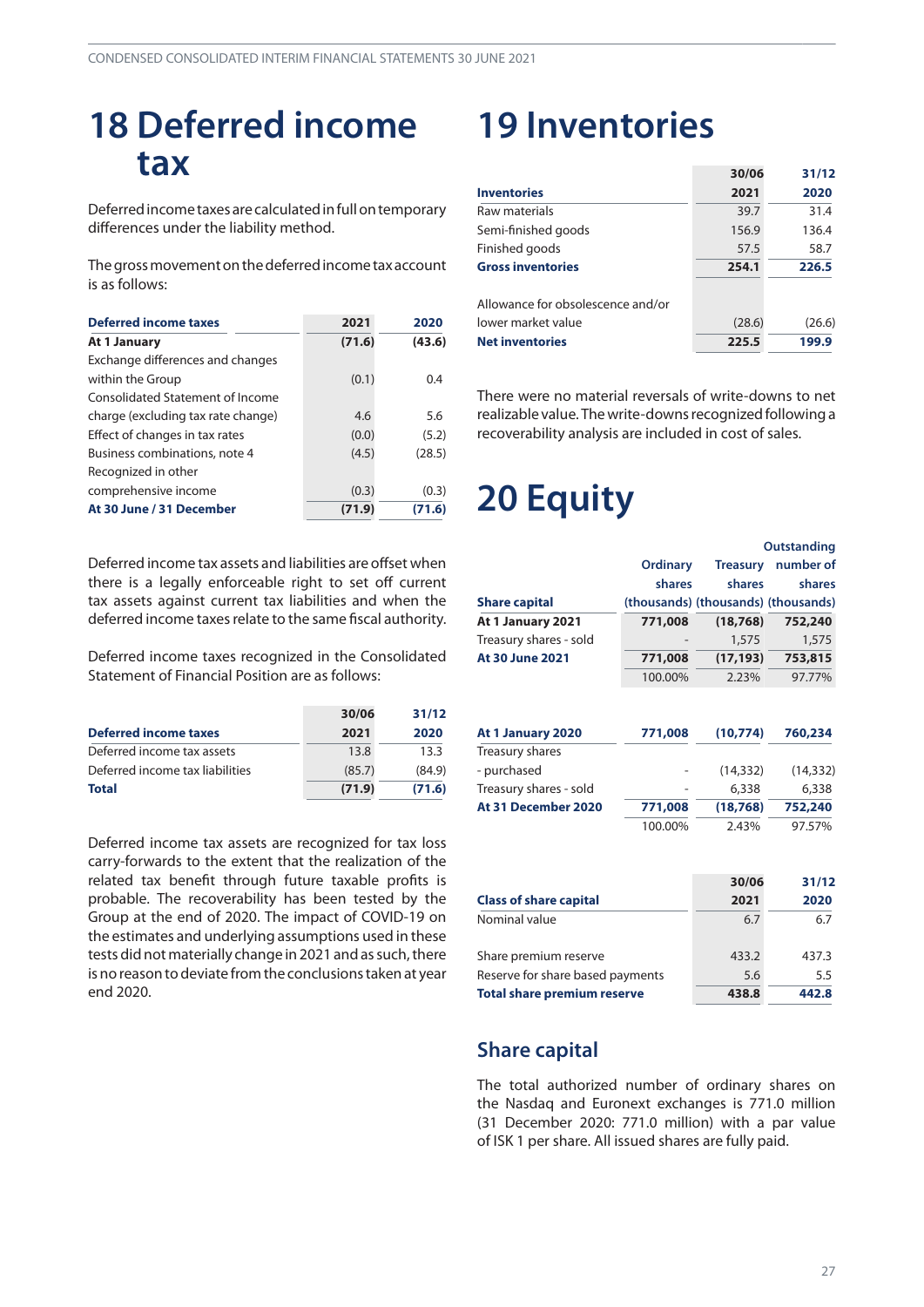### <span id="page-26-0"></span>**18 Deferred income tax**

Deferred income taxes are calculated in full on temporary differences under the liability method.

The gross movement on the deferred income tax account is as follows:

| <b>Deferred income taxes</b>       | 2021   | 2020   |
|------------------------------------|--------|--------|
| At 1 January                       | (71.6) | (43.6) |
| Exchange differences and changes   |        |        |
| within the Group                   | (0.1)  | 0.4    |
| Consolidated Statement of Income   |        |        |
| charge (excluding tax rate change) | 4.6    | 5.6    |
| Effect of changes in tax rates     | (0.0)  | (5.2)  |
| Business combinations, note 4      | (4.5)  | (28.5) |
| Recognized in other                |        |        |
| comprehensive income               | (0.3)  | (0.3)  |
| At 30 June / 31 December           | (71.9) | (71.6) |

Deferred income tax assets and liabilities are offset when there is a legally enforceable right to set off current tax assets against current tax liabilities and when the deferred income taxes relate to the same fiscal authority.

Deferred income taxes recognized in the Consolidated Statement of Financial Position are as follows:

|                                 | 30/06  | 31/12  |
|---------------------------------|--------|--------|
| <b>Deferred income taxes</b>    | 2021   | 2020   |
| Deferred income tax assets      | 13.8   | 13.3   |
| Deferred income tax liabilities | (85.7) | (84.9) |
| <b>Total</b>                    | (71.9) | (71.6) |

Deferred income tax assets are recognized for tax loss carry-forwards to the extent that the realization of the related tax benefit through future taxable profits is probable. The recoverability has been tested by the Group at the end of 2020. The impact of COVID-19 on the estimates and underlying assumptions used in these tests did not materially change in 2021 and as such, there is no reason to deviate from the conclusions taken at year end 2020.

## **19 Inventories**

|                                   | 30/06  | 31/12  |
|-----------------------------------|--------|--------|
| <b>Inventories</b>                | 2021   | 2020   |
| Raw materials                     | 39.7   | 31.4   |
| Semi-finished goods               | 156.9  | 136.4  |
| Finished goods                    | 57.5   | 58.7   |
| <b>Gross inventories</b>          | 254.1  | 226.5  |
| Allowance for obsolescence and/or |        |        |
| lower market value                | (28.6) | (26.6) |
| <b>Net inventories</b>            | 225.5  | 199.9  |

There were no material reversals of write-downs to net realizable value. The write-downs recognized following a recoverability analysis are included in cost of sales.

### **20 Equity**

|                        |                 |                 | <b>Outstanding</b>                  |
|------------------------|-----------------|-----------------|-------------------------------------|
|                        | <b>Ordinary</b> | <b>Treasury</b> | number of                           |
|                        | shares          | shares          | shares                              |
| <b>Share capital</b>   |                 |                 | (thousands) (thousands) (thousands) |
| At 1 January 2021      | 771,008         | (18.768)        | 752,240                             |
| Treasury shares - sold |                 | 1,575           | 1,575                               |
| <b>At 30 June 2021</b> | 771,008         | (17, 193)       | 753,815                             |
|                        | 100.00%         | 2.23%           | 97.77%                              |

| At 1 January 2020      | 771,008 | (10,774)  | 760,234   |
|------------------------|---------|-----------|-----------|
| Treasury shares        |         |           |           |
| - purchased            |         | (14, 332) | (14, 332) |
| Treasury shares - sold | -       | 6,338     | 6,338     |
| At 31 December 2020    | 771,008 | (18, 768) | 752,240   |
|                        | 100.00% | 2.43%     | 97.57%    |

|                                    | 30/06 | 31/12 |
|------------------------------------|-------|-------|
| <b>Class of share capital</b>      | 2021  | 2020  |
| Nominal value                      | 6.7   | 6.7   |
| Share premium reserve              | 433.2 | 437.3 |
| Reserve for share based payments   | 5.6   | 5.5   |
| <b>Total share premium reserve</b> | 438.8 | 442.8 |

#### **Share capital**

The total authorized number of ordinary shares on the Nasdaq and Euronext exchanges is 771.0 million (31 December 2020: 771.0 million) with a par value of ISK 1 per share. All issued shares are fully paid.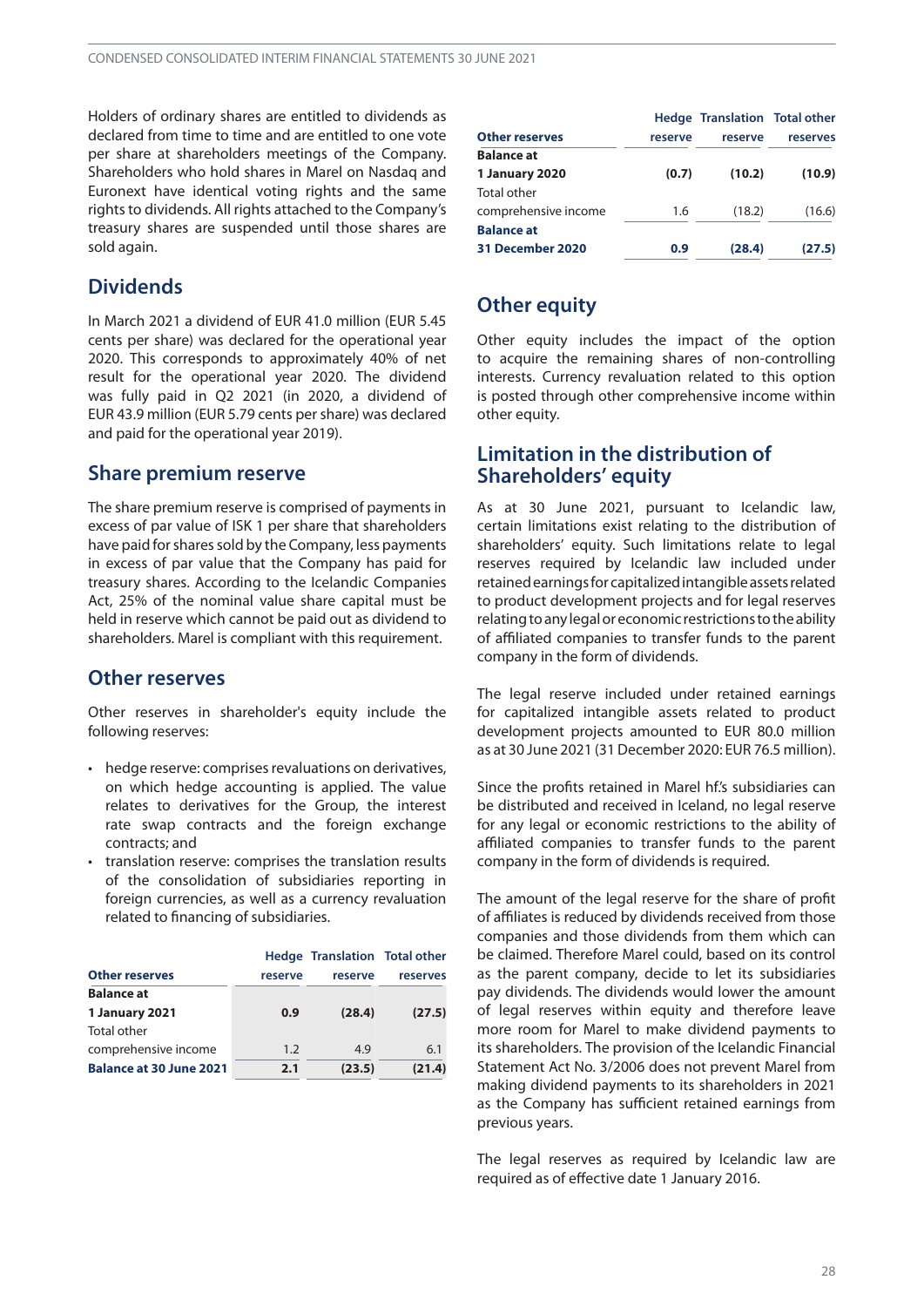Holders of ordinary shares are entitled to dividends as declared from time to time and are entitled to one vote per share at shareholders meetings of the Company. Shareholders who hold shares in Marel on Nasdaq and Euronext have identical voting rights and the same rights to dividends. All rights attached to the Company's treasury shares are suspended until those shares are sold again.

#### **Dividends**

In March 2021 a dividend of EUR 41.0 million (EUR 5.45 cents per share) was declared for the operational year 2020. This corresponds to approximately 40% of net result for the operational year 2020. The dividend was fully paid in Q2 2021 (in 2020, a dividend of EUR 43.9 million (EUR 5.79 cents per share) was declared and paid for the operational year 2019).

#### **Share premium reserve**

The share premium reserve is comprised of payments in excess of par value of ISK 1 per share that shareholders have paid for shares sold by the Company, less payments in excess of par value that the Company has paid for treasury shares. According to the Icelandic Companies Act, 25% of the nominal value share capital must be held in reserve which cannot be paid out as dividend to shareholders. Marel is compliant with this requirement.

#### **Other reserves**

Other reserves in shareholder's equity include the following reserves:

- hedge reserve: comprises revaluations on derivatives, on which hedge accounting is applied. The value relates to derivatives for the Group, the interest rate swap contracts and the foreign exchange contracts; and
- translation reserve: comprises the translation results of the consolidation of subsidiaries reporting in foreign currencies, as well as a currency revaluation related to financing of subsidiaries.

|                                |         | <b>Hedge Translation Total other</b> |          |
|--------------------------------|---------|--------------------------------------|----------|
| <b>Other reserves</b>          | reserve | reserve                              | reserves |
| <b>Balance at</b>              |         |                                      |          |
| 1 January 2021                 | 0.9     | (28.4)                               | (27.5)   |
| Total other                    |         |                                      |          |
| comprehensive income           | 1.2     | 4.9                                  | 6.1      |
| <b>Balance at 30 June 2021</b> | 2.1     | (23.5)                               | (21.4)   |

| reserve | reserve | reserves                             |
|---------|---------|--------------------------------------|
|         |         |                                      |
| (0.7)   | (10.2)  | (10.9)                               |
|         |         |                                      |
| 1.6     | (18.2)  | (16.6)                               |
|         |         |                                      |
| 0.9     | (28.4)  | (27.5)                               |
|         |         | <b>Hedge Translation Total other</b> |

### **Other equity**

Other equity includes the impact of the option to acquire the remaining shares of non-controlling interests. Currency revaluation related to this option is posted through other comprehensive income within other equity.

#### **Limitation in the distribution of Shareholders' equity**

As at 30 June 2021, pursuant to Icelandic law, certain limitations exist relating to the distribution of shareholders' equity. Such limitations relate to legal reserves required by Icelandic law included under retained earnings for capitalized intangible assets related to product development projects and for legal reserves relating to any legal or economic restrictions to the ability of affiliated companies to transfer funds to the parent company in the form of dividends.

The legal reserve included under retained earnings for capitalized intangible assets related to product development projects amounted to EUR 80.0 million as at 30 June 2021 (31December 2020: EUR 76.5million).

Since the profits retained in Marel hf.'s subsidiaries can be distributed and received in Iceland, no legal reserve for any legal or economic restrictions to the ability of affiliated companies to transfer funds to the parent company in the form of dividends is required.

The amount of the legal reserve for the share of profit of affiliates is reduced by dividends received from those companies and those dividends from them which can be claimed. Therefore Marel could, based on its control as the parent company, decide to let its subsidiaries pay dividends. The dividends would lower the amount of legal reserves within equity and therefore leave more room for Marel to make dividend payments to its shareholders. The provision of the Icelandic Financial Statement Act No. 3/2006 does not prevent Marel from making dividend payments to its shareholders in 2021 as the Company has sufficient retained earnings from previous years.

The legal reserves as required by Icelandic law are required as of effective date 1 January 2016.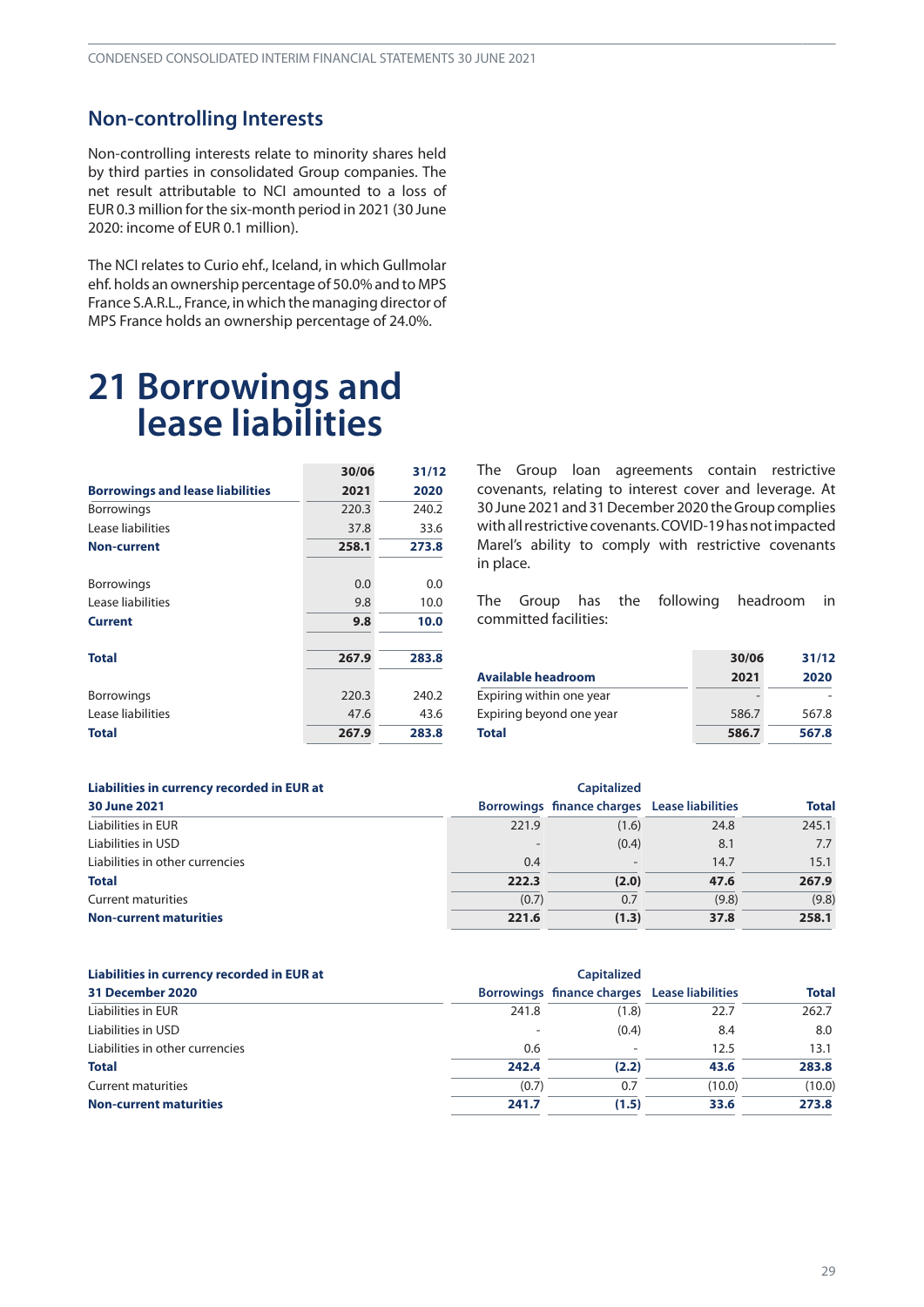#### <span id="page-28-0"></span>**Non-controlling Interests**

Non-controlling interests relate to minority shares held by third parties in consolidated Group companies. The net result attributable to NCI amounted to a loss of EUR 0.3million for the six-month period in 2021 (30 June 2020: income of EUR 0.1 million).

The NCI relates to Curio ehf., Iceland, in which Gullmolar ehf. holds an ownership percentage of 50.0%and to MPS France S.A.R.L., France, inwhich themanaging director of MPS France holds an ownership percentage of 24.0%.

### **21 Borrowings and lease liabilities**

|                                         | 30/06 | 31/12 |
|-----------------------------------------|-------|-------|
| <b>Borrowings and lease liabilities</b> | 2021  | 2020  |
| <b>Borrowings</b>                       | 220.3 | 240.2 |
| Lease liabilities                       | 37.8  | 33.6  |
| <b>Non-current</b>                      | 258.1 | 273.8 |
|                                         |       |       |
| <b>Borrowings</b>                       | 0.0   | 0.0   |
| Lease liabilities                       | 9.8   | 10.0  |
| Current                                 | 9.8   | 10.0  |
|                                         |       |       |
| <b>Total</b>                            | 267.9 | 283.8 |
|                                         |       |       |
| <b>Borrowings</b>                       | 220.3 | 240.2 |
| Lease liabilities                       | 47.6  | 43.6  |
| Total                                   | 267.9 | 283.8 |

The Group loan agreements contain restrictive covenants, relating to interest cover and leverage. At 30 June 2021 and 31 December 2020 the Group complies with all restrictive covenants.COVID-19 has not impacted Marel's ability to comply with restrictive covenants in place.

The Group has the following headroom in committed facilities:

|                           | 30/06 | 31/12 |
|---------------------------|-------|-------|
| <b>Available headroom</b> | 2021  | 2020  |
| Expiring within one year  |       |       |
| Expiring beyond one year  | 586.7 | 567.8 |
| <b>Total</b>              | 586.7 | 567.8 |

| Liabilities in currency recorded in EUR at |       | <b>Capitalized</b>                           |       |              |
|--------------------------------------------|-------|----------------------------------------------|-------|--------------|
| 30 June 2021                               |       | Borrowings finance charges Lease liabilities |       | <b>Total</b> |
| Liabilities in EUR                         | 221.9 | (1.6)                                        | 24.8  | 245.1        |
| Liabilities in USD                         |       | (0.4)                                        | 8.1   | 7.7          |
| Liabilities in other currencies            | 0.4   | $\overline{\phantom{0}}$                     | 14.7  | 15.1         |
| <b>Total</b>                               | 222.3 | (2.0)                                        | 47.6  | 267.9        |
| <b>Current maturities</b>                  | (0.7) | 0.7                                          | (9.8) | (9.8)        |
| <b>Non-current maturities</b>              | 221.6 | (1.3)                                        | 37.8  | 258.1        |

| Liabilities in currency recorded in EUR at |       | <b>Capitalized</b>                           |        |              |
|--------------------------------------------|-------|----------------------------------------------|--------|--------------|
| 31 December 2020                           |       | Borrowings finance charges Lease liabilities |        | <b>Total</b> |
| Liabilities in EUR                         | 241.8 | (1.8)                                        | 22.7   | 262.7        |
| Liabilities in USD                         |       | (0.4)                                        | 8.4    | 8.0          |
| Liabilities in other currencies            | 0.6   | ۰                                            | 12.5   | 13.1         |
| <b>Total</b>                               | 242.4 | (2.2)                                        | 43.6   | 283.8        |
| Current maturities                         | (0.7) | 0.7                                          | (10.0) | (10.0)       |
| <b>Non-current maturities</b>              | 241.7 | (1.5)                                        | 33.6   | 273.8        |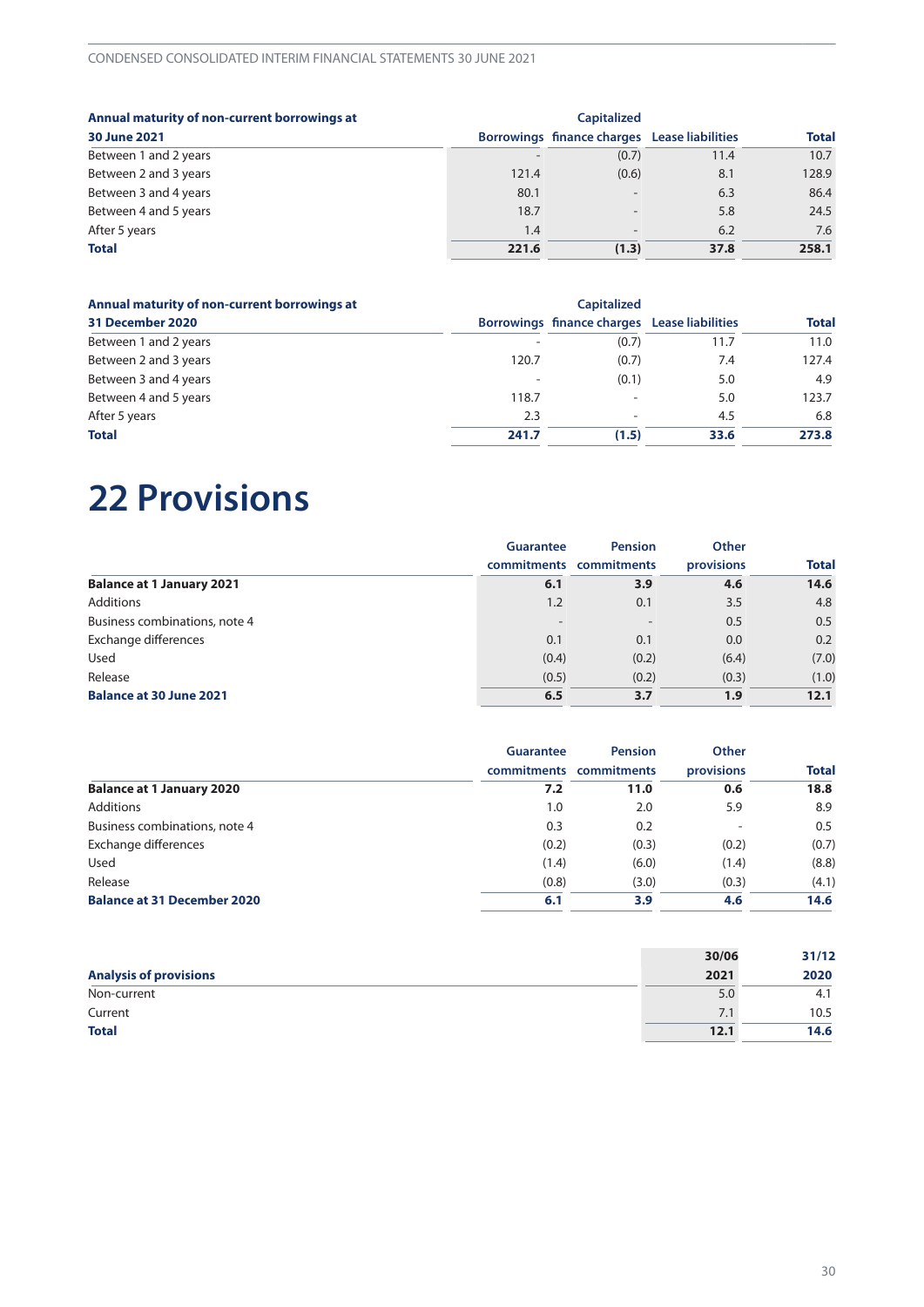<span id="page-29-0"></span>

| Annual maturity of non-current borrowings at |       | <b>Capitalized</b>                           |      |              |
|----------------------------------------------|-------|----------------------------------------------|------|--------------|
| 30 June 2021                                 |       | Borrowings finance charges Lease liabilities |      | <b>Total</b> |
| Between 1 and 2 years                        |       | (0.7)                                        | 11.4 | 10.7         |
| Between 2 and 3 years                        | 121.4 | (0.6)                                        | 8.1  | 128.9        |
| Between 3 and 4 years                        | 80.1  |                                              | 6.3  | 86.4         |
| Between 4 and 5 years                        | 18.7  |                                              | 5.8  | 24.5         |
| After 5 years                                | 1.4   | $\overline{\phantom{0}}$                     | 6.2  | 7.6          |
| <b>Total</b>                                 | 221.6 | (1.3)                                        | 37.8 | 258.1        |

| Annual maturity of non-current borrowings at |       | <b>Capitalized</b>                           |      |              |
|----------------------------------------------|-------|----------------------------------------------|------|--------------|
| 31 December 2020                             |       | Borrowings finance charges Lease liabilities |      | <b>Total</b> |
| Between 1 and 2 years                        |       | (0.7)                                        | 11.7 | 11.0         |
| Between 2 and 3 years                        | 120.7 | (0.7)                                        | 7.4  | 127.4        |
| Between 3 and 4 years                        | -     | (0.1)                                        | 5.0  | 4.9          |
| Between 4 and 5 years                        | 118.7 | $\sim$                                       | 5.0  | 123.7        |
| After 5 years                                | 2.3   |                                              | 4.5  | 6.8          |
| <b>Total</b>                                 | 241.7 | (1.5)                                        | 33.6 | 273.8        |

## **22 Provisions**

|                                  | <b>Guarantee</b>         | <b>Pension</b>           | <b>Other</b> |              |
|----------------------------------|--------------------------|--------------------------|--------------|--------------|
|                                  | commitments              | commitments              | provisions   | <b>Total</b> |
| <b>Balance at 1 January 2021</b> | 6.1                      | 3.9                      | 4.6          | 14.6         |
| <b>Additions</b>                 | 1.2                      | 0.1                      | 3.5          | 4.8          |
| Business combinations, note 4    | $\overline{\phantom{a}}$ | $\overline{\phantom{0}}$ | 0.5          | 0.5          |
| Exchange differences             | 0.1                      | 0.1                      | 0.0          | 0.2          |
| Used                             | (0.4)                    | (0.2)                    | (6.4)        | (7.0)        |
| Release                          | (0.5)                    | (0.2)                    | (0.3)        | (1.0)        |
| <b>Balance at 30 June 2021</b>   | 6.5                      | 3.7                      | 1.9          | 12.1         |

|                                    | Guarantee | <b>Pension</b><br>commitments commitments | <b>Other</b><br>provisions | <b>Total</b> |
|------------------------------------|-----------|-------------------------------------------|----------------------------|--------------|
|                                    |           |                                           |                            |              |
| <b>Balance at 1 January 2020</b>   | 7.2       | 11.0                                      | 0.6                        | 18.8         |
| <b>Additions</b>                   | 1.0       | 2.0                                       | 5.9                        | 8.9          |
| Business combinations, note 4      | 0.3       | 0.2                                       | -                          | 0.5          |
| Exchange differences               | (0.2)     | (0.3)                                     | (0.2)                      | (0.7)        |
| Used                               | (1.4)     | (6.0)                                     | (1.4)                      | (8.8)        |
| Release                            | (0.8)     | (3.0)                                     | (0.3)                      | (4.1)        |
| <b>Balance at 31 December 2020</b> | 6.1       | 3.9                                       | 4.6                        | 14.6         |

|                               | 30/06 | 31/12 |
|-------------------------------|-------|-------|
| <b>Analysis of provisions</b> | 2021  | 2020  |
| Non-current                   | 5.0   | 4.1   |
| Current                       | 7.1   | 10.5  |
| <b>Total</b>                  | 12.1  | 14.6  |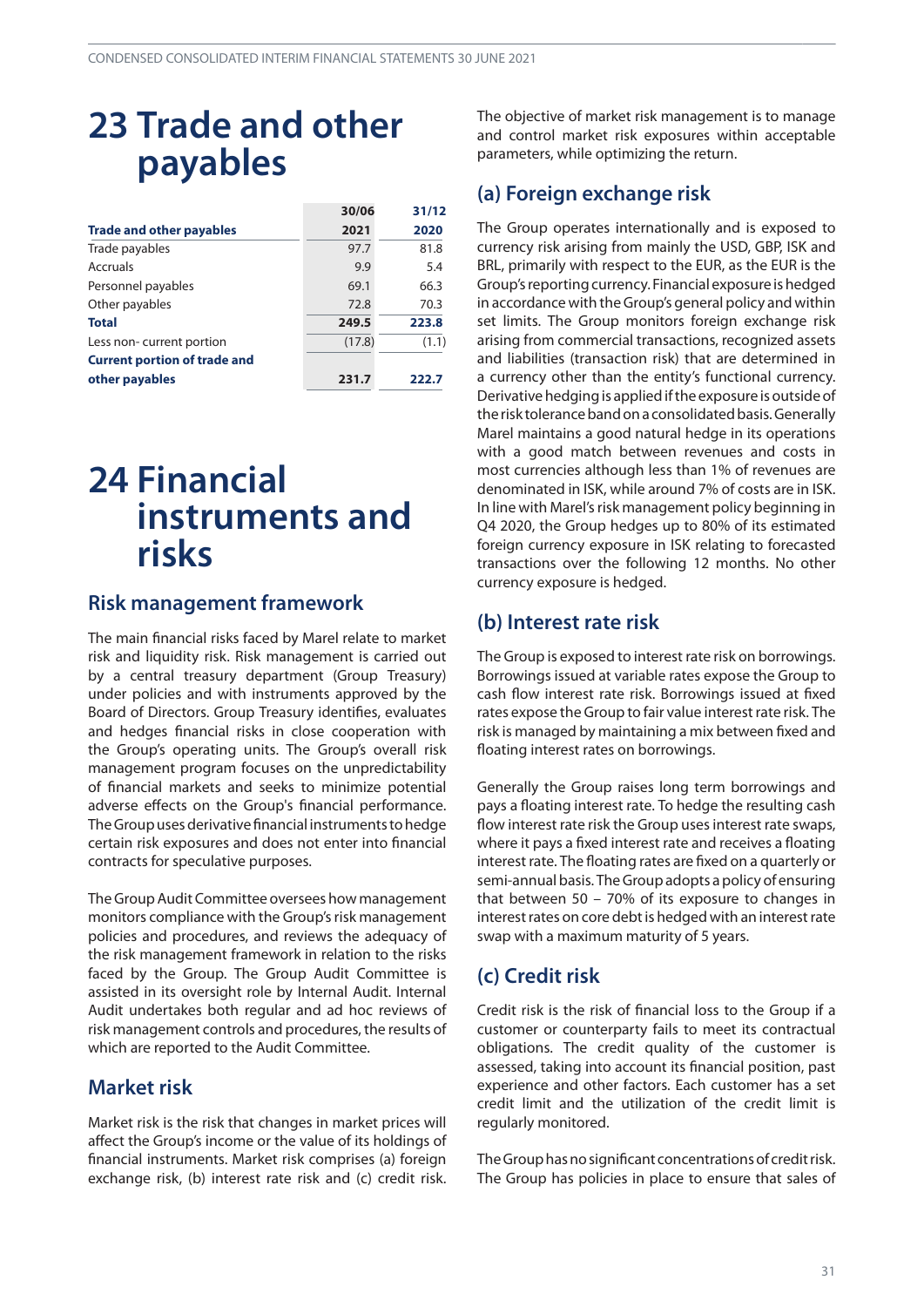### <span id="page-30-0"></span>**23 Trade and other payables**

|                                     | 30/06  | 31/12 |
|-------------------------------------|--------|-------|
| <b>Trade and other payables</b>     | 2021   | 2020  |
| Trade payables                      | 97.7   | 81.8  |
| Accruals                            | 9.9    | 5.4   |
| Personnel payables                  | 69.1   | 66.3  |
| Other payables                      | 72.8   | 70.3  |
| <b>Total</b>                        | 249.5  | 223.8 |
| Less non-current portion            | (17.8) | (1.1) |
| <b>Current portion of trade and</b> |        |       |
| other payables                      | 231.7  | 222.7 |

### **24 Financial instruments and risks**

#### **Risk management framework**

The main financial risks faced by Marel relate to market risk and liquidity risk. Risk management is carried out by a central treasury department (Group Treasury) under policies and with instruments approved by the Board of Directors. Group Treasury identifies, evaluates and hedges financial risks in close cooperation with the Group's operating units. The Group's overall risk management program focuses on the unpredictability of financial markets and seeks to minimize potential adverse effects on the Group's financial performance. The Group uses derivative financial instruments to hedge certain risk exposures and does not enter into financial contracts for speculative purposes.

The Group Audit Committee oversees how management monitors compliance with the Group's risk management policies and procedures, and reviews the adequacy of the risk management framework in relation to the risks faced by the Group. The Group Audit Committee is assisted in its oversight role by Internal Audit. Internal Audit undertakes both regular and ad hoc reviews of riskmanagement controls and procedures, the results of which are reported to the Audit Committee.

#### **Market risk**

Market risk is the risk that changes in market prices will affect the Group's income or the value of its holdings of financial instruments. Market risk comprises (a) foreign exchange risk, (b) interest rate risk and (c) credit risk.

The objective of market risk management is to manage and control market risk exposures within acceptable parameters, while optimizing the return.

### **(a) Foreign exchange risk**

The Group operates internationally and is exposed to currency risk arising from mainly the USD, GBP, ISK and BRL, primarily with respect to the EUR, as the EUR is the Group's reporting currency. Financial exposure is hedged in accordance with the Group's general policy and within set limits. The Group monitors foreign exchange risk arising from commercial transactions, recognized assets and liabilities (transaction risk) that are determined in a currency other than the entity's functional currency. Derivative hedging is applied if the exposure is outside of the risk tolerance band on a consolidated basis. Generally Marel maintains a good natural hedge in its operations with a good match between revenues and costs in most currencies although less than 1% of revenues are denominated in ISK, while around 7% of costs are in ISK. In line with Marel's risk management policy beginning in Q4 2020, the Group hedges up to 80% of its estimated foreign currency exposure in ISK relating to forecasted transactions over the following 12 months. No other currency exposure is hedged.

#### **(b) Interest rate risk**

The Group is exposed to interest rate risk on borrowings. Borrowings issued at variable rates expose the Group to cash flow interest rate risk. Borrowings issued at fixed rates expose the Group to fair value interest rate risk. The risk is managed by maintaining a mix between fixed and floating interest rates on borrowings.

Generally the Group raises long term borrowings and pays a floating interest rate. To hedge the resulting cash flow interest rate risk the Group uses interest rate swaps, where it pays a fixed interest rate and receives a floating interest rate. The floating rates are fixed on a quarterly or semi-annual basis. The Group adopts a policy of ensuring that between 50 – 70% of its exposure to changes in interest rates on core debt is hedged with an interest rate swap with a maximum maturity of 5 years.

### **(c) Credit risk**

Credit risk is the risk of financial loss to the Group if a customer or counterparty fails to meet its contractual obligations. The credit quality of the customer is assessed, taking into account its financial position, past experience and other factors. Each customer has a set credit limit and the utilization of the credit limit is regularly monitored.

The Group has no significant concentrations of credit risk. The Group has policies in place to ensure that sales of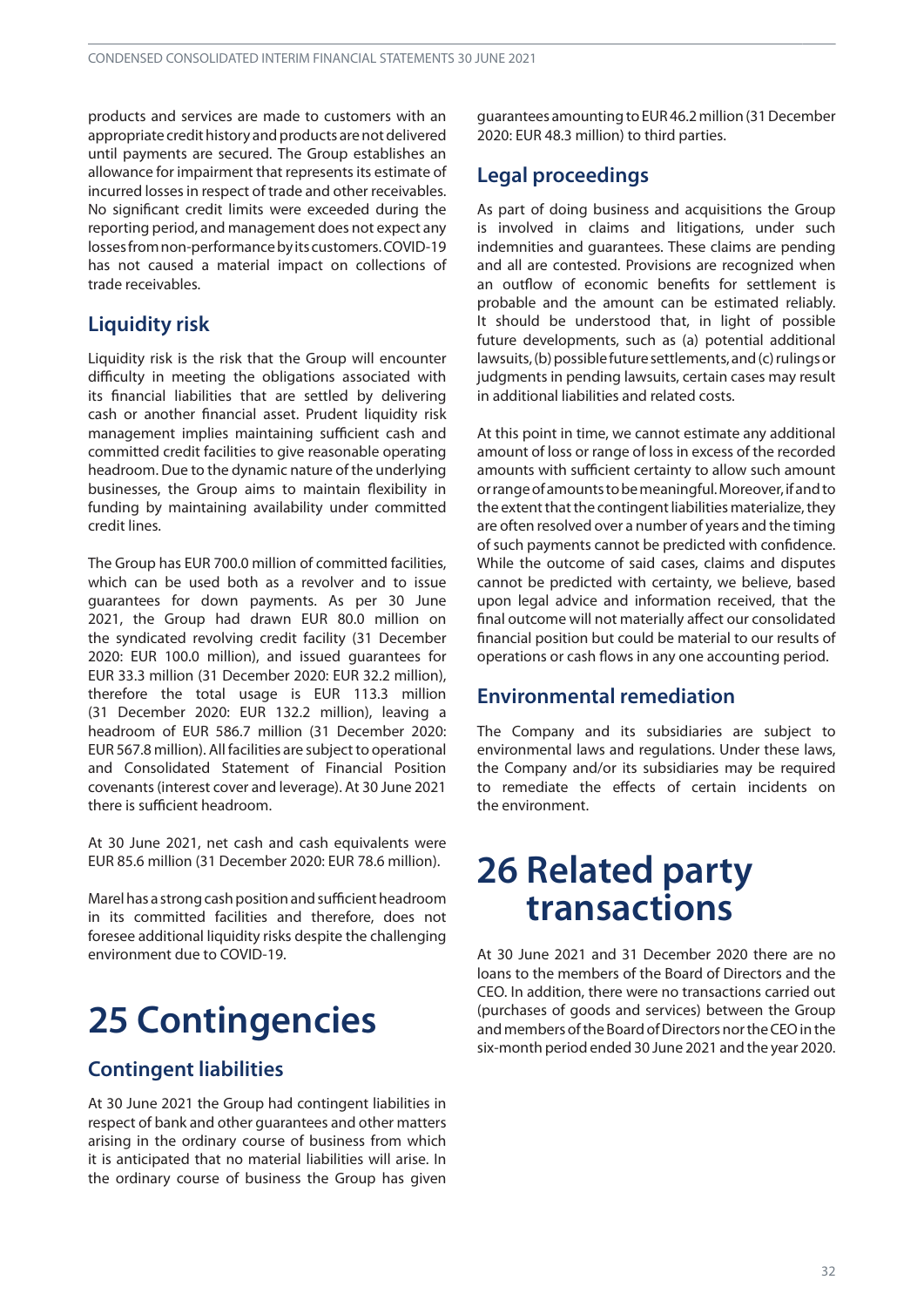<span id="page-31-0"></span>products and services are made to customers with an appropriate credit history and products are not delivered until payments are secured. The Group establishes an allowance for impairment that represents its estimate of incurred losses in respect of trade and other receivables. No significant credit limits were exceeded during the reporting period, and management does not expect any lossesfromnon-performancebyits customers.COVID-19 has not caused a material impact on collections of trade receivables.

### **Liquidity risk**

Liquidity risk is the risk that the Group will encounter difficulty in meeting the obligations associated with its financial liabilities that are settled by delivering cash or another financial asset. Prudent liquidity risk management implies maintaining sufficient cash and committed credit facilities to give reasonable operating headroom. Due to the dynamic nature of the underlying businesses, the Group aims to maintain flexibility in funding by maintaining availability under committed credit lines.

The Group has EUR 700.0 million of committed facilities, which can be used both as a revolver and to issue guarantees for down payments. As per 30 June 2021, the Group had drawn EUR 80.0 million on the syndicated revolving credit facility (31 December 2020: EUR 100.0 million), and issued guarantees for EUR 33.3 million (31 December 2020: EUR 32.2 million), therefore the total usage is EUR 113.3 million (31 December 2020: EUR 132.2 million), leaving a headroom of EUR 586.7 million (31 December 2020: EUR 567.8 million). All facilities are subject to operational and Consolidated Statement of Financial Position covenants (interest cover and leverage). At 30 June 2021 there is sufficient headroom.

At 30 June 2021, net cash and cash equivalents were EUR 85.6 million (31 December 2020: EUR 78.6 million).

Marel has a strong cash position and sufficient headroom in its committed facilities and therefore, does not foresee additional liquidity risks despite the challenging environment due to COVID-19.

# **25 Contingencies**

### **Contingent liabilities**

At 30 June 2021 the Group had contingent liabilities in respect of bank and other guarantees and other matters arising in the ordinary course of business from which it is anticipated that no material liabilities will arise. In the ordinary course of business the Group has given

guarantees amountingtoEUR 46.2million(31December 2020: EUR 48.3 million) to third parties.

#### **Legal proceedings**

As part of doing business and acquisitions the Group is involved in claims and litigations, under such indemnities and guarantees. These claims are pending and all are contested. Provisions are recognized when an outflow of economic benefits for settlement is probable and the amount can be estimated reliably. It should be understood that, in light of possible future developments, such as (a) potential additional lawsuits, (b) possible future settlements, and (c) rulings or judgments in pending lawsuits, certain cases may result in additional liabilities and related costs.

At this point in time, we cannot estimate any additional amount of loss or range of loss in excess of the recorded amounts with sufficient certainty to allow such amount or range of amounts to be meaningful. Moreover, if and to the extent that the contingent liabilities materialize, they are often resolved over a number of years and the timing of such payments cannot be predicted with confidence. While the outcome of said cases, claims and disputes cannot be predicted with certainty, we believe, based upon legal advice and information received, that the final outcome will not materially affect our consolidated financial position but could be material to our results of operations or cash flows in any one accounting period.

#### **Environmental remediation**

The Company and its subsidiaries are subject to environmental laws and regulations. Under these laws, the Company and/or its subsidiaries may be required to remediate the effects of certain incidents on the environment.

### **26 Related party transactions**

At 30 June 2021 and 31 December 2020 there are no loans to the members of the Board of Directors and the CEO. In addition, there were no transactions carried out (purchases of goods and services) between the Group and members of the Board of Directors nor the CEO in the six-month period ended 30 June 2021 and the year 2020.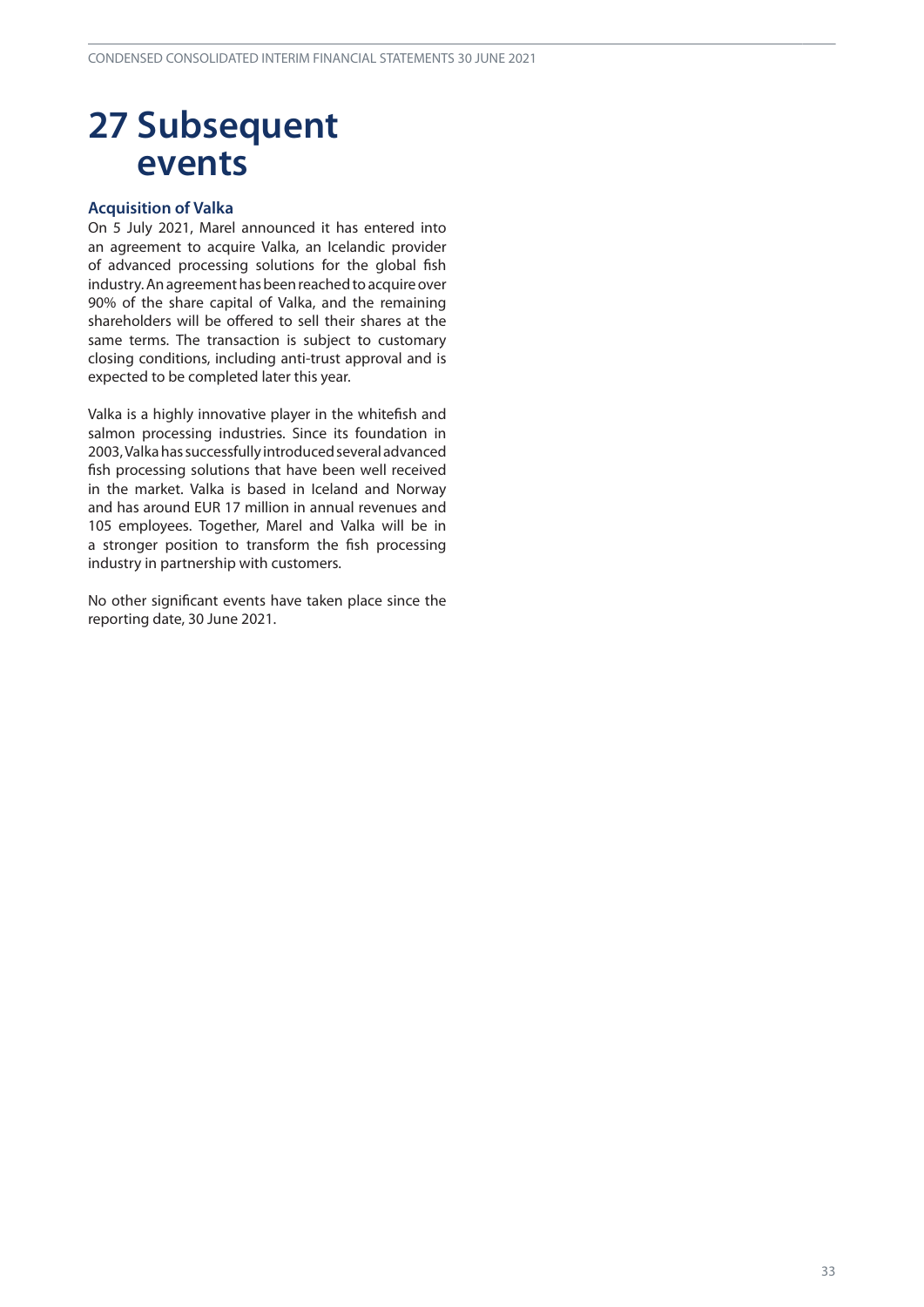### <span id="page-32-0"></span>**27 Subsequent events**

#### **Acquisition of Valka**

On 5 July 2021, Marel announced it has entered into an agreement to acquire Valka, an Icelandic provider of advanced processing solutions for the global fish industry. An agreement has been reached to acquire over 90% of the share capital of Valka, and the remaining shareholders will be offered to sell their shares at the same terms. The transaction is subject to customary closing conditions, including anti-trust approval and is expected to be completed later this year.

Valka is a highly innovative player in the whitefish and salmon processing industries. Since its foundation in 2003, Valka has successfully introduced several advanced fish processing solutions that have been well received in the market. Valka is based in Iceland and Norway and has around EUR 17 million in annual revenues and 105 employees. Together, Marel and Valka will be in a stronger position to transform the fish processing industry in partnership with customers.

No other significant events have taken place since the reporting date, 30 June 2021.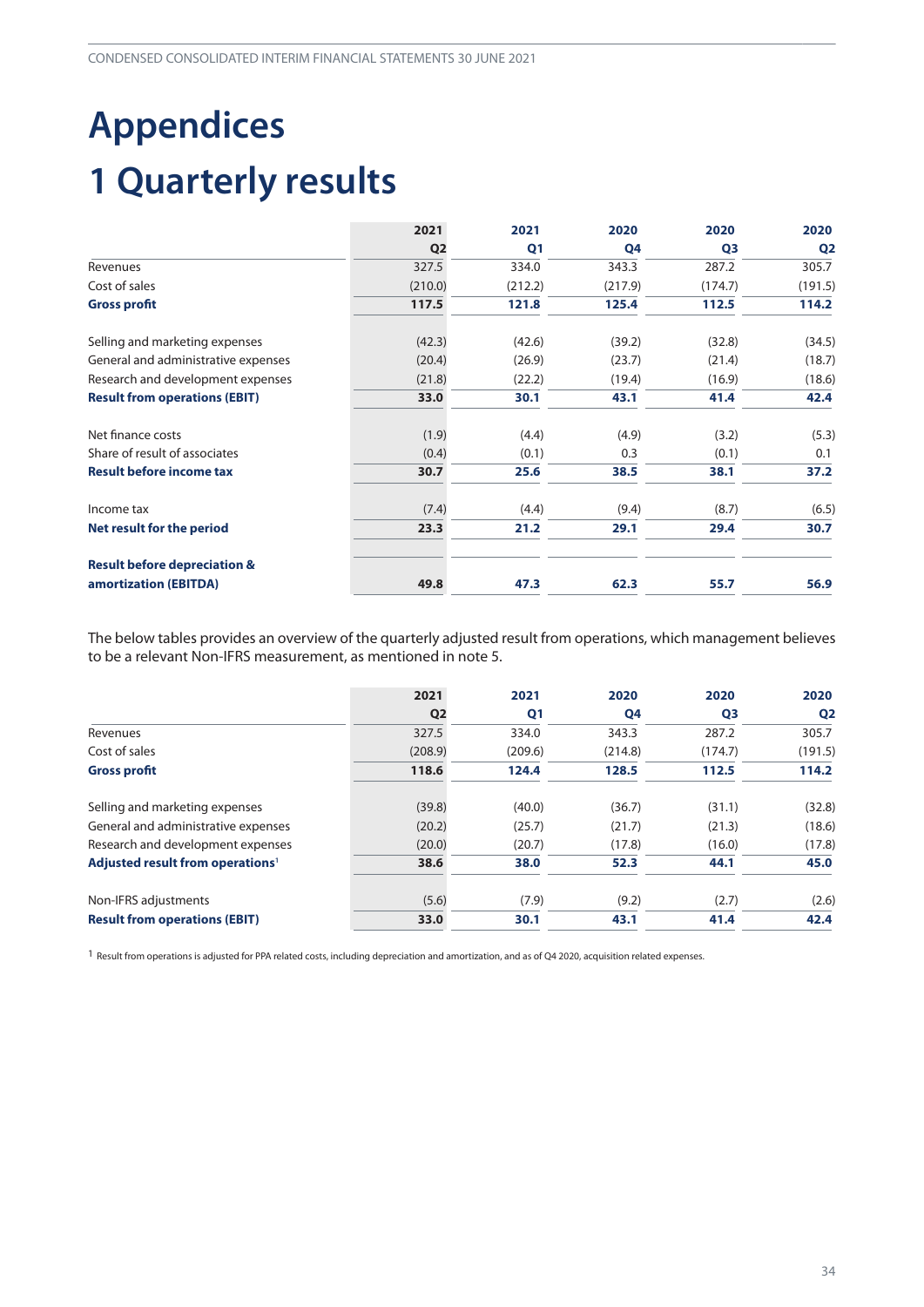# <span id="page-33-0"></span>**Appendices 1 Quarterly results**

|                                         | 2021           | 2021           | 2020<br>Q4 | 2020<br>Q <sub>3</sub> | 2020<br>Q <sub>2</sub> |
|-----------------------------------------|----------------|----------------|------------|------------------------|------------------------|
|                                         | Q <sub>2</sub> | Q <sub>1</sub> |            |                        |                        |
| Revenues                                | 327.5          | 334.0          | 343.3      | 287.2                  | 305.7                  |
| Cost of sales                           | (210.0)        | (212.2)        | (217.9)    | (174.7)                | (191.5)                |
| <b>Gross profit</b>                     | 117.5          | 121.8          | 125.4      | 112.5                  | 114.2                  |
| Selling and marketing expenses          | (42.3)         | (42.6)         | (39.2)     | (32.8)                 | (34.5)                 |
| General and administrative expenses     | (20.4)         | (26.9)         | (23.7)     | (21.4)                 | (18.7)                 |
| Research and development expenses       | (21.8)         | (22.2)         | (19.4)     | (16.9)                 | (18.6)                 |
| <b>Result from operations (EBIT)</b>    | 33.0           | 30.1           | 43.1       | 41.4                   | 42.4                   |
| Net finance costs                       | (1.9)          | (4.4)          | (4.9)      | (3.2)                  | (5.3)                  |
| Share of result of associates           | (0.4)          | (0.1)          | 0.3        | (0.1)                  | 0.1                    |
| <b>Result before income tax</b>         | 30.7           | 25.6           | 38.5       | 38.1                   | 37.2                   |
| Income tax                              | (7.4)          | (4.4)          | (9.4)      | (8.7)                  | (6.5)                  |
| Net result for the period               | 23.3           | 21.2           | 29.1       | 29.4                   | 30.7                   |
| <b>Result before depreciation &amp;</b> |                |                |            |                        |                        |
| amortization (EBITDA)                   | 49.8           | 47.3           | 62.3       | 55.7                   | 56.9                   |

The below tables provides an overview of the quarterly adjusted result from operations, which management believes to be a relevant Non-IFRS measurement, as mentioned in note [5.](#page-14-0)

|                                              | 2021           | 2021           | 2020    | 2020           | 2020           |
|----------------------------------------------|----------------|----------------|---------|----------------|----------------|
|                                              | Q <sub>2</sub> | Q <sub>1</sub> | Q4      | Q <sub>3</sub> | Q <sub>2</sub> |
| Revenues                                     | 327.5          | 334.0          | 343.3   | 287.2          | 305.7          |
| Cost of sales                                | (208.9)        | (209.6)        | (214.8) | (174.7)        | (191.5)        |
| <b>Gross profit</b>                          | 118.6          | 124.4          | 128.5   | 112.5          | 114.2          |
| Selling and marketing expenses               | (39.8)         | (40.0)         | (36.7)  | (31.1)         | (32.8)         |
| General and administrative expenses          | (20.2)         | (25.7)         | (21.7)  | (21.3)         | (18.6)         |
| Research and development expenses            | (20.0)         | (20.7)         | (17.8)  | (16.0)         | (17.8)         |
| Adjusted result from operations <sup>1</sup> | 38.6           | 38.0           | 52.3    | 44.1           | 45.0           |
| Non-IFRS adjustments                         | (5.6)          | (7.9)          | (9.2)   | (2.7)          | (2.6)          |
| <b>Result from operations (EBIT)</b>         | 33.0           | 30.1           | 43.1    | 41.4           | 42.4           |

1 Result from operations is adjusted for PPA related costs, including depreciation and amortization, and as of Q4 2020, acquisition related expenses.